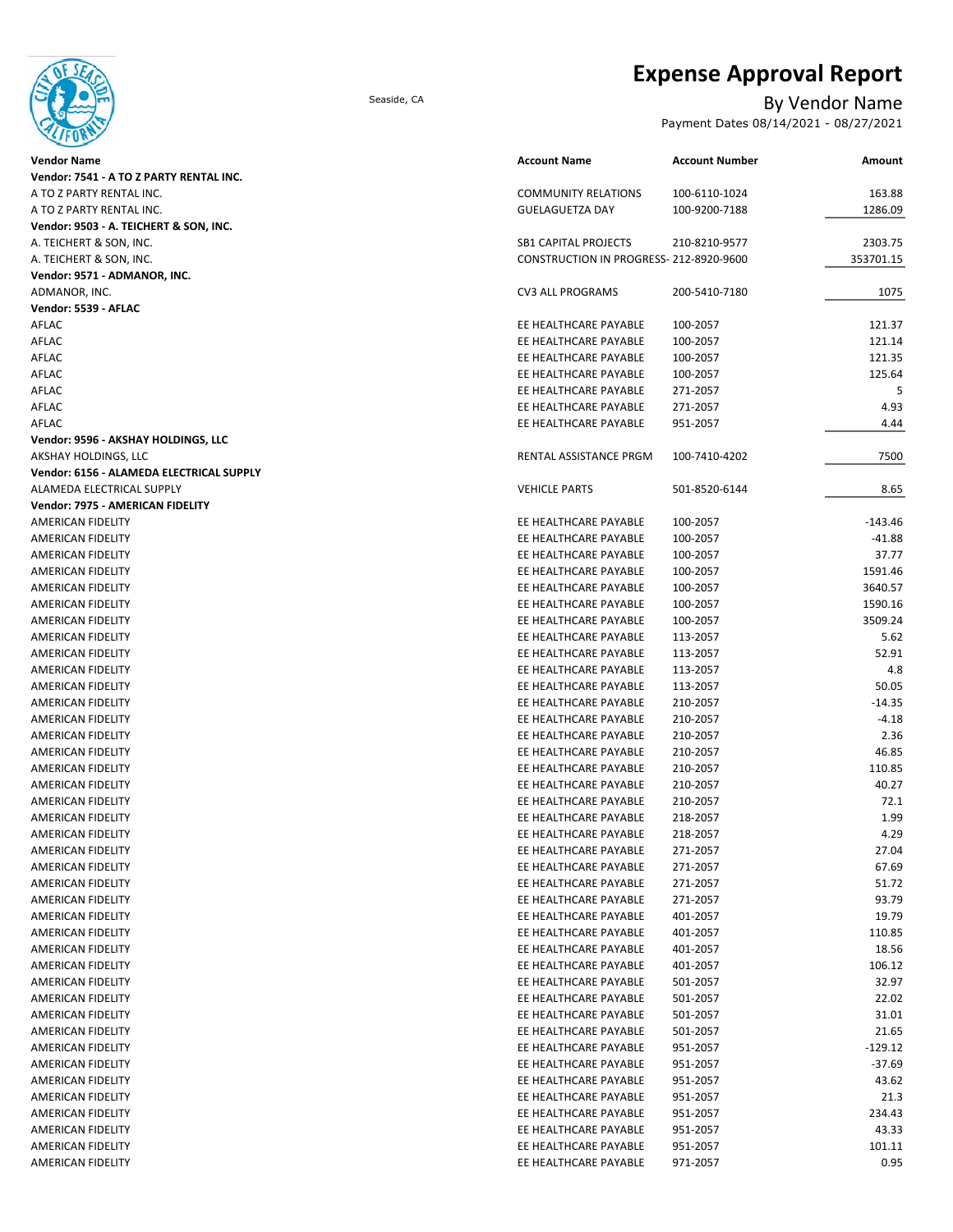

# **Expense Approval Report**

## Seaside, CA By Vendor Name

Payment Dates 08/14/2021 - 08/27/2021

| Vendor Name                              | <b>Account Name</b>                    | <b>Account Number</b> | Amount    |
|------------------------------------------|----------------------------------------|-----------------------|-----------|
| Vendor: 7541 - A TO Z PARTY RENTAL INC.  |                                        |                       |           |
| A TO Z PARTY RENTAL INC.                 | <b>COMMUNITY RELATIONS</b>             | 100-6110-1024         | 163.88    |
| A TO Z PARTY RENTAL INC.                 | <b>GUELAGUETZA DAY</b>                 | 100-9200-7188         | 1286.09   |
| Vendor: 9503 - A. TEICHERT & SON, INC.   |                                        |                       |           |
| A. TEICHERT & SON, INC.                  | <b>SB1 CAPITAL PROJECTS</b>            | 210-8210-9577         | 2303.75   |
| A. TEICHERT & SON, INC.                  | CONSTRUCTION IN PROGRESS-212-8920-9600 |                       | 353701.15 |
| Vendor: 9571 - ADMANOR, INC.             |                                        |                       |           |
| ADMANOR, INC.                            | <b>CV3 ALL PROGRAMS</b>                | 200-5410-7180         | 1075      |
| Vendor: 5539 - AFLAC                     |                                        |                       |           |
| AFLAC                                    | EE HEALTHCARE PAYABLE                  | 100-2057              | 121.37    |
| AFLAC                                    | EE HEALTHCARE PAYABLE                  | 100-2057              | 121.14    |
| AFLAC                                    | EE HEALTHCARE PAYABLE                  | 100-2057              | 121.35    |
| AFLAC                                    | EE HEALTHCARE PAYABLE                  | 100-2057              | 125.64    |
| AFLAC                                    | EE HEALTHCARE PAYABLE                  | 271-2057              | 5         |
| AFLAC                                    | EE HEALTHCARE PAYABLE                  | 271-2057              | 4.93      |
| AFLAC                                    | EE HEALTHCARE PAYABLE                  | 951-2057              | 4.44      |
| Vendor: 9596 - AKSHAY HOLDINGS, LLC      |                                        |                       |           |
| AKSHAY HOLDINGS, LLC                     | RENTAL ASSISTANCE PRGM                 | 100-7410-4202         | 7500      |
| Vendor: 6156 - ALAMEDA ELECTRICAL SUPPLY |                                        |                       |           |
| ALAMEDA ELECTRICAL SUPPLY                | <b>VEHICLE PARTS</b>                   | 501-8520-6144         | 8.65      |
| Vendor: 7975 - AMERICAN FIDELITY         |                                        |                       |           |
| AMERICAN FIDELITY                        | EE HEALTHCARE PAYABLE                  | 100-2057              | $-143.46$ |
| AMERICAN FIDELITY                        | EE HEALTHCARE PAYABLE                  | 100-2057              | $-41.88$  |
| <b>AMERICAN FIDELITY</b>                 | EE HEALTHCARE PAYABLE                  | 100-2057              | 37.77     |
| AMERICAN FIDELITY                        | EE HEALTHCARE PAYABLE                  | 100-2057              | 1591.46   |
| AMERICAN FIDELITY                        | EE HEALTHCARE PAYABLE                  | 100-2057              | 3640.57   |
| AMERICAN FIDELITY                        | EE HEALTHCARE PAYABLE                  | 100-2057              | 1590.16   |
| AMERICAN FIDELITY                        | EE HEALTHCARE PAYABLE                  | 100-2057              | 3509.24   |
| AMERICAN FIDELITY                        | EE HEALTHCARE PAYABLE                  | 113-2057              | 5.62      |
| AMERICAN FIDELITY                        | EE HEALTHCARE PAYABLE                  | 113-2057              | 52.91     |
| AMERICAN FIDELITY                        | EE HEALTHCARE PAYABLE                  | 113-2057              | 4.8       |
| AMERICAN FIDELITY                        | EE HEALTHCARE PAYABLE                  | 113-2057              | 50.05     |
| AMERICAN FIDELITY                        | EE HEALTHCARE PAYABLE                  | 210-2057              | $-14.35$  |
| AMERICAN FIDELITY                        | EE HEALTHCARE PAYABLE                  | 210-2057              | $-4.18$   |
| AMERICAN FIDELITY                        | EE HEALTHCARE PAYABLE                  | 210-2057              | 2.36      |
| AMERICAN FIDELITY                        | EE HEALTHCARE PAYABLE                  | 210-2057              | 46.85     |
| AMERICAN FIDELITY                        | EE HEALTHCARE PAYABLE                  | 210-2057              | 110.85    |
| AMERICAN FIDELITY                        | EE HEALTHCARE PAYABLE                  | 210-2057              | 40.27     |
| AMERICAN FIDELITY                        | EE HEALTHCARE PAYABLE                  | 210-2057              | 72.1      |
| AMERICAN FIDELITY                        | EE HEALTHCARE PAYABLE                  | 218-2057              | 1.99      |
| AMERICAN FIDELITY                        | EE HEALTHCARE PAYABLE                  | 218-2057              | 4.29      |
| AMERICAN FIDELITY                        | EE HEALTHCARE PAYABLE                  | 271-2057              | 27.04     |
| AMERICAN FIDELITY                        | EE HEALTHCARE PAYABLE                  | 271-2057              | 67.69     |
| AMERICAN FIDELITY                        | EE HEALTHCARE PAYABLE                  | 271-2057              | 51.72     |
| AMERICAN FIDELITY                        | EE HEALTHCARE PAYABLE                  | 271-2057              | 93.79     |
| AMERICAN FIDELITY                        | EE HEALTHCARE PAYABLE                  | 401-2057              | 19.79     |
| AMERICAN FIDELITY                        | EE HEALTHCARE PAYABLE                  | 401-2057              | 110.85    |
| AMERICAN FIDELITY                        | EE HEALTHCARE PAYABLE                  | 401-2057              | 18.56     |
| AMERICAN FIDELITY                        | EE HEALTHCARE PAYABLE                  | 401-2057              | 106.12    |
| AMERICAN FIDELITY                        | EE HEALTHCARE PAYABLE                  | 501-2057              | 32.97     |
| AMERICAN FIDELITY                        | EE HEALTHCARE PAYABLE                  | 501-2057              | 22.02     |
| AMERICAN FIDELITY                        | EE HEALTHCARE PAYABLE                  | 501-2057              | 31.01     |
| AMERICAN FIDELITY                        | EE HEALTHCARE PAYABLE                  | 501-2057              | 21.65     |
| AMERICAN FIDELITY                        | EE HEALTHCARE PAYABLE                  | 951-2057              | $-129.12$ |
| AMERICAN FIDELITY                        | EE HEALTHCARE PAYABLE                  | 951-2057              | $-37.69$  |
| AMERICAN FIDELITY                        | EE HEALTHCARE PAYABLE                  | 951-2057              | 43.62     |
| AMERICAN FIDELITY                        | EE HEALTHCARE PAYABLE                  | 951-2057              | 21.3      |
| AMERICAN FIDELITY                        | EE HEALTHCARE PAYABLE                  | 951-2057              | 234.43    |
| AMERICAN FIDELITY                        | EE HEALTHCARE PAYABLE                  | 951-2057              | 43.33     |
| AMERICAN FIDELITY                        | EE HEALTHCARE PAYABLE                  | 951-2057              | 101.11    |
| AMERICAN FIDELITY                        | EE HEALTHCARE PAYABLE                  | 971-2057              | 0.95      |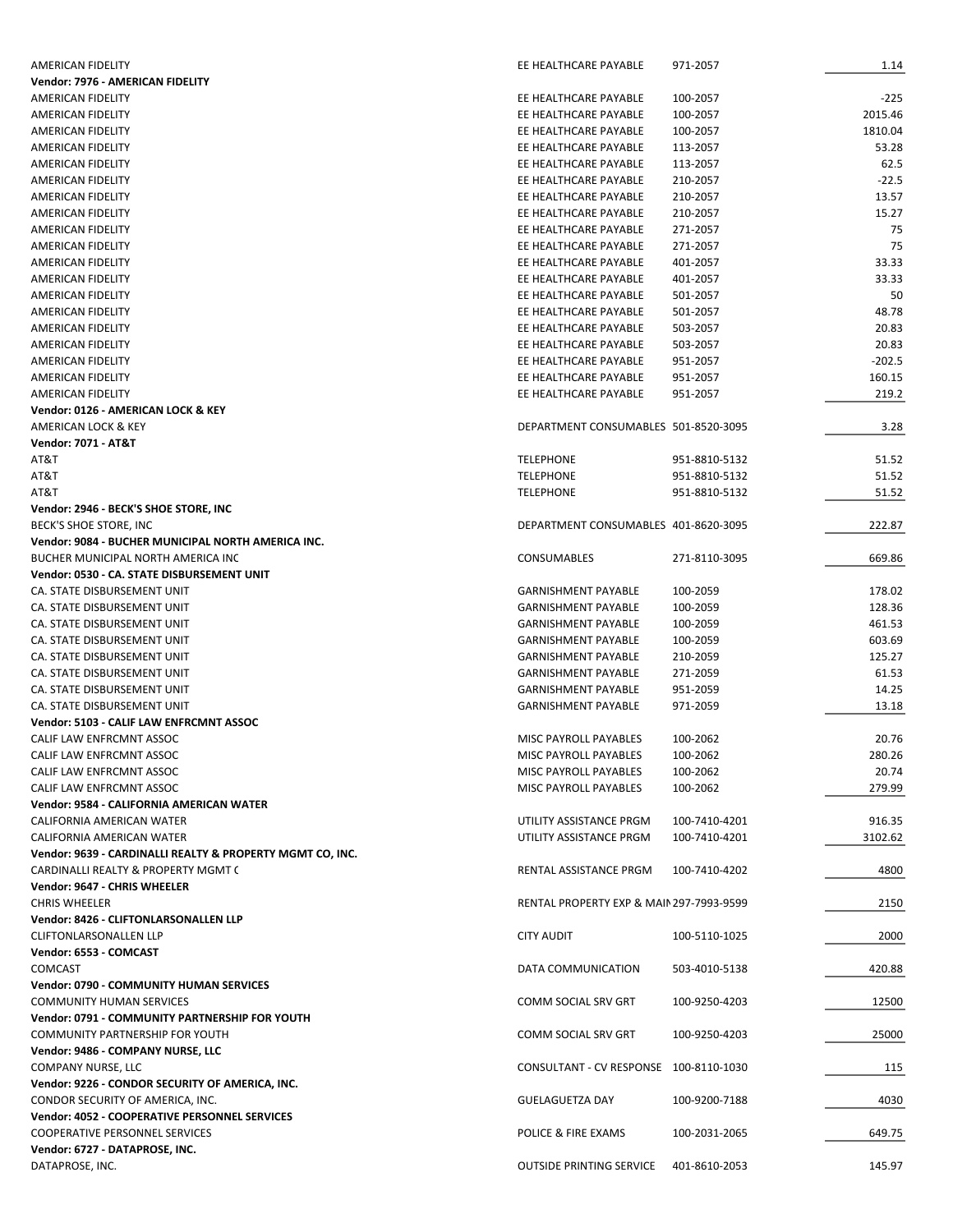| AMERICAN FIDELITY                                         | EE HEALTHCARE PAYABLE                    | 971-2057      | 1.14     |
|-----------------------------------------------------------|------------------------------------------|---------------|----------|
| Vendor: 7976 - AMERICAN FIDELITY                          |                                          |               |          |
| AMERICAN FIDELITY                                         | EE HEALTHCARE PAYABLE                    | 100-2057      | $-225$   |
| AMERICAN FIDELITY                                         | EE HEALTHCARE PAYABLE                    | 100-2057      | 2015.46  |
| AMERICAN FIDELITY                                         | EE HEALTHCARE PAYABLE                    | 100-2057      | 1810.04  |
| AMERICAN FIDELITY                                         | EE HEALTHCARE PAYABLE                    | 113-2057      | 53.28    |
| <b>AMERICAN FIDELITY</b>                                  | EE HEALTHCARE PAYABLE                    | 113-2057      | 62.5     |
| AMERICAN FIDELITY                                         | EE HEALTHCARE PAYABLE                    | 210-2057      | $-22.5$  |
| AMERICAN FIDELITY                                         | EE HEALTHCARE PAYABLE                    | 210-2057      | 13.57    |
| AMERICAN FIDELITY                                         | EE HEALTHCARE PAYABLE                    | 210-2057      | 15.27    |
| <b>AMERICAN FIDELITY</b>                                  | EE HEALTHCARE PAYABLE                    | 271-2057      | 75       |
| <b>AMERICAN FIDELITY</b>                                  | EE HEALTHCARE PAYABLE                    | 271-2057      | 75       |
| AMERICAN FIDELITY                                         | EE HEALTHCARE PAYABLE                    | 401-2057      | 33.33    |
| AMERICAN FIDELITY                                         | EE HEALTHCARE PAYABLE                    | 401-2057      | 33.33    |
| AMERICAN FIDELITY                                         | EE HEALTHCARE PAYABLE                    | 501-2057      | 50       |
|                                                           | EE HEALTHCARE PAYABLE                    |               | 48.78    |
| AMERICAN FIDELITY                                         |                                          | 501-2057      |          |
| AMERICAN FIDELITY                                         | EE HEALTHCARE PAYABLE                    | 503-2057      | 20.83    |
| AMERICAN FIDELITY                                         | EE HEALTHCARE PAYABLE                    | 503-2057      | 20.83    |
| AMERICAN FIDELITY                                         | EE HEALTHCARE PAYABLE                    | 951-2057      | $-202.5$ |
| AMERICAN FIDELITY                                         | EE HEALTHCARE PAYABLE                    | 951-2057      | 160.15   |
| <b>AMERICAN FIDELITY</b>                                  | EE HEALTHCARE PAYABLE                    | 951-2057      | 219.2    |
| Vendor: 0126 - AMERICAN LOCK & KEY                        |                                          |               |          |
| AMERICAN LOCK & KEY                                       | DEPARTMENT CONSUMABLES 501-8520-3095     |               | 3.28     |
| <b>Vendor: 7071 - AT&amp;T</b>                            |                                          |               |          |
| AT&T                                                      | <b>TELEPHONE</b>                         | 951-8810-5132 | 51.52    |
| AT&T                                                      | <b>TELEPHONE</b>                         | 951-8810-5132 | 51.52    |
| AT&T                                                      | <b>TELEPHONE</b>                         | 951-8810-5132 | 51.52    |
| Vendor: 2946 - BECK'S SHOE STORE, INC                     |                                          |               |          |
| BECK'S SHOE STORE, INC                                    | DEPARTMENT CONSUMABLES 401-8620-3095     |               | 222.87   |
| Vendor: 9084 - BUCHER MUNICIPAL NORTH AMERICA INC.        |                                          |               |          |
| BUCHER MUNICIPAL NORTH AMERICA INC                        | <b>CONSUMABLES</b>                       | 271-8110-3095 | 669.86   |
| Vendor: 0530 - CA. STATE DISBURSEMENT UNIT                |                                          |               |          |
| CA. STATE DISBURSEMENT UNIT                               | <b>GARNISHMENT PAYABLE</b>               | 100-2059      | 178.02   |
| CA. STATE DISBURSEMENT UNIT                               | <b>GARNISHMENT PAYABLE</b>               | 100-2059      | 128.36   |
| CA. STATE DISBURSEMENT UNIT                               | <b>GARNISHMENT PAYABLE</b>               | 100-2059      | 461.53   |
| CA. STATE DISBURSEMENT UNIT                               | <b>GARNISHMENT PAYABLE</b>               | 100-2059      | 603.69   |
| CA. STATE DISBURSEMENT UNIT                               | <b>GARNISHMENT PAYABLE</b>               | 210-2059      | 125.27   |
| CA. STATE DISBURSEMENT UNIT                               | <b>GARNISHMENT PAYABLE</b>               | 271-2059      | 61.53    |
| CA. STATE DISBURSEMENT UNIT                               | <b>GARNISHMENT PAYABLE</b>               | 951-2059      | 14.25    |
| CA. STATE DISBURSEMENT UNIT                               | <b>GARNISHMENT PAYABLE</b>               | 971-2059      | 13.18    |
| Vendor: 5103 - CALIF LAW ENFRCMNT ASSOC                   |                                          |               |          |
|                                                           |                                          |               |          |
| CALIF LAW ENFRCMNT ASSOC                                  | MISC PAYROLL PAYABLES                    | 100-2062      | 20.76    |
| CALIF LAW ENFRCMNT ASSOC                                  | MISC PAYROLL PAYABLES                    | 100-2062      | 280.26   |
| CALIF LAW ENFRCMNT ASSOC                                  | MISC PAYROLL PAYABLES                    | 100-2062      | 20.74    |
| CALIF LAW ENFRCMNT ASSOC                                  | MISC PAYROLL PAYABLES                    | 100-2062      | 279.99   |
| Vendor: 9584 - CALIFORNIA AMERICAN WATER                  |                                          |               |          |
| CALIFORNIA AMERICAN WATER                                 | UTILITY ASSISTANCE PRGM                  | 100-7410-4201 | 916.35   |
| CALIFORNIA AMERICAN WATER                                 | UTILITY ASSISTANCE PRGM                  | 100-7410-4201 | 3102.62  |
| Vendor: 9639 - CARDINALLI REALTY & PROPERTY MGMT CO, INC. |                                          |               |          |
| CARDINALLI REALTY & PROPERTY MGMT (                       | RENTAL ASSISTANCE PRGM                   | 100-7410-4202 | 4800     |
| Vendor: 9647 - CHRIS WHEELER                              |                                          |               |          |
| <b>CHRIS WHEELER</b>                                      | RENTAL PROPERTY EXP & MAIN 297-7993-9599 |               | 2150     |
| Vendor: 8426 - CLIFTONLARSONALLEN LLP                     |                                          |               |          |
| <b>CLIFTONLARSONALLEN LLP</b>                             | <b>CITY AUDIT</b>                        | 100-5110-1025 | 2000     |
| Vendor: 6553 - COMCAST                                    |                                          |               |          |
| <b>COMCAST</b>                                            | DATA COMMUNICATION                       | 503-4010-5138 | 420.88   |
| Vendor: 0790 - COMMUNITY HUMAN SERVICES                   |                                          |               |          |
| <b>COMMUNITY HUMAN SERVICES</b>                           | COMM SOCIAL SRV GRT                      | 100-9250-4203 | 12500    |
| Vendor: 0791 - COMMUNITY PARTNERSHIP FOR YOUTH            |                                          |               |          |
| COMMUNITY PARTNERSHIP FOR YOUTH                           | COMM SOCIAL SRV GRT                      | 100-9250-4203 | 25000    |
| Vendor: 9486 - COMPANY NURSE, LLC                         |                                          |               |          |
| COMPANY NURSE, LLC                                        | CONSULTANT - CV RESPONSE 100-8110-1030   |               | 115      |
| Vendor: 9226 - CONDOR SECURITY OF AMERICA, INC.           |                                          |               |          |
| CONDOR SECURITY OF AMERICA, INC.                          | <b>GUELAGUETZA DAY</b>                   | 100-9200-7188 | 4030     |
| Vendor: 4052 - COOPERATIVE PERSONNEL SERVICES             |                                          |               |          |
| <b>COOPERATIVE PERSONNEL SERVICES</b>                     | POLICE & FIRE EXAMS                      | 100-2031-2065 | 649.75   |
|                                                           |                                          |               |          |
| Vendor: 6727 - DATAPROSE, INC.                            |                                          |               |          |
| DATAPROSE, INC.                                           | <b>OUTSIDE PRINTING SERVICE</b>          | 401-8610-2053 | 145.97   |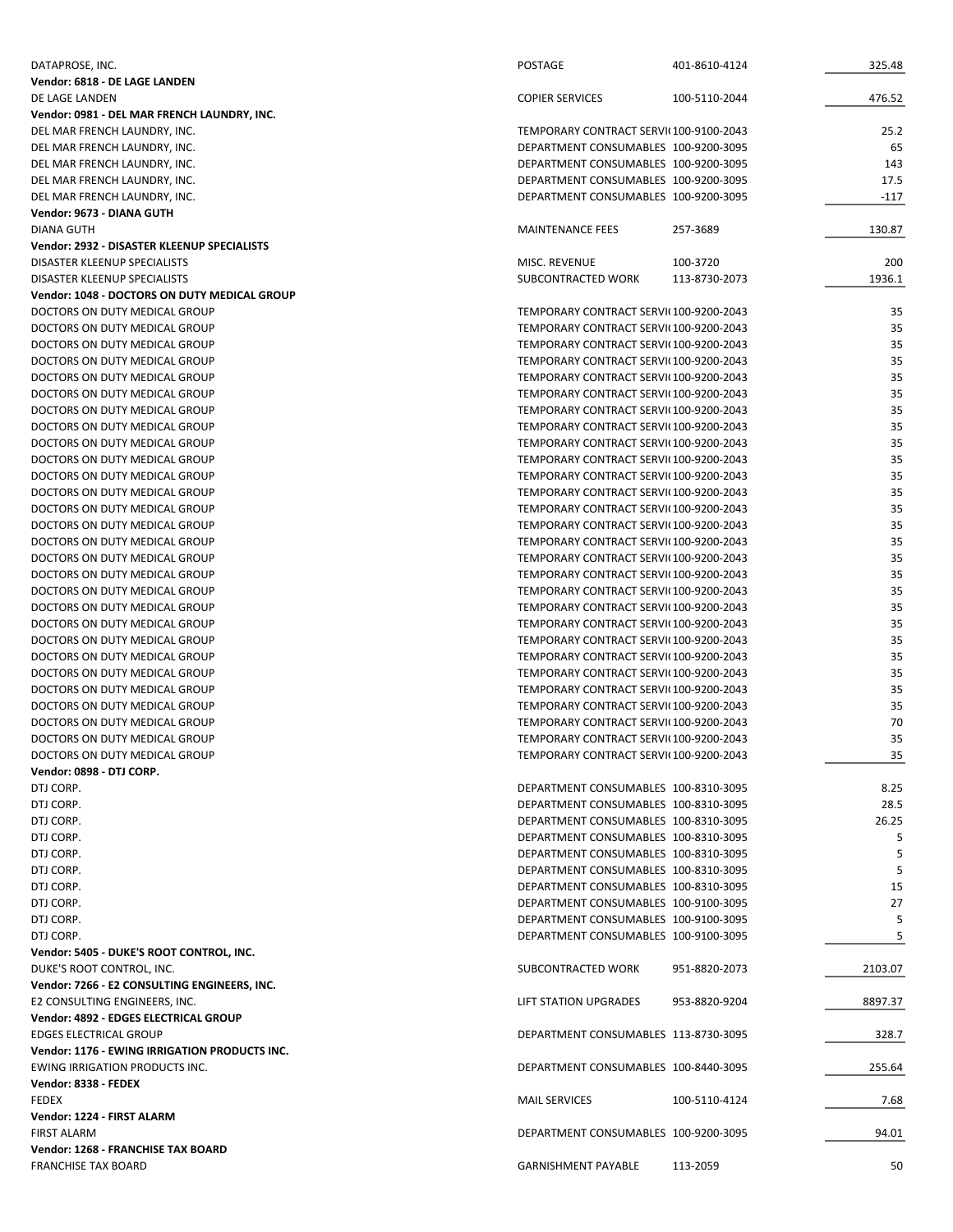| DATAPROSE, INC.                               | <b>POSTAGE</b>                         | 401-8610-4124 | 325.48  |
|-----------------------------------------------|----------------------------------------|---------------|---------|
| Vendor: 6818 - DE LAGE LANDEN                 |                                        |               |         |
| DE LAGE LANDEN                                | <b>COPIER SERVICES</b>                 | 100-5110-2044 | 476.52  |
| Vendor: 0981 - DEL MAR FRENCH LAUNDRY, INC.   |                                        |               |         |
| DEL MAR FRENCH LAUNDRY, INC.                  | TEMPORARY CONTRACT SERVI(100-9100-2043 |               | 25.2    |
| DEL MAR FRENCH LAUNDRY, INC.                  | DEPARTMENT CONSUMABLES 100-9200-3095   |               | 65      |
| DEL MAR FRENCH LAUNDRY, INC.                  | DEPARTMENT CONSUMABLES 100-9200-3095   |               | 143     |
| DEL MAR FRENCH LAUNDRY, INC.                  | DEPARTMENT CONSUMABLES 100-9200-3095   |               | 17.5    |
| DEL MAR FRENCH LAUNDRY, INC.                  | DEPARTMENT CONSUMABLES 100-9200-3095   |               | $-117$  |
| Vendor: 9673 - DIANA GUTH                     |                                        |               |         |
| <b>DIANA GUTH</b>                             | <b>MAINTENANCE FEES</b>                | 257-3689      | 130.87  |
| Vendor: 2932 - DISASTER KLEENUP SPECIALISTS   |                                        |               |         |
| DISASTER KLEENUP SPECIALISTS                  | MISC. REVENUE                          | 100-3720      | 200     |
| DISASTER KLEENUP SPECIALISTS                  | SUBCONTRACTED WORK                     | 113-8730-2073 | 1936.1  |
| Vendor: 1048 - DOCTORS ON DUTY MEDICAL GROUP  |                                        |               |         |
| DOCTORS ON DUTY MEDICAL GROUP                 | TEMPORARY CONTRACT SERVI(100-9200-2043 |               | 35      |
| DOCTORS ON DUTY MEDICAL GROUP                 | TEMPORARY CONTRACT SERVI(100-9200-2043 |               | 35      |
| DOCTORS ON DUTY MEDICAL GROUP                 | TEMPORARY CONTRACT SERVI(100-9200-2043 |               | 35      |
| DOCTORS ON DUTY MEDICAL GROUP                 | TEMPORARY CONTRACT SERVI(100-9200-2043 |               | 35      |
| DOCTORS ON DUTY MEDICAL GROUP                 | TEMPORARY CONTRACT SERVI(100-9200-2043 |               | 35      |
| DOCTORS ON DUTY MEDICAL GROUP                 | TEMPORARY CONTRACT SERVI(100-9200-2043 |               | 35      |
| DOCTORS ON DUTY MEDICAL GROUP                 | TEMPORARY CONTRACT SERVI(100-9200-2043 |               | 35      |
| DOCTORS ON DUTY MEDICAL GROUP                 | TEMPORARY CONTRACT SERVI(100-9200-2043 |               | 35      |
| DOCTORS ON DUTY MEDICAL GROUP                 | TEMPORARY CONTRACT SERVI(100-9200-2043 |               | 35      |
| DOCTORS ON DUTY MEDICAL GROUP                 | TEMPORARY CONTRACT SERVI(100-9200-2043 |               | 35      |
| DOCTORS ON DUTY MEDICAL GROUP                 | TEMPORARY CONTRACT SERVI(100-9200-2043 |               | 35      |
| DOCTORS ON DUTY MEDICAL GROUP                 | TEMPORARY CONTRACT SERVI(100-9200-2043 |               | 35      |
| DOCTORS ON DUTY MEDICAL GROUP                 | TEMPORARY CONTRACT SERVI(100-9200-2043 |               | 35      |
| DOCTORS ON DUTY MEDICAL GROUP                 | TEMPORARY CONTRACT SERVI(100-9200-2043 |               | 35      |
| DOCTORS ON DUTY MEDICAL GROUP                 | TEMPORARY CONTRACT SERVI(100-9200-2043 |               | 35      |
| DOCTORS ON DUTY MEDICAL GROUP                 | TEMPORARY CONTRACT SERVI(100-9200-2043 |               | 35      |
| DOCTORS ON DUTY MEDICAL GROUP                 | TEMPORARY CONTRACT SERVI(100-9200-2043 |               | 35      |
| DOCTORS ON DUTY MEDICAL GROUP                 | TEMPORARY CONTRACT SERVI(100-9200-2043 |               | 35      |
| DOCTORS ON DUTY MEDICAL GROUP                 | TEMPORARY CONTRACT SERVI(100-9200-2043 |               | 35      |
| DOCTORS ON DUTY MEDICAL GROUP                 | TEMPORARY CONTRACT SERVI(100-9200-2043 |               | 35      |
| DOCTORS ON DUTY MEDICAL GROUP                 | TEMPORARY CONTRACT SERVI(100-9200-2043 |               | 35      |
| DOCTORS ON DUTY MEDICAL GROUP                 | TEMPORARY CONTRACT SERVI(100-9200-2043 |               | 35      |
| DOCTORS ON DUTY MEDICAL GROUP                 | TEMPORARY CONTRACT SERVI(100-9200-2043 |               | 35      |
| DOCTORS ON DUTY MEDICAL GROUP                 | TEMPORARY CONTRACT SERVI(100-9200-2043 |               | 35      |
| DOCTORS ON DUTY MEDICAL GROUP                 | TEMPORARY CONTRACT SERVI(100-9200-2043 |               | 35      |
| DOCTORS ON DUTY MEDICAL GROUP                 | TEMPORARY CONTRACT SERVI(100-9200-2043 |               | 70      |
| DOCTORS ON DUTY MEDICAL GROUP                 | TEMPORARY CONTRACT SERVI(100-9200-2043 |               | 35      |
| DOCTORS ON DUTY MEDICAL GROUP                 | TEMPORARY CONTRACT SERVI(100-9200-2043 |               | 35      |
| Vendor: 0898 - DTJ CORP.                      |                                        |               |         |
| DTJ CORP.                                     | DEPARTMENT CONSUMABLES 100-8310-3095   |               | 8.25    |
| DTJ CORP.                                     | DEPARTMENT CONSUMABLES 100-8310-3095   |               | 28.5    |
| DTJ CORP.                                     | DEPARTMENT CONSUMABLES 100-8310-3095   |               | 26.25   |
| DTJ CORP.                                     | DEPARTMENT CONSUMABLES 100-8310-3095   |               | 5       |
| DTJ CORP.                                     | DEPARTMENT CONSUMABLES 100-8310-3095   |               | 5       |
|                                               | DEPARTMENT CONSUMABLES 100-8310-3095   |               | 5       |
| DTJ CORP.                                     |                                        |               |         |
| DTJ CORP.                                     | DEPARTMENT CONSUMABLES 100-8310-3095   |               | 15      |
| DTJ CORP.                                     | DEPARTMENT CONSUMABLES 100-9100-3095   |               | 27      |
| DTJ CORP.                                     | DEPARTMENT CONSUMABLES 100-9100-3095   |               | 5       |
| DTJ CORP.                                     | DEPARTMENT CONSUMABLES 100-9100-3095   |               | 5       |
| Vendor: 5405 - DUKE'S ROOT CONTROL, INC.      |                                        |               |         |
| DUKE'S ROOT CONTROL, INC.                     | SUBCONTRACTED WORK                     | 951-8820-2073 | 2103.07 |
| Vendor: 7266 - E2 CONSULTING ENGINEERS, INC.  |                                        |               |         |
| E2 CONSULTING ENGINEERS, INC.                 | LIFT STATION UPGRADES                  | 953-8820-9204 | 8897.37 |
| Vendor: 4892 - EDGES ELECTRICAL GROUP         |                                        |               |         |
| <b>EDGES ELECTRICAL GROUP</b>                 | DEPARTMENT CONSUMABLES 113-8730-3095   |               | 328.7   |
| Vendor: 1176 - EWING IRRIGATION PRODUCTS INC. |                                        |               |         |
| EWING IRRIGATION PRODUCTS INC.                | DEPARTMENT CONSUMABLES 100-8440-3095   |               | 255.64  |
| Vendor: 8338 - FEDEX                          |                                        |               |         |
| <b>FEDEX</b>                                  | <b>MAIL SERVICES</b>                   | 100-5110-4124 | 7.68    |
| Vendor: 1224 - FIRST ALARM                    |                                        |               |         |
| <b>FIRST ALARM</b>                            | DEPARTMENT CONSUMABLES 100-9200-3095   |               | 94.01   |
| Vendor: 1268 - FRANCHISE TAX BOARD            |                                        |               |         |
| <b>FRANCHISE TAX BOARD</b>                    | <b>GARNISHMENT PAYABLE</b>             | 113-2059      | 50      |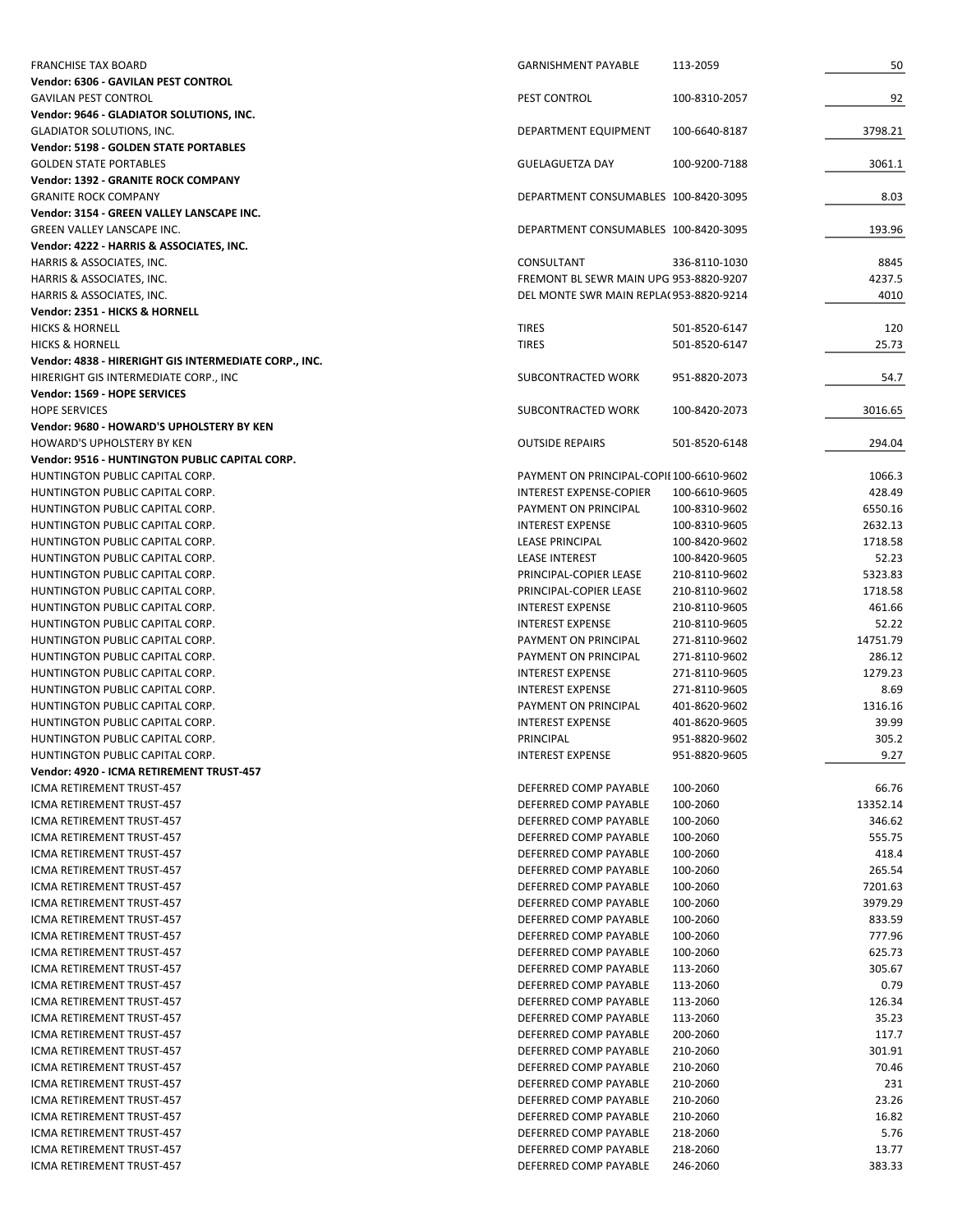| <b>FRANCHISE TAX BOARD</b>                                              | <b>GARNISHMENT PAYABLE</b>                     | 113-2059                       | 50                |
|-------------------------------------------------------------------------|------------------------------------------------|--------------------------------|-------------------|
| Vendor: 6306 - GAVILAN PEST CONTROL                                     |                                                |                                |                   |
| <b>GAVILAN PEST CONTROL</b>                                             | PEST CONTROL                                   | 100-8310-2057                  | 92                |
| Vendor: 9646 - GLADIATOR SOLUTIONS, INC.                                |                                                |                                |                   |
| <b>GLADIATOR SOLUTIONS, INC.</b>                                        | DEPARTMENT EQUIPMENT                           | 100-6640-8187                  | 3798.21           |
| Vendor: 5198 - GOLDEN STATE PORTABLES                                   |                                                |                                |                   |
| <b>GOLDEN STATE PORTABLES</b>                                           | <b>GUELAGUETZA DAY</b>                         | 100-9200-7188                  | 3061.1            |
| Vendor: 1392 - GRANITE ROCK COMPANY                                     |                                                |                                |                   |
| <b>GRANITE ROCK COMPANY</b>                                             | DEPARTMENT CONSUMABLES 100-8420-3095           |                                | 8.03              |
| Vendor: 3154 - GREEN VALLEY LANSCAPE INC.                               |                                                |                                |                   |
| <b>GREEN VALLEY LANSCAPE INC.</b>                                       | DEPARTMENT CONSUMABLES 100-8420-3095           |                                | 193.96            |
| Vendor: 4222 - HARRIS & ASSOCIATES, INC.                                |                                                |                                |                   |
| HARRIS & ASSOCIATES, INC.                                               | CONSULTANT                                     | 336-8110-1030                  | 8845              |
| HARRIS & ASSOCIATES, INC.                                               | FREMONT BL SEWR MAIN UPG 953-8820-9207         |                                | 4237.5            |
| HARRIS & ASSOCIATES, INC.                                               | DEL MONTE SWR MAIN REPLA(953-8820-9214         |                                | 4010              |
| Vendor: 2351 - HICKS & HORNELL                                          |                                                |                                |                   |
| <b>HICKS &amp; HORNELL</b>                                              | <b>TIRES</b>                                   | 501-8520-6147                  | 120               |
| <b>HICKS &amp; HORNELL</b>                                              | <b>TIRES</b>                                   | 501-8520-6147                  | 25.73             |
| Vendor: 4838 - HIRERIGHT GIS INTERMEDIATE CORP., INC.                   |                                                |                                |                   |
| HIRERIGHT GIS INTERMEDIATE CORP., INC                                   | SUBCONTRACTED WORK                             | 951-8820-2073                  | 54.7              |
| Vendor: 1569 - HOPE SERVICES                                            |                                                |                                |                   |
| <b>HOPE SERVICES</b>                                                    | SUBCONTRACTED WORK                             | 100-8420-2073                  | 3016.65           |
| Vendor: 9680 - HOWARD'S UPHOLSTERY BY KEN<br>HOWARD'S UPHOLSTERY BY KEN |                                                |                                | 294.04            |
| Vendor: 9516 - HUNTINGTON PUBLIC CAPITAL CORP.                          | <b>OUTSIDE REPAIRS</b>                         | 501-8520-6148                  |                   |
| HUNTINGTON PUBLIC CAPITAL CORP.                                         | PAYMENT ON PRINCIPAL-COPIE100-6610-9602        |                                | 1066.3            |
| HUNTINGTON PUBLIC CAPITAL CORP.                                         | <b>INTEREST EXPENSE-COPIER</b>                 | 100-6610-9605                  | 428.49            |
| HUNTINGTON PUBLIC CAPITAL CORP.                                         | PAYMENT ON PRINCIPAL                           | 100-8310-9602                  | 6550.16           |
| HUNTINGTON PUBLIC CAPITAL CORP.                                         | <b>INTEREST EXPENSE</b>                        | 100-8310-9605                  | 2632.13           |
| HUNTINGTON PUBLIC CAPITAL CORP.                                         | <b>LEASE PRINCIPAL</b>                         | 100-8420-9602                  | 1718.58           |
| HUNTINGTON PUBLIC CAPITAL CORP.                                         | <b>LEASE INTEREST</b>                          | 100-8420-9605                  | 52.23             |
| HUNTINGTON PUBLIC CAPITAL CORP.                                         | PRINCIPAL-COPIER LEASE                         | 210-8110-9602                  | 5323.83           |
| HUNTINGTON PUBLIC CAPITAL CORP.                                         | PRINCIPAL-COPIER LEASE                         | 210-8110-9602                  | 1718.58           |
|                                                                         | <b>INTEREST EXPENSE</b>                        |                                | 461.66            |
| HUNTINGTON PUBLIC CAPITAL CORP.                                         |                                                | 210-8110-9605                  |                   |
| HUNTINGTON PUBLIC CAPITAL CORP.                                         | <b>INTEREST EXPENSE</b>                        | 210-8110-9605                  | 52.22<br>14751.79 |
| HUNTINGTON PUBLIC CAPITAL CORP.<br>HUNTINGTON PUBLIC CAPITAL CORP.      | PAYMENT ON PRINCIPAL<br>PAYMENT ON PRINCIPAL   | 271-8110-9602<br>271-8110-9602 | 286.12            |
|                                                                         | <b>INTEREST EXPENSE</b>                        |                                | 1279.23           |
| HUNTINGTON PUBLIC CAPITAL CORP.<br>HUNTINGTON PUBLIC CAPITAL CORP.      | <b>INTEREST EXPENSE</b>                        | 271-8110-9605<br>271-8110-9605 | 8.69              |
| HUNTINGTON PUBLIC CAPITAL CORP.                                         | PAYMENT ON PRINCIPAL                           | 401-8620-9602                  | 1316.16           |
| HUNTINGTON PUBLIC CAPITAL CORP.                                         | <b>INTEREST EXPENSE</b>                        | 401-8620-9605                  | 39.99             |
| HUNTINGTON PUBLIC CAPITAL CORP.                                         | PRINCIPAL                                      | 951-8820-9602                  | 305.2             |
| HUNTINGTON PUBLIC CAPITAL CORP.                                         | INTEREST EXPENSE                               | 951-8820-9605                  | 9.27              |
| Vendor: 4920 - ICMA RETIREMENT TRUST-457                                |                                                |                                |                   |
| ICMA RETIREMENT TRUST-457                                               | DEFERRED COMP PAYABLE                          | 100-2060                       | 66.76             |
| ICMA RETIREMENT TRUST-457                                               | DEFERRED COMP PAYABLE                          | 100-2060                       | 13352.14          |
| ICMA RETIREMENT TRUST-457                                               | DEFERRED COMP PAYABLE                          | 100-2060                       | 346.62            |
| ICMA RETIREMENT TRUST-457                                               | DEFERRED COMP PAYABLE                          |                                | 555.75            |
| ICMA RETIREMENT TRUST-457                                               | DEFERRED COMP PAYABLE                          | 100-2060<br>100-2060           | 418.4             |
| ICMA RETIREMENT TRUST-457                                               | DEFERRED COMP PAYABLE                          | 100-2060                       | 265.54            |
| ICMA RETIREMENT TRUST-457                                               | DEFERRED COMP PAYABLE                          | 100-2060                       | 7201.63           |
| ICMA RETIREMENT TRUST-457                                               | DEFERRED COMP PAYABLE                          | 100-2060                       | 3979.29           |
| ICMA RETIREMENT TRUST-457                                               | DEFERRED COMP PAYABLE                          | 100-2060                       | 833.59            |
| ICMA RETIREMENT TRUST-457                                               | DEFERRED COMP PAYABLE                          | 100-2060                       | 777.96            |
| ICMA RETIREMENT TRUST-457                                               | DEFERRED COMP PAYABLE                          | 100-2060                       | 625.73            |
| ICMA RETIREMENT TRUST-457                                               | DEFERRED COMP PAYABLE                          | 113-2060                       | 305.67            |
| ICMA RETIREMENT TRUST-457                                               | DEFERRED COMP PAYABLE                          | 113-2060                       | 0.79              |
| ICMA RETIREMENT TRUST-457                                               | DEFERRED COMP PAYABLE                          | 113-2060                       | 126.34            |
| ICMA RETIREMENT TRUST-457                                               | DEFERRED COMP PAYABLE                          |                                | 35.23             |
| ICMA RETIREMENT TRUST-457                                               | DEFERRED COMP PAYABLE                          | 113-2060<br>200-2060           | 117.7             |
|                                                                         |                                                |                                |                   |
| ICMA RETIREMENT TRUST-457<br>ICMA RETIREMENT TRUST-457                  | DEFERRED COMP PAYABLE<br>DEFERRED COMP PAYABLE | 210-2060<br>210-2060           | 301.91<br>70.46   |
| ICMA RETIREMENT TRUST-457                                               | DEFERRED COMP PAYABLE                          | 210-2060                       | 231               |
| ICMA RETIREMENT TRUST-457                                               | DEFERRED COMP PAYABLE                          | 210-2060                       | 23.26             |
| ICMA RETIREMENT TRUST-457                                               | DEFERRED COMP PAYABLE                          | 210-2060                       | 16.82             |
| ICMA RETIREMENT TRUST-457                                               | DEFERRED COMP PAYABLE                          | 218-2060                       | 5.76              |
| ICMA RETIREMENT TRUST-457                                               | DEFERRED COMP PAYABLE                          | 218-2060                       | 13.77             |
| ICMA RETIREMENT TRUST-457                                               | DEFERRED COMP PAYABLE                          | 246-2060                       | 383.33            |
|                                                                         |                                                |                                |                   |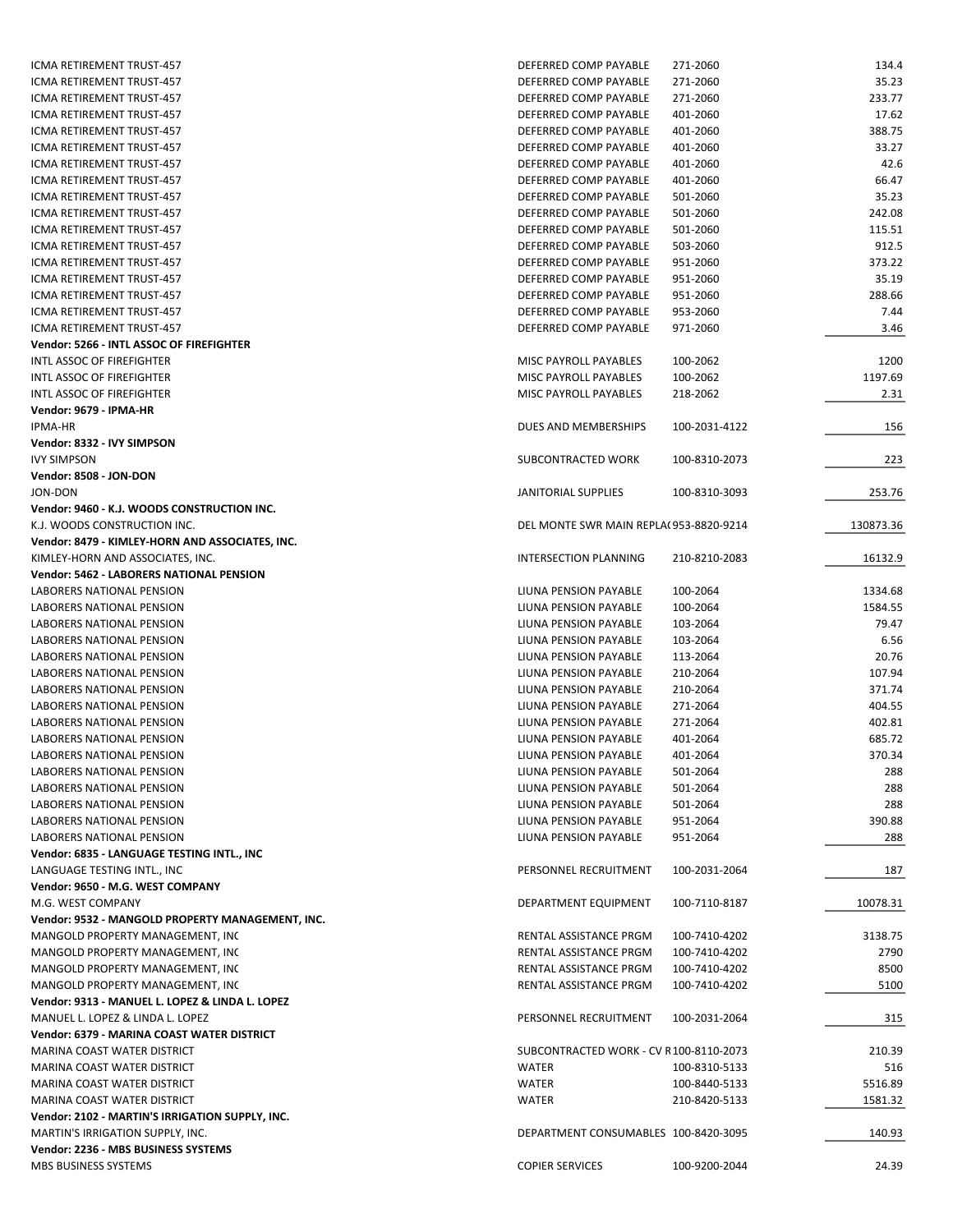| ICMA RETIREMENT TRUST-457                                   | DEFERRED COMP PAYABLE                  | 271-2060      | 134.4     |
|-------------------------------------------------------------|----------------------------------------|---------------|-----------|
| ICMA RETIREMENT TRUST-457                                   | DEFERRED COMP PAYABLE                  | 271-2060      | 35.23     |
| ICMA RETIREMENT TRUST-457                                   | DEFERRED COMP PAYABLE                  | 271-2060      | 233.77    |
| ICMA RETIREMENT TRUST-457                                   | DEFERRED COMP PAYABLE                  | 401-2060      | 17.62     |
| ICMA RETIREMENT TRUST-457                                   | DEFERRED COMP PAYABLE                  | 401-2060      | 388.75    |
|                                                             |                                        |               |           |
| ICMA RETIREMENT TRUST-457                                   | DEFERRED COMP PAYABLE                  | 401-2060      | 33.27     |
| ICMA RETIREMENT TRUST-457                                   | DEFERRED COMP PAYABLE                  | 401-2060      | 42.6      |
| ICMA RETIREMENT TRUST-457                                   | DEFERRED COMP PAYABLE                  | 401-2060      | 66.47     |
| ICMA RETIREMENT TRUST-457                                   | DEFERRED COMP PAYABLE                  | 501-2060      | 35.23     |
| ICMA RETIREMENT TRUST-457                                   | DEFERRED COMP PAYABLE                  | 501-2060      | 242.08    |
| ICMA RETIREMENT TRUST-457                                   | DEFERRED COMP PAYABLE                  | 501-2060      | 115.51    |
| ICMA RETIREMENT TRUST-457                                   | DEFERRED COMP PAYABLE                  | 503-2060      | 912.5     |
| ICMA RETIREMENT TRUST-457                                   | DEFERRED COMP PAYABLE                  | 951-2060      | 373.22    |
| ICMA RETIREMENT TRUST-457                                   |                                        |               | 35.19     |
|                                                             | DEFERRED COMP PAYABLE                  | 951-2060      |           |
| ICMA RETIREMENT TRUST-457                                   | DEFERRED COMP PAYABLE                  | 951-2060      | 288.66    |
| ICMA RETIREMENT TRUST-457                                   | DEFERRED COMP PAYABLE                  | 953-2060      | 7.44      |
| ICMA RETIREMENT TRUST-457                                   | DEFERRED COMP PAYABLE                  | 971-2060      | 3.46      |
| Vendor: 5266 - INTL ASSOC OF FIREFIGHTER                    |                                        |               |           |
| INTL ASSOC OF FIREFIGHTER                                   | MISC PAYROLL PAYABLES                  | 100-2062      | 1200      |
| INTL ASSOC OF FIREFIGHTER                                   | MISC PAYROLL PAYABLES                  | 100-2062      | 1197.69   |
| INTL ASSOC OF FIREFIGHTER                                   | MISC PAYROLL PAYABLES                  | 218-2062      | 2.31      |
| Vendor: 9679 - IPMA-HR                                      |                                        |               |           |
|                                                             |                                        |               |           |
| <b>IPMA-HR</b>                                              | DUES AND MEMBERSHIPS                   | 100-2031-4122 | 156       |
| Vendor: 8332 - IVY SIMPSON                                  |                                        |               |           |
| <b>IVY SIMPSON</b>                                          | SUBCONTRACTED WORK                     | 100-8310-2073 | 223       |
| Vendor: 8508 - JON-DON                                      |                                        |               |           |
| JON-DON                                                     | JANITORIAL SUPPLIES                    | 100-8310-3093 | 253.76    |
| Vendor: 9460 - K.J. WOODS CONSTRUCTION INC.                 |                                        |               |           |
| K.J. WOODS CONSTRUCTION INC.                                | DEL MONTE SWR MAIN REPLA(953-8820-9214 |               | 130873.36 |
| Vendor: 8479 - KIMLEY-HORN AND ASSOCIATES, INC.             |                                        |               |           |
|                                                             |                                        |               |           |
| KIMLEY-HORN AND ASSOCIATES, INC.                            | INTERSECTION PLANNING                  | 210-8210-2083 | 16132.9   |
| Vendor: 5462 - LABORERS NATIONAL PENSION                    |                                        |               |           |
| LABORERS NATIONAL PENSION                                   | LIUNA PENSION PAYABLE                  | 100-2064      | 1334.68   |
| <b>LABORERS NATIONAL PENSION</b>                            | LIUNA PENSION PAYABLE                  | 100-2064      | 1584.55   |
| LABORERS NATIONAL PENSION                                   | LIUNA PENSION PAYABLE                  | 103-2064      | 79.47     |
| LABORERS NATIONAL PENSION                                   | LIUNA PENSION PAYABLE                  | 103-2064      | 6.56      |
| LABORERS NATIONAL PENSION                                   | LIUNA PENSION PAYABLE                  | 113-2064      | 20.76     |
| <b>LABORERS NATIONAL PENSION</b>                            | LIUNA PENSION PAYABLE                  | 210-2064      | 107.94    |
| LABORERS NATIONAL PENSION                                   | LIUNA PENSION PAYABLE                  | 210-2064      | 371.74    |
|                                                             |                                        |               |           |
| <b>LABORERS NATIONAL PENSION</b>                            | LIUNA PENSION PAYABLE                  | 271-2064      | 404.55    |
| <b>LABORERS NATIONAL PENSION</b>                            | LIUNA PENSION PAYABLE                  | 271-2064      | 402.81    |
| LABORERS NATIONAL PENSION                                   | LIUNA PENSION PAYABLE                  | 401-2064      | 685.72    |
| LABORERS NATIONAL PENSION                                   | LIUNA PENSION PAYABLE                  | 401-2064      | 370.34    |
| LABORERS NATIONAL PENSION                                   | LIUNA PENSION PAYABLE                  | 501-2064      | 288       |
| LABORERS NATIONAL PENSION                                   | LIUNA PENSION PAYABLE                  | 501-2064      | 288       |
| LABORERS NATIONAL PENSION                                   | LIUNA PENSION PAYABLE                  | 501-2064      | 288       |
| LABORERS NATIONAL PENSION                                   | LIUNA PENSION PAYABLE                  | 951-2064      | 390.88    |
| LABORERS NATIONAL PENSION                                   |                                        |               |           |
|                                                             |                                        |               |           |
|                                                             | LIUNA PENSION PAYABLE                  | 951-2064      | 288       |
| Vendor: 6835 - LANGUAGE TESTING INTL., INC                  |                                        |               |           |
| LANGUAGE TESTING INTL., INC                                 | PERSONNEL RECRUITMENT                  | 100-2031-2064 | 187       |
| Vendor: 9650 - M.G. WEST COMPANY                            |                                        |               |           |
| M.G. WEST COMPANY                                           | DEPARTMENT EQUIPMENT                   | 100-7110-8187 | 10078.31  |
| Vendor: 9532 - MANGOLD PROPERTY MANAGEMENT, INC.            |                                        |               |           |
|                                                             |                                        |               |           |
| MANGOLD PROPERTY MANAGEMENT, INC                            | RENTAL ASSISTANCE PRGM                 | 100-7410-4202 | 3138.75   |
| MANGOLD PROPERTY MANAGEMENT, INC                            | RENTAL ASSISTANCE PRGM                 | 100-7410-4202 | 2790      |
| MANGOLD PROPERTY MANAGEMENT, INC                            | RENTAL ASSISTANCE PRGM                 | 100-7410-4202 | 8500      |
| MANGOLD PROPERTY MANAGEMENT, INC                            | RENTAL ASSISTANCE PRGM                 | 100-7410-4202 | 5100      |
| Vendor: 9313 - MANUEL L. LOPEZ & LINDA L. LOPEZ             |                                        |               |           |
| MANUEL L. LOPEZ & LINDA L. LOPEZ                            | PERSONNEL RECRUITMENT                  | 100-2031-2064 | 315       |
| Vendor: 6379 - MARINA COAST WATER DISTRICT                  |                                        |               |           |
| MARINA COAST WATER DISTRICT                                 | SUBCONTRACTED WORK - CV R100-8110-2073 |               | 210.39    |
| MARINA COAST WATER DISTRICT                                 | <b>WATER</b>                           | 100-8310-5133 | 516       |
|                                                             |                                        |               |           |
| MARINA COAST WATER DISTRICT                                 | <b>WATER</b>                           | 100-8440-5133 | 5516.89   |
| MARINA COAST WATER DISTRICT                                 | WATER                                  | 210-8420-5133 | 1581.32   |
| Vendor: 2102 - MARTIN'S IRRIGATION SUPPLY, INC.             |                                        |               |           |
| MARTIN'S IRRIGATION SUPPLY, INC.                            | DEPARTMENT CONSUMABLES 100-8420-3095   |               | 140.93    |
| Vendor: 2236 - MBS BUSINESS SYSTEMS<br>MBS BUSINESS SYSTEMS | <b>COPIER SERVICES</b>                 | 100-9200-2044 | 24.39     |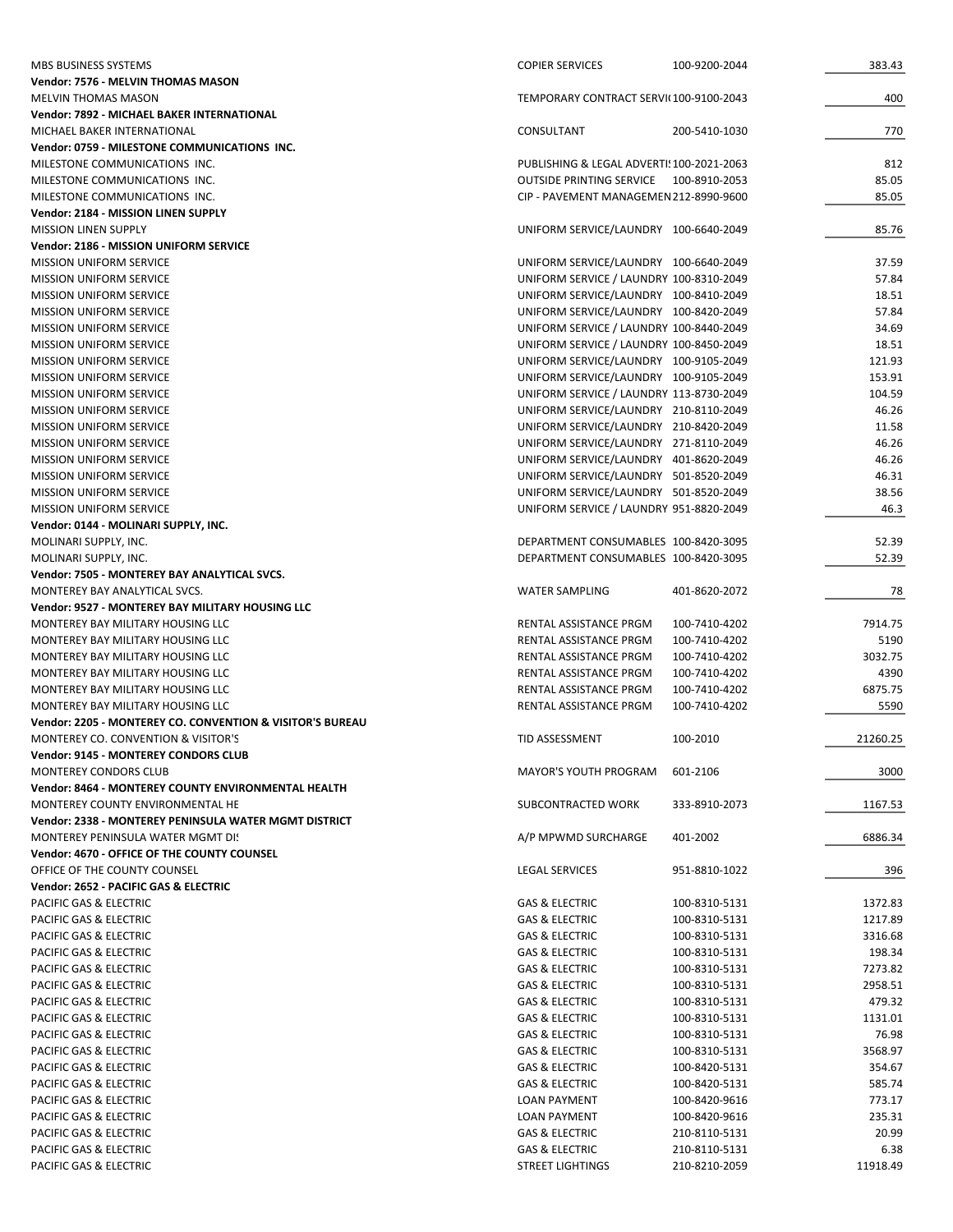| MBS BUSINESS SYSTEMS                                      | <b>COPIER SERVICES</b>                    | 100-9200-2044 | 383.43   |
|-----------------------------------------------------------|-------------------------------------------|---------------|----------|
| Vendor: 7576 - MELVIN THOMAS MASON                        |                                           |               |          |
| <b>MELVIN THOMAS MASON</b>                                | TEMPORARY CONTRACT SERVI(100-9100-2043    |               | 400      |
| Vendor: 7892 - MICHAEL BAKER INTERNATIONAL                |                                           |               |          |
| MICHAEL BAKER INTERNATIONAL                               | CONSULTANT                                | 200-5410-1030 | 770      |
| Vendor: 0759 - MILESTONE COMMUNICATIONS INC.              |                                           |               |          |
| MILESTONE COMMUNICATIONS INC.                             | PUBLISHING & LEGAL ADVERTI! 100-2021-2063 |               | 812      |
| MILESTONE COMMUNICATIONS INC.                             | OUTSIDE PRINTING SERVICE 100-8910-2053    |               | 85.05    |
| MILESTONE COMMUNICATIONS INC.                             | CIP - PAVEMENT MANAGEMEN 212-8990-9600    |               | 85.05    |
| Vendor: 2184 - MISSION LINEN SUPPLY                       |                                           |               |          |
| <b>MISSION LINEN SUPPLY</b>                               | UNIFORM SERVICE/LAUNDRY 100-6640-2049     |               | 85.76    |
| Vendor: 2186 - MISSION UNIFORM SERVICE                    |                                           |               |          |
| <b>MISSION UNIFORM SERVICE</b>                            | UNIFORM SERVICE/LAUNDRY 100-6640-2049     |               | 37.59    |
| <b>MISSION UNIFORM SERVICE</b>                            | UNIFORM SERVICE / LAUNDRY 100-8310-2049   |               | 57.84    |
| <b>MISSION UNIFORM SERVICE</b>                            | UNIFORM SERVICE/LAUNDRY 100-8410-2049     |               | 18.51    |
| <b>MISSION UNIFORM SERVICE</b>                            | UNIFORM SERVICE/LAUNDRY 100-8420-2049     |               | 57.84    |
| <b>MISSION UNIFORM SERVICE</b>                            | UNIFORM SERVICE / LAUNDRY 100-8440-2049   |               | 34.69    |
| <b>MISSION UNIFORM SERVICE</b>                            | UNIFORM SERVICE / LAUNDRY 100-8450-2049   |               | 18.51    |
| <b>MISSION UNIFORM SERVICE</b>                            | UNIFORM SERVICE/LAUNDRY 100-9105-2049     |               | 121.93   |
| <b>MISSION UNIFORM SERVICE</b>                            | UNIFORM SERVICE/LAUNDRY 100-9105-2049     |               | 153.91   |
| <b>MISSION UNIFORM SERVICE</b>                            | UNIFORM SERVICE / LAUNDRY 113-8730-2049   |               | 104.59   |
| <b>MISSION UNIFORM SERVICE</b>                            | UNIFORM SERVICE/LAUNDRY 210-8110-2049     |               | 46.26    |
| <b>MISSION UNIFORM SERVICE</b>                            | UNIFORM SERVICE/LAUNDRY 210-8420-2049     |               | 11.58    |
| <b>MISSION UNIFORM SERVICE</b>                            | UNIFORM SERVICE/LAUNDRY 271-8110-2049     |               | 46.26    |
| <b>MISSION UNIFORM SERVICE</b>                            | UNIFORM SERVICE/LAUNDRY 401-8620-2049     |               | 46.26    |
| <b>MISSION UNIFORM SERVICE</b>                            | UNIFORM SERVICE/LAUNDRY 501-8520-2049     |               | 46.31    |
| <b>MISSION UNIFORM SERVICE</b>                            | UNIFORM SERVICE/LAUNDRY 501-8520-2049     |               | 38.56    |
| <b>MISSION UNIFORM SERVICE</b>                            | UNIFORM SERVICE / LAUNDRY 951-8820-2049   |               | 46.3     |
| Vendor: 0144 - MOLINARI SUPPLY, INC.                      |                                           |               |          |
| MOLINARI SUPPLY, INC.                                     | DEPARTMENT CONSUMABLES 100-8420-3095      |               | 52.39    |
| MOLINARI SUPPLY, INC.                                     | DEPARTMENT CONSUMABLES 100-8420-3095      |               | 52.39    |
| Vendor: 7505 - MONTEREY BAY ANALYTICAL SVCS.              |                                           |               |          |
| MONTEREY BAY ANALYTICAL SVCS.                             | <b>WATER SAMPLING</b>                     | 401-8620-2072 | 78       |
| Vendor: 9527 - MONTEREY BAY MILITARY HOUSING LLC          |                                           |               |          |
| MONTEREY BAY MILITARY HOUSING LLC                         | RENTAL ASSISTANCE PRGM                    | 100-7410-4202 | 7914.75  |
| MONTEREY BAY MILITARY HOUSING LLC                         | RENTAL ASSISTANCE PRGM                    | 100-7410-4202 | 5190     |
| MONTEREY BAY MILITARY HOUSING LLC                         | RENTAL ASSISTANCE PRGM                    | 100-7410-4202 | 3032.75  |
| <b>MONTEREY BAY MILITARY HOUSING LLC</b>                  | RENTAL ASSISTANCE PRGM                    | 100-7410-4202 | 4390     |
| MONTEREY BAY MILITARY HOUSING LLC                         | RENTAL ASSISTANCE PRGM                    | 100-7410-4202 | 6875.75  |
| MONTEREY BAY MILITARY HOUSING LLC                         | RENTAL ASSISTANCE PRGM                    | 100-7410-4202 | 5590     |
| Vendor: 2205 - MONTEREY CO. CONVENTION & VISITOR'S BUREAU |                                           |               |          |
| MONTEREY CO. CONVENTION & VISITOR'S                       | TID ASSESSMENT                            | 100-2010      | 21260.25 |
| Vendor: 9145 - MONTEREY CONDORS CLUB                      |                                           |               |          |
| <b>MONTEREY CONDORS CLUB</b>                              | <b>MAYOR'S YOUTH PROGRAM</b>              | 601-2106      | 3000     |
| Vendor: 8464 - MONTEREY COUNTY ENVIRONMENTAL HEALTH       |                                           |               |          |
| MONTEREY COUNTY ENVIRONMENTAL HE                          | SUBCONTRACTED WORK                        | 333-8910-2073 | 1167.53  |
| Vendor: 2338 - MONTEREY PENINSULA WATER MGMT DISTRICT     |                                           |               |          |
| <b>MONTEREY PENINSULA WATER MGMT DI!</b>                  | A/P MPWMD SURCHARGE                       | 401-2002      | 6886.34  |
| Vendor: 4670 - OFFICE OF THE COUNTY COUNSEL               |                                           |               |          |
| OFFICE OF THE COUNTY COUNSEL                              | <b>LEGAL SERVICES</b>                     | 951-8810-1022 | 396      |
| Vendor: 2652 - PACIFIC GAS & ELECTRIC                     |                                           |               |          |
| PACIFIC GAS & ELECTRIC                                    | <b>GAS &amp; ELECTRIC</b>                 | 100-8310-5131 | 1372.83  |
| PACIFIC GAS & ELECTRIC                                    | <b>GAS &amp; ELECTRIC</b>                 | 100-8310-5131 | 1217.89  |
| PACIFIC GAS & ELECTRIC                                    | <b>GAS &amp; ELECTRIC</b>                 | 100-8310-5131 | 3316.68  |
| PACIFIC GAS & ELECTRIC                                    | <b>GAS &amp; ELECTRIC</b>                 | 100-8310-5131 | 198.34   |
| PACIFIC GAS & ELECTRIC                                    | <b>GAS &amp; ELECTRIC</b>                 | 100-8310-5131 | 7273.82  |
| PACIFIC GAS & ELECTRIC                                    | <b>GAS &amp; ELECTRIC</b>                 | 100-8310-5131 | 2958.51  |
| PACIFIC GAS & ELECTRIC                                    | <b>GAS &amp; ELECTRIC</b>                 | 100-8310-5131 | 479.32   |
| PACIFIC GAS & ELECTRIC                                    | <b>GAS &amp; ELECTRIC</b>                 | 100-8310-5131 | 1131.01  |
| PACIFIC GAS & ELECTRIC                                    | <b>GAS &amp; ELECTRIC</b>                 | 100-8310-5131 | 76.98    |
| PACIFIC GAS & ELECTRIC                                    | <b>GAS &amp; ELECTRIC</b>                 | 100-8310-5131 | 3568.97  |
| PACIFIC GAS & ELECTRIC                                    | GAS & ELECTRIC                            | 100-8420-5131 | 354.67   |
| PACIFIC GAS & ELECTRIC                                    | <b>GAS &amp; ELECTRIC</b>                 | 100-8420-5131 | 585.74   |
| PACIFIC GAS & ELECTRIC                                    | LOAN PAYMENT                              | 100-8420-9616 | 773.17   |
| PACIFIC GAS & ELECTRIC                                    | <b>LOAN PAYMENT</b>                       |               | 235.31   |
| PACIFIC GAS & ELECTRIC                                    | <b>GAS &amp; ELECTRIC</b>                 | 100-8420-9616 | 20.99    |
|                                                           | <b>GAS &amp; ELECTRIC</b>                 | 210-8110-5131 | 6.38     |
| PACIFIC GAS & ELECTRIC                                    |                                           | 210-8110-5131 |          |
| PACIFIC GAS & ELECTRIC                                    | STREET LIGHTINGS                          | 210-8210-2059 | 11918.49 |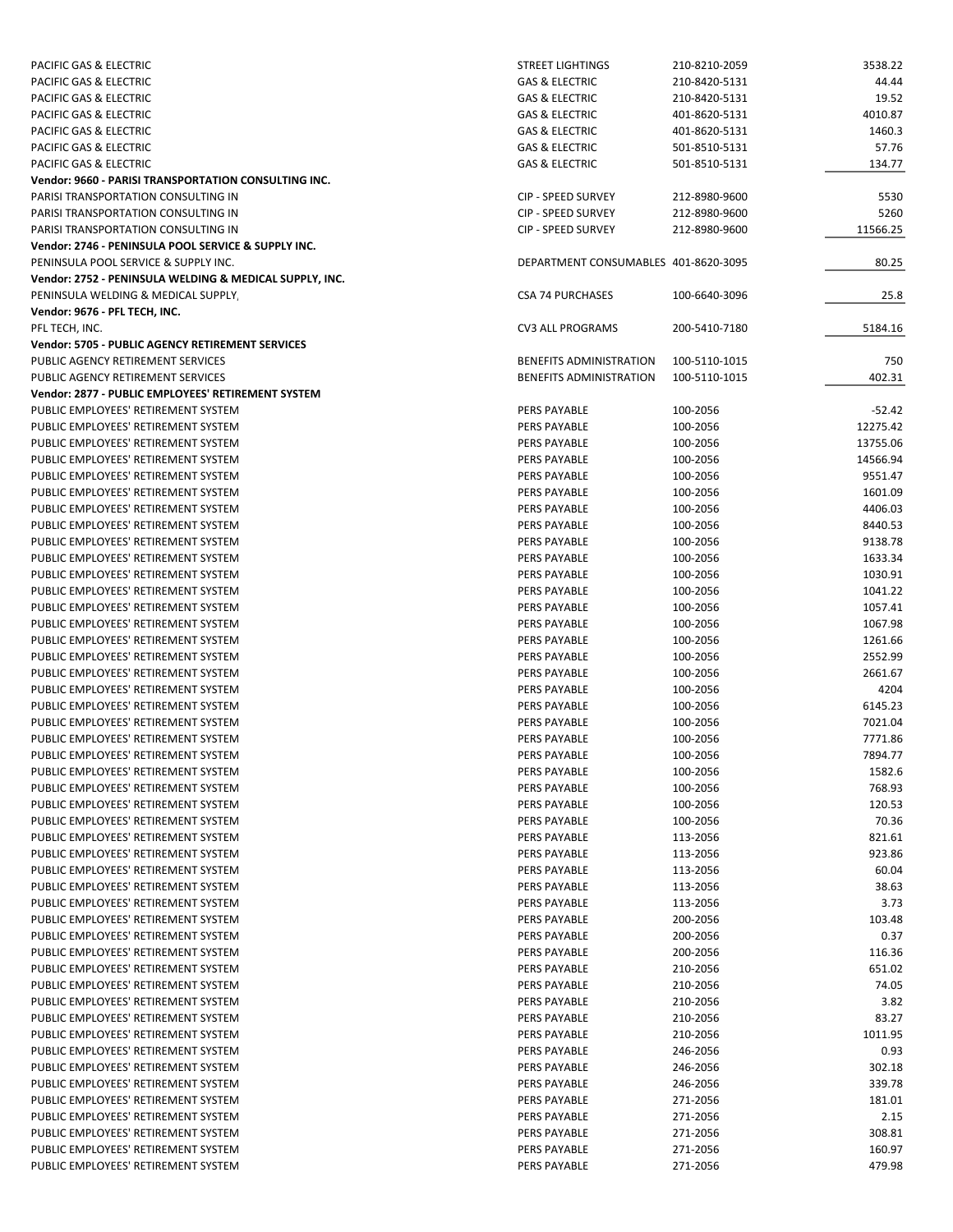| PACIFIC GAS & ELECTRIC                                  | <b>STREET LIGHTINGS</b>              | 210-8210-2059 | 3538.22  |
|---------------------------------------------------------|--------------------------------------|---------------|----------|
| PACIFIC GAS & ELECTRIC                                  | <b>GAS &amp; ELECTRIC</b>            | 210-8420-5131 | 44.44    |
| PACIFIC GAS & ELECTRIC                                  | <b>GAS &amp; ELECTRIC</b>            | 210-8420-5131 | 19.52    |
| PACIFIC GAS & ELECTRIC                                  | <b>GAS &amp; ELECTRIC</b>            | 401-8620-5131 | 4010.87  |
| PACIFIC GAS & ELECTRIC                                  | <b>GAS &amp; ELECTRIC</b>            | 401-8620-5131 | 1460.3   |
| PACIFIC GAS & ELECTRIC                                  | <b>GAS &amp; ELECTRIC</b>            | 501-8510-5131 | 57.76    |
| PACIFIC GAS & ELECTRIC                                  | <b>GAS &amp; ELECTRIC</b>            | 501-8510-5131 | 134.77   |
| Vendor: 9660 - PARISI TRANSPORTATION CONSULTING INC.    |                                      |               |          |
| PARISI TRANSPORTATION CONSULTING IN                     | <b>CIP - SPEED SURVEY</b>            | 212-8980-9600 | 5530     |
| PARISI TRANSPORTATION CONSULTING IN                     | CIP - SPEED SURVEY                   | 212-8980-9600 | 5260     |
| PARISI TRANSPORTATION CONSULTING IN                     | <b>CIP - SPEED SURVEY</b>            | 212-8980-9600 | 11566.25 |
| Vendor: 2746 - PENINSULA POOL SERVICE & SUPPLY INC.     |                                      |               |          |
| PENINSULA POOL SERVICE & SUPPLY INC.                    | DEPARTMENT CONSUMABLES 401-8620-3095 |               | 80.25    |
| Vendor: 2752 - PENINSULA WELDING & MEDICAL SUPPLY, INC. |                                      |               |          |
| PENINSULA WELDING & MEDICAL SUPPLY,                     | <b>CSA 74 PURCHASES</b>              | 100-6640-3096 | 25.8     |
| Vendor: 9676 - PFL TECH, INC.                           |                                      |               |          |
| PFL TECH, INC.                                          | <b>CV3 ALL PROGRAMS</b>              | 200-5410-7180 | 5184.16  |
| Vendor: 5705 - PUBLIC AGENCY RETIREMENT SERVICES        |                                      |               |          |
| PUBLIC AGENCY RETIREMENT SERVICES                       | BENEFITS ADMINISTRATION              | 100-5110-1015 | 750      |
| PUBLIC AGENCY RETIREMENT SERVICES                       | <b>BENEFITS ADMINISTRATION</b>       | 100-5110-1015 | 402.31   |
| Vendor: 2877 - PUBLIC EMPLOYEES' RETIREMENT SYSTEM      |                                      |               |          |
| PUBLIC EMPLOYEES' RETIREMENT SYSTEM                     | <b>PERS PAYABLE</b>                  | 100-2056      | $-52.42$ |
| PUBLIC EMPLOYEES' RETIREMENT SYSTEM                     | <b>PERS PAYABLE</b>                  | 100-2056      | 12275.42 |
| PUBLIC EMPLOYEES' RETIREMENT SYSTEM                     | <b>PERS PAYABLE</b>                  | 100-2056      | 13755.06 |
| PUBLIC EMPLOYEES' RETIREMENT SYSTEM                     | <b>PERS PAYABLE</b>                  | 100-2056      | 14566.94 |
| PUBLIC EMPLOYEES' RETIREMENT SYSTEM                     | PERS PAYABLE                         | 100-2056      | 9551.47  |
| PUBLIC EMPLOYEES' RETIREMENT SYSTEM                     | <b>PERS PAYABLE</b>                  | 100-2056      | 1601.09  |
| PUBLIC EMPLOYEES' RETIREMENT SYSTEM                     | PERS PAYABLE                         | 100-2056      | 4406.03  |
| PUBLIC EMPLOYEES' RETIREMENT SYSTEM                     | <b>PERS PAYABLE</b>                  | 100-2056      | 8440.53  |
| PUBLIC EMPLOYEES' RETIREMENT SYSTEM                     | <b>PERS PAYABLE</b>                  | 100-2056      | 9138.78  |
| PUBLIC EMPLOYEES' RETIREMENT SYSTEM                     | <b>PERS PAYABLE</b>                  | 100-2056      | 1633.34  |
| PUBLIC EMPLOYEES' RETIREMENT SYSTEM                     | PERS PAYABLE                         | 100-2056      | 1030.91  |
| PUBLIC EMPLOYEES' RETIREMENT SYSTEM                     | PERS PAYABLE                         | 100-2056      | 1041.22  |
| PUBLIC EMPLOYEES' RETIREMENT SYSTEM                     | <b>PERS PAYABLE</b>                  | 100-2056      | 1057.41  |
| PUBLIC EMPLOYEES' RETIREMENT SYSTEM                     | PERS PAYABLE                         | 100-2056      | 1067.98  |
| PUBLIC EMPLOYEES' RETIREMENT SYSTEM                     | PERS PAYABLE                         | 100-2056      | 1261.66  |
| PUBLIC EMPLOYEES' RETIREMENT SYSTEM                     | PERS PAYABLE                         | 100-2056      | 2552.99  |
| PUBLIC EMPLOYEES' RETIREMENT SYSTEM                     | PERS PAYABLE                         | 100-2056      | 2661.67  |
| PUBLIC EMPLOYEES' RETIREMENT SYSTEM                     | PERS PAYABLE                         | 100-2056      | 4204     |
| PUBLIC EMPLOYEES' RETIREMENT SYSTEM                     | <b>PERS PAYABLE</b>                  | 100-2056      | 6145.23  |
| PUBLIC EMPLOYEES' RETIREMENT SYSTEM                     | PERS PAYABLE                         | 100-2056      | 7021.04  |
| PUBLIC EMPLOYEES' RETIREMENT SYSTEM                     | PERS PAYABLE                         | 100-2056      | 7771.86  |
| PUBLIC EMPLOYEES' RETIREMENT SYSTEM                     | PERS PAYABLE                         | 100-2056      | 7894.77  |
| PUBLIC EMPLOYEES' RETIREMENT SYSTEM                     | PERS PAYABLE                         | 100-2056      | 1582.6   |
| PUBLIC EMPLOYEES' RETIREMENT SYSTEM                     | PERS PAYABLE                         | 100-2056      | 768.93   |
| PUBLIC EMPLOYEES' RETIREMENT SYSTEM                     | PERS PAYABLE                         | 100-2056      | 120.53   |
| PUBLIC EMPLOYEES' RETIREMENT SYSTEM                     | <b>PERS PAYABLE</b>                  | 100-2056      | 70.36    |
| PUBLIC EMPLOYEES' RETIREMENT SYSTEM                     | PERS PAYABLE                         | 113-2056      | 821.61   |
| PUBLIC EMPLOYEES' RETIREMENT SYSTEM                     | PERS PAYABLE                         | 113-2056      | 923.86   |
| PUBLIC EMPLOYEES' RETIREMENT SYSTEM                     | <b>PERS PAYABLE</b>                  | 113-2056      | 60.04    |
| PUBLIC EMPLOYEES' RETIREMENT SYSTEM                     | PERS PAYABLE                         | 113-2056      | 38.63    |
| PUBLIC EMPLOYEES' RETIREMENT SYSTEM                     | <b>PERS PAYABLE</b>                  | 113-2056      | 3.73     |
| PUBLIC EMPLOYEES' RETIREMENT SYSTEM                     | <b>PERS PAYABLE</b>                  | 200-2056      | 103.48   |
| PUBLIC EMPLOYEES' RETIREMENT SYSTEM                     | PERS PAYABLE                         | 200-2056      | 0.37     |
| PUBLIC EMPLOYEES' RETIREMENT SYSTEM                     | PERS PAYABLE                         | 200-2056      | 116.36   |
| PUBLIC EMPLOYEES' RETIREMENT SYSTEM                     | PERS PAYABLE                         | 210-2056      | 651.02   |
| PUBLIC EMPLOYEES' RETIREMENT SYSTEM                     | PERS PAYABLE                         | 210-2056      | 74.05    |
| PUBLIC EMPLOYEES' RETIREMENT SYSTEM                     | PERS PAYABLE                         | 210-2056      | 3.82     |
|                                                         |                                      |               |          |
| PUBLIC EMPLOYEES' RETIREMENT SYSTEM                     | PERS PAYABLE                         | 210-2056      | 83.27    |
| PUBLIC EMPLOYEES' RETIREMENT SYSTEM                     | PERS PAYABLE                         | 210-2056      | 1011.95  |
| PUBLIC EMPLOYEES' RETIREMENT SYSTEM                     | PERS PAYABLE                         | 246-2056      | 0.93     |
| PUBLIC EMPLOYEES' RETIREMENT SYSTEM                     | PERS PAYABLE                         | 246-2056      | 302.18   |
| PUBLIC EMPLOYEES' RETIREMENT SYSTEM                     | PERS PAYABLE                         | 246-2056      | 339.78   |
| PUBLIC EMPLOYEES' RETIREMENT SYSTEM                     | PERS PAYABLE                         | 271-2056      | 181.01   |
| PUBLIC EMPLOYEES' RETIREMENT SYSTEM                     | PERS PAYABLE                         | 271-2056      | 2.15     |
| PUBLIC EMPLOYEES' RETIREMENT SYSTEM                     | PERS PAYABLE                         | 271-2056      | 308.81   |
| PUBLIC EMPLOYEES' RETIREMENT SYSTEM                     | PERS PAYABLE                         | 271-2056      | 160.97   |
| PUBLIC EMPLOYEES' RETIREMENT SYSTEM                     | PERS PAYABLE                         | 271-2056      | 479.98   |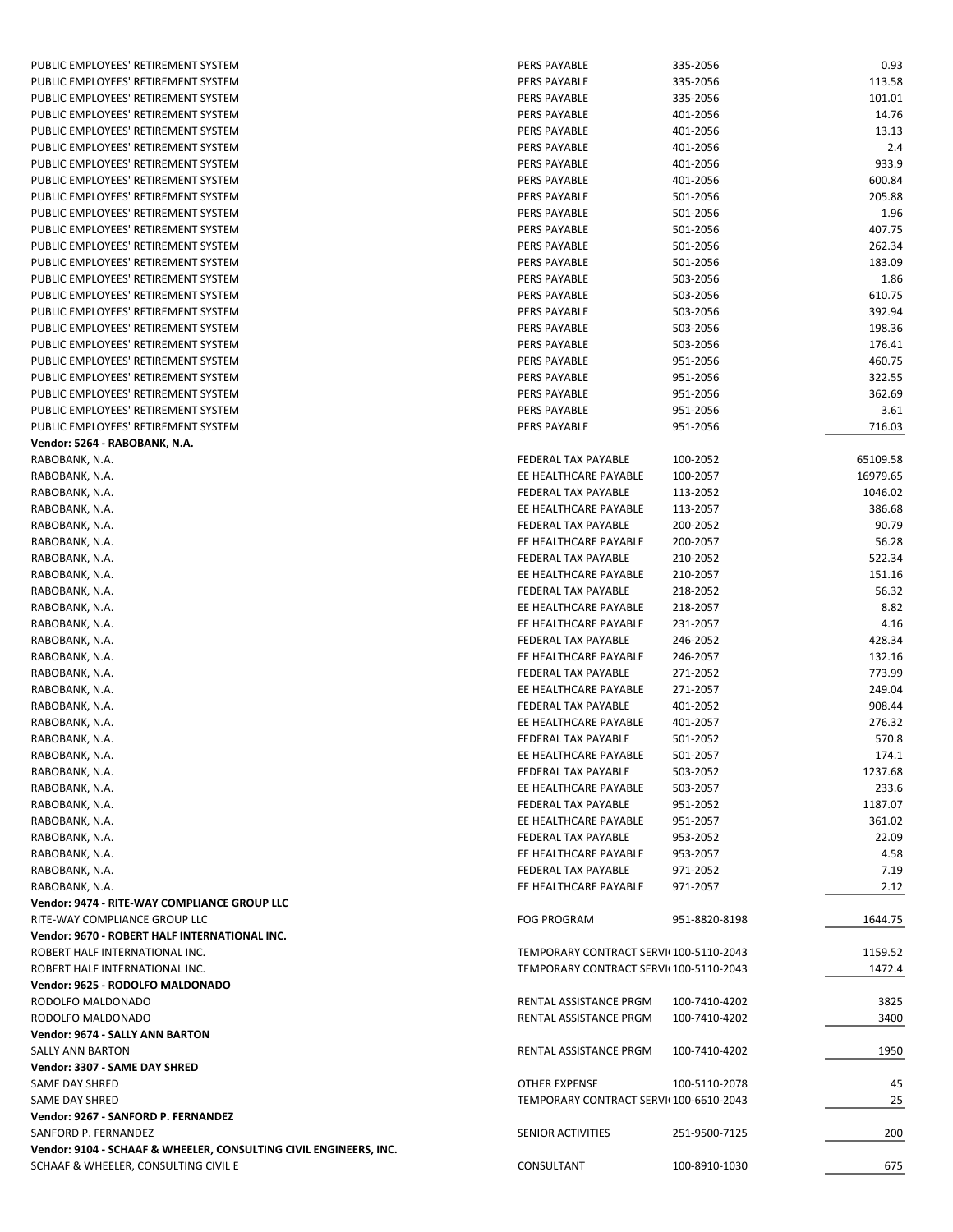| PUBLIC EMPLOYEES' RETIREMENT SYSTEM                               | PERS PAYABLE                           | 335-2056      | 0.93     |
|-------------------------------------------------------------------|----------------------------------------|---------------|----------|
| PUBLIC EMPLOYEES' RETIREMENT SYSTEM                               | PERS PAYABLE                           | 335-2056      | 113.58   |
| PUBLIC EMPLOYEES' RETIREMENT SYSTEM                               | PERS PAYABLE                           | 335-2056      | 101.01   |
| PUBLIC EMPLOYEES' RETIREMENT SYSTEM                               | PERS PAYABLE                           | 401-2056      | 14.76    |
| PUBLIC EMPLOYEES' RETIREMENT SYSTEM                               | PERS PAYABLE                           | 401-2056      | 13.13    |
| PUBLIC EMPLOYEES' RETIREMENT SYSTEM                               | PERS PAYABLE                           | 401-2056      | 2.4      |
|                                                                   |                                        |               |          |
| PUBLIC EMPLOYEES' RETIREMENT SYSTEM                               | PERS PAYABLE                           | 401-2056      | 933.9    |
| PUBLIC EMPLOYEES' RETIREMENT SYSTEM                               | PERS PAYABLE                           | 401-2056      | 600.84   |
| PUBLIC EMPLOYEES' RETIREMENT SYSTEM                               | PERS PAYABLE                           | 501-2056      | 205.88   |
| PUBLIC EMPLOYEES' RETIREMENT SYSTEM                               | PERS PAYABLE                           | 501-2056      | 1.96     |
| PUBLIC EMPLOYEES' RETIREMENT SYSTEM                               | PERS PAYABLE                           | 501-2056      | 407.75   |
|                                                                   |                                        |               |          |
| PUBLIC EMPLOYEES' RETIREMENT SYSTEM                               | PERS PAYABLE                           | 501-2056      | 262.34   |
| PUBLIC EMPLOYEES' RETIREMENT SYSTEM                               | PERS PAYABLE                           | 501-2056      | 183.09   |
| PUBLIC EMPLOYEES' RETIREMENT SYSTEM                               | PERS PAYABLE                           | 503-2056      | 1.86     |
| PUBLIC EMPLOYEES' RETIREMENT SYSTEM                               | PERS PAYABLE                           | 503-2056      | 610.75   |
| PUBLIC EMPLOYEES' RETIREMENT SYSTEM                               | PERS PAYABLE                           | 503-2056      | 392.94   |
|                                                                   |                                        |               |          |
| PUBLIC EMPLOYEES' RETIREMENT SYSTEM                               | PERS PAYABLE                           | 503-2056      | 198.36   |
| PUBLIC EMPLOYEES' RETIREMENT SYSTEM                               | PERS PAYABLE                           | 503-2056      | 176.41   |
| PUBLIC EMPLOYEES' RETIREMENT SYSTEM                               | PERS PAYABLE                           | 951-2056      | 460.75   |
| PUBLIC EMPLOYEES' RETIREMENT SYSTEM                               | PERS PAYABLE                           | 951-2056      | 322.55   |
| PUBLIC EMPLOYEES' RETIREMENT SYSTEM                               | PERS PAYABLE                           | 951-2056      | 362.69   |
| PUBLIC EMPLOYEES' RETIREMENT SYSTEM                               | PERS PAYABLE                           | 951-2056      | 3.61     |
|                                                                   |                                        |               |          |
| PUBLIC EMPLOYEES' RETIREMENT SYSTEM                               | PERS PAYABLE                           | 951-2056      | 716.03   |
| Vendor: 5264 - RABOBANK, N.A.                                     |                                        |               |          |
| RABOBANK, N.A.                                                    | FEDERAL TAX PAYABLE                    | 100-2052      | 65109.58 |
| RABOBANK, N.A.                                                    | EE HEALTHCARE PAYABLE                  | 100-2057      | 16979.65 |
| RABOBANK, N.A.                                                    | <b>FEDERAL TAX PAYABLE</b>             | 113-2052      | 1046.02  |
|                                                                   |                                        |               |          |
| RABOBANK, N.A.                                                    | EE HEALTHCARE PAYABLE                  | 113-2057      | 386.68   |
| RABOBANK, N.A.                                                    | FEDERAL TAX PAYABLE                    | 200-2052      | 90.79    |
| RABOBANK, N.A.                                                    | EE HEALTHCARE PAYABLE                  | 200-2057      | 56.28    |
| RABOBANK, N.A.                                                    | FEDERAL TAX PAYABLE                    | 210-2052      | 522.34   |
| RABOBANK, N.A.                                                    | EE HEALTHCARE PAYABLE                  | 210-2057      | 151.16   |
|                                                                   |                                        |               |          |
| RABOBANK, N.A.                                                    | FEDERAL TAX PAYABLE                    | 218-2052      | 56.32    |
| RABOBANK, N.A.                                                    | EE HEALTHCARE PAYABLE                  | 218-2057      | 8.82     |
| RABOBANK, N.A.                                                    | EE HEALTHCARE PAYABLE                  | 231-2057      | 4.16     |
| RABOBANK, N.A.                                                    | FEDERAL TAX PAYABLE                    | 246-2052      | 428.34   |
| RABOBANK, N.A.                                                    | EE HEALTHCARE PAYABLE                  | 246-2057      | 132.16   |
| RABOBANK, N.A.                                                    | FEDERAL TAX PAYABLE                    | 271-2052      | 773.99   |
|                                                                   |                                        |               |          |
| RABOBANK, N.A.                                                    | EE HEALTHCARE PAYABLE                  | 271-2057      | 249.04   |
| RABOBANK, N.A.                                                    | FEDERAL TAX PAYABLE                    | 401-2052      | 908.44   |
| RABOBANK, N.A.                                                    | EE HEALTHCARE PAYABLE                  | 401-2057      | 276.32   |
| RABOBANK, N.A.                                                    | FEDERAL TAX PAYABLE                    | 501-2052      | 570.8    |
| RABOBANK, N.A.                                                    | EE HEALTHCARE PAYABLE                  | 501-2057      | 174.1    |
|                                                                   |                                        |               | 1237.68  |
| RABOBANK, N.A.                                                    | FEDERAL TAX PAYABLE                    | 503-2052      |          |
| RABOBANK, N.A.                                                    | EE HEALTHCARE PAYABLE                  | 503-2057      | 233.6    |
| RABOBANK, N.A.                                                    | FEDERAL TAX PAYABLE                    | 951-2052      | 1187.07  |
| RABOBANK, N.A.                                                    | EE HEALTHCARE PAYABLE                  | 951-2057      | 361.02   |
| RABOBANK, N.A.                                                    | <b>FEDERAL TAX PAYABLE</b>             | 953-2052      | 22.09    |
| RABOBANK, N.A.                                                    | EE HEALTHCARE PAYABLE                  | 953-2057      | 4.58     |
|                                                                   |                                        |               |          |
| RABOBANK, N.A.                                                    | FEDERAL TAX PAYABLE                    | 971-2052      | 7.19     |
| RABOBANK, N.A.                                                    | EE HEALTHCARE PAYABLE                  | 971-2057      | 2.12     |
| Vendor: 9474 - RITE-WAY COMPLIANCE GROUP LLC                      |                                        |               |          |
| RITE-WAY COMPLIANCE GROUP LLC                                     | <b>FOG PROGRAM</b>                     | 951-8820-8198 | 1644.75  |
| Vendor: 9670 - ROBERT HALF INTERNATIONAL INC.                     |                                        |               |          |
|                                                                   |                                        |               |          |
| ROBERT HALF INTERNATIONAL INC.                                    | TEMPORARY CONTRACT SERVI(100-5110-2043 |               | 1159.52  |
| ROBERT HALF INTERNATIONAL INC.                                    | TEMPORARY CONTRACT SERVI(100-5110-2043 |               | 1472.4   |
| Vendor: 9625 - RODOLFO MALDONADO                                  |                                        |               |          |
| RODOLFO MALDONADO                                                 | RENTAL ASSISTANCE PRGM                 | 100-7410-4202 | 3825     |
| RODOLFO MALDONADO                                                 | RENTAL ASSISTANCE PRGM                 | 100-7410-4202 | 3400     |
|                                                                   |                                        |               |          |
| Vendor: 9674 - SALLY ANN BARTON                                   |                                        |               |          |
| SALLY ANN BARTON                                                  | RENTAL ASSISTANCE PRGM                 | 100-7410-4202 | 1950     |
| Vendor: 3307 - SAME DAY SHRED                                     |                                        |               |          |
| SAME DAY SHRED                                                    | OTHER EXPENSE                          | 100-5110-2078 | 45       |
| SAME DAY SHRED                                                    | TEMPORARY CONTRACT SERVI(100-6610-2043 |               | 25       |
| Vendor: 9267 - SANFORD P. FERNANDEZ                               |                                        |               |          |
|                                                                   |                                        |               |          |
| SANFORD P. FERNANDEZ                                              | SENIOR ACTIVITIES                      | 251-9500-7125 | 200      |
| Vendor: 9104 - SCHAAF & WHEELER, CONSULTING CIVIL ENGINEERS, INC. |                                        |               |          |
| SCHAAF & WHEELER, CONSULTING CIVIL E                              | CONSULTANT                             | 100-8910-1030 | 675      |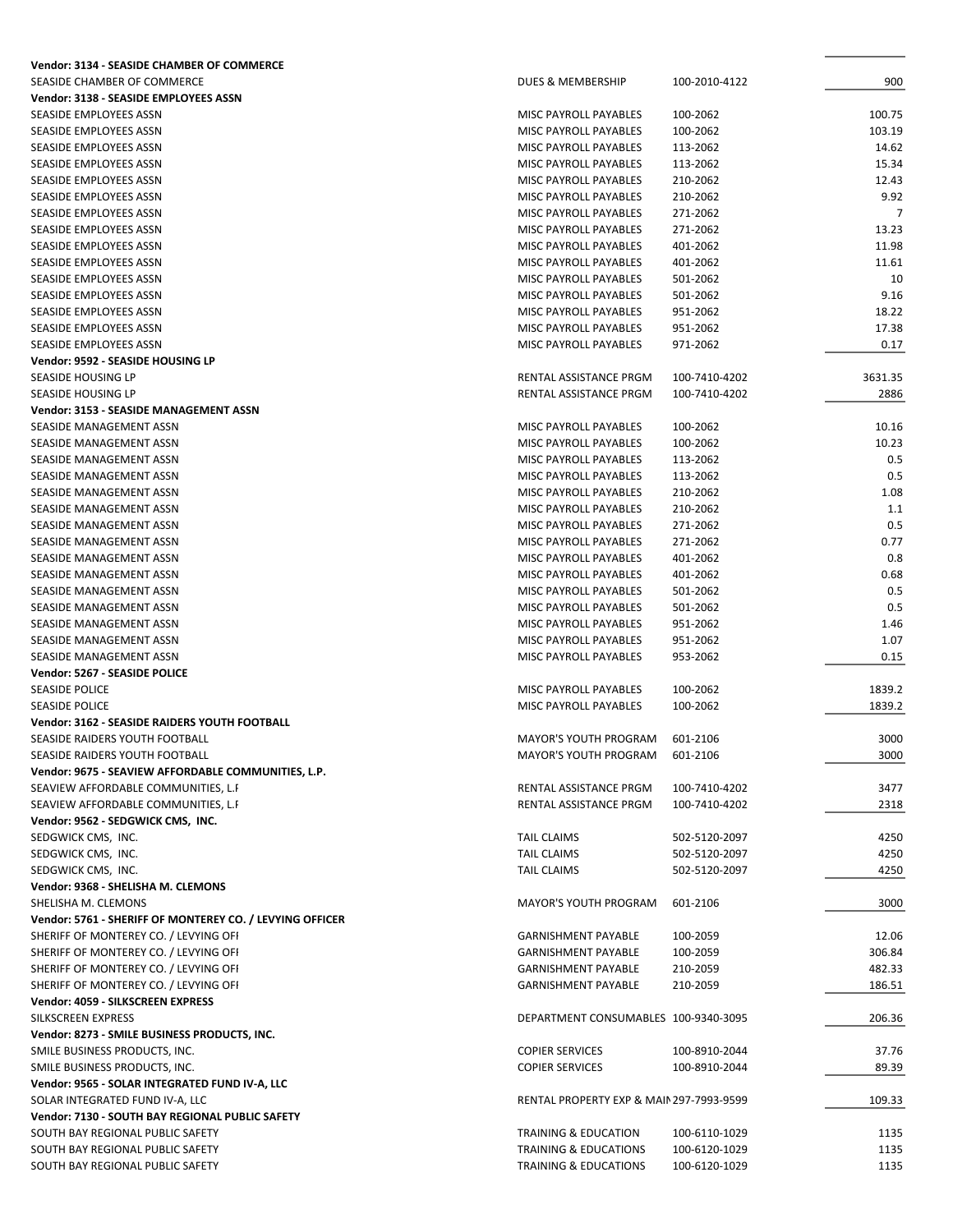| Vendor: 3134 - SEASIDE CHAMBER OF COMMERCE               |                                          |               |         |
|----------------------------------------------------------|------------------------------------------|---------------|---------|
| SEASIDE CHAMBER OF COMMERCE                              | DUES & MEMBERSHIP                        | 100-2010-4122 | 900     |
| Vendor: 3138 - SEASIDE EMPLOYEES ASSN                    |                                          |               |         |
| SEASIDE EMPLOYEES ASSN                                   | <b>MISC PAYROLL PAYABLES</b>             | 100-2062      | 100.75  |
| SEASIDE EMPLOYEES ASSN                                   | MISC PAYROLL PAYABLES                    | 100-2062      | 103.19  |
| SEASIDE EMPLOYEES ASSN                                   | <b>MISC PAYROLL PAYABLES</b>             | 113-2062      | 14.62   |
| SEASIDE EMPLOYEES ASSN                                   | MISC PAYROLL PAYABLES                    | 113-2062      | 15.34   |
| SEASIDE EMPLOYEES ASSN                                   | MISC PAYROLL PAYABLES                    | 210-2062      | 12.43   |
| SEASIDE EMPLOYEES ASSN                                   | MISC PAYROLL PAYABLES                    | 210-2062      | 9.92    |
| SEASIDE EMPLOYEES ASSN                                   | <b>MISC PAYROLL PAYABLES</b>             | 271-2062      | 7       |
| SEASIDE EMPLOYEES ASSN                                   | <b>MISC PAYROLL PAYABLES</b>             | 271-2062      | 13.23   |
| SEASIDE EMPLOYEES ASSN                                   | <b>MISC PAYROLL PAYABLES</b>             | 401-2062      | 11.98   |
|                                                          |                                          |               |         |
| SEASIDE EMPLOYEES ASSN                                   | MISC PAYROLL PAYABLES                    | 401-2062      | 11.61   |
| SEASIDE EMPLOYEES ASSN                                   | MISC PAYROLL PAYABLES                    | 501-2062      | 10      |
| SEASIDE EMPLOYEES ASSN                                   | MISC PAYROLL PAYABLES                    | 501-2062      | 9.16    |
| SEASIDE EMPLOYEES ASSN                                   | MISC PAYROLL PAYABLES                    | 951-2062      | 18.22   |
| SEASIDE EMPLOYEES ASSN                                   | MISC PAYROLL PAYABLES                    | 951-2062      | 17.38   |
| SEASIDE EMPLOYEES ASSN                                   | MISC PAYROLL PAYABLES                    | 971-2062      | 0.17    |
| Vendor: 9592 - SEASIDE HOUSING LP                        |                                          |               |         |
| SEASIDE HOUSING LP                                       | RENTAL ASSISTANCE PRGM                   | 100-7410-4202 | 3631.35 |
| <b>SEASIDE HOUSING LP</b>                                | RENTAL ASSISTANCE PRGM                   | 100-7410-4202 | 2886    |
| Vendor: 3153 - SEASIDE MANAGEMENT ASSN                   |                                          |               |         |
| SEASIDE MANAGEMENT ASSN                                  | MISC PAYROLL PAYABLES                    | 100-2062      | 10.16   |
| SEASIDE MANAGEMENT ASSN                                  | MISC PAYROLL PAYABLES                    | 100-2062      | 10.23   |
| SEASIDE MANAGEMENT ASSN                                  | MISC PAYROLL PAYABLES                    | 113-2062      | 0.5     |
| SEASIDE MANAGEMENT ASSN                                  | <b>MISC PAYROLL PAYABLES</b>             | 113-2062      | 0.5     |
| SEASIDE MANAGEMENT ASSN                                  | <b>MISC PAYROLL PAYABLES</b>             | 210-2062      | 1.08    |
| SEASIDE MANAGEMENT ASSN                                  | MISC PAYROLL PAYABLES                    | 210-2062      | 1.1     |
| SEASIDE MANAGEMENT ASSN                                  | MISC PAYROLL PAYABLES                    | 271-2062      | 0.5     |
| SEASIDE MANAGEMENT ASSN                                  | MISC PAYROLL PAYABLES                    | 271-2062      | 0.77    |
| SEASIDE MANAGEMENT ASSN                                  | MISC PAYROLL PAYABLES                    | 401-2062      | 0.8     |
| SEASIDE MANAGEMENT ASSN                                  | MISC PAYROLL PAYABLES                    | 401-2062      | 0.68    |
|                                                          |                                          |               |         |
| SEASIDE MANAGEMENT ASSN                                  | MISC PAYROLL PAYABLES                    | 501-2062      | 0.5     |
| SEASIDE MANAGEMENT ASSN                                  | MISC PAYROLL PAYABLES                    | 501-2062      | 0.5     |
| SEASIDE MANAGEMENT ASSN                                  | MISC PAYROLL PAYABLES                    | 951-2062      | 1.46    |
| SEASIDE MANAGEMENT ASSN                                  | MISC PAYROLL PAYABLES                    | 951-2062      | 1.07    |
| SEASIDE MANAGEMENT ASSN                                  | MISC PAYROLL PAYABLES                    | 953-2062      | 0.15    |
| Vendor: 5267 - SEASIDE POLICE                            |                                          |               |         |
| <b>SEASIDE POLICE</b>                                    | MISC PAYROLL PAYABLES                    | 100-2062      | 1839.2  |
| <b>SEASIDE POLICE</b>                                    | MISC PAYROLL PAYABLES                    | 100-2062      | 1839.2  |
| Vendor: 3162 - SEASIDE RAIDERS YOUTH FOOTBALL            |                                          |               |         |
| SEASIDE RAIDERS YOUTH FOOTBALL                           | <b>MAYOR'S YOUTH PROGRAM</b>             | 601-2106      | 3000    |
| SEASIDE RAIDERS YOUTH FOOTBALL                           | <b>MAYOR'S YOUTH PROGRAM</b>             | 601-2106      | 3000    |
| Vendor: 9675 - SEAVIEW AFFORDABLE COMMUNITIES, L.P.      |                                          |               |         |
| SEAVIEW AFFORDABLE COMMUNITIES, L.F                      | RENTAL ASSISTANCE PRGM                   | 100-7410-4202 | 3477    |
| SEAVIEW AFFORDABLE COMMUNITIES, L.F                      | <b>RENTAL ASSISTANCE PRGM</b>            | 100-7410-4202 | 2318    |
| Vendor: 9562 - SEDGWICK CMS, INC.                        |                                          |               |         |
| SEDGWICK CMS, INC.                                       | <b>TAIL CLAIMS</b>                       | 502-5120-2097 | 4250    |
| SEDGWICK CMS, INC.                                       | <b>TAIL CLAIMS</b>                       | 502-5120-2097 | 4250    |
| SEDGWICK CMS, INC.                                       | <b>TAIL CLAIMS</b>                       | 502-5120-2097 | 4250    |
| Vendor: 9368 - SHELISHA M. CLEMONS                       |                                          |               |         |
| SHELISHA M. CLEMONS                                      | <b>MAYOR'S YOUTH PROGRAM</b>             | 601-2106      | 3000    |
| Vendor: 5761 - SHERIFF OF MONTEREY CO. / LEVYING OFFICER |                                          |               |         |
| SHERIFF OF MONTEREY CO. / LEVYING OFI                    |                                          |               |         |
|                                                          | <b>GARNISHMENT PAYABLE</b>               | 100-2059      | 12.06   |
| SHERIFF OF MONTEREY CO. / LEVYING OFF                    | <b>GARNISHMENT PAYABLE</b>               | 100-2059      | 306.84  |
| SHERIFF OF MONTEREY CO. / LEVYING OFI                    | <b>GARNISHMENT PAYABLE</b>               | 210-2059      | 482.33  |
| SHERIFF OF MONTEREY CO. / LEVYING OFI                    | <b>GARNISHMENT PAYABLE</b>               | 210-2059      | 186.51  |
| Vendor: 4059 - SILKSCREEN EXPRESS                        |                                          |               |         |
| SILKSCREEN EXPRESS                                       | DEPARTMENT CONSUMABLES 100-9340-3095     |               | 206.36  |
| Vendor: 8273 - SMILE BUSINESS PRODUCTS, INC.             |                                          |               |         |
| SMILE BUSINESS PRODUCTS, INC.                            | <b>COPIER SERVICES</b>                   | 100-8910-2044 | 37.76   |
| SMILE BUSINESS PRODUCTS, INC.                            | <b>COPIER SERVICES</b>                   | 100-8910-2044 | 89.39   |
| Vendor: 9565 - SOLAR INTEGRATED FUND IV-A, LLC           |                                          |               |         |
| SOLAR INTEGRATED FUND IV-A, LLC                          | RENTAL PROPERTY EXP & MAIN 297-7993-9599 |               | 109.33  |
| Vendor: 7130 - SOUTH BAY REGIONAL PUBLIC SAFETY          |                                          |               |         |
| SOUTH BAY REGIONAL PUBLIC SAFETY                         | TRAINING & EDUCATION                     | 100-6110-1029 | 1135    |
| SOUTH BAY REGIONAL PUBLIC SAFETY                         | TRAINING & EDUCATIONS                    | 100-6120-1029 | 1135    |
| SOUTH BAY REGIONAL PUBLIC SAFETY                         | <b>TRAINING &amp; EDUCATIONS</b>         | 100-6120-1029 | 1135    |
|                                                          |                                          |               |         |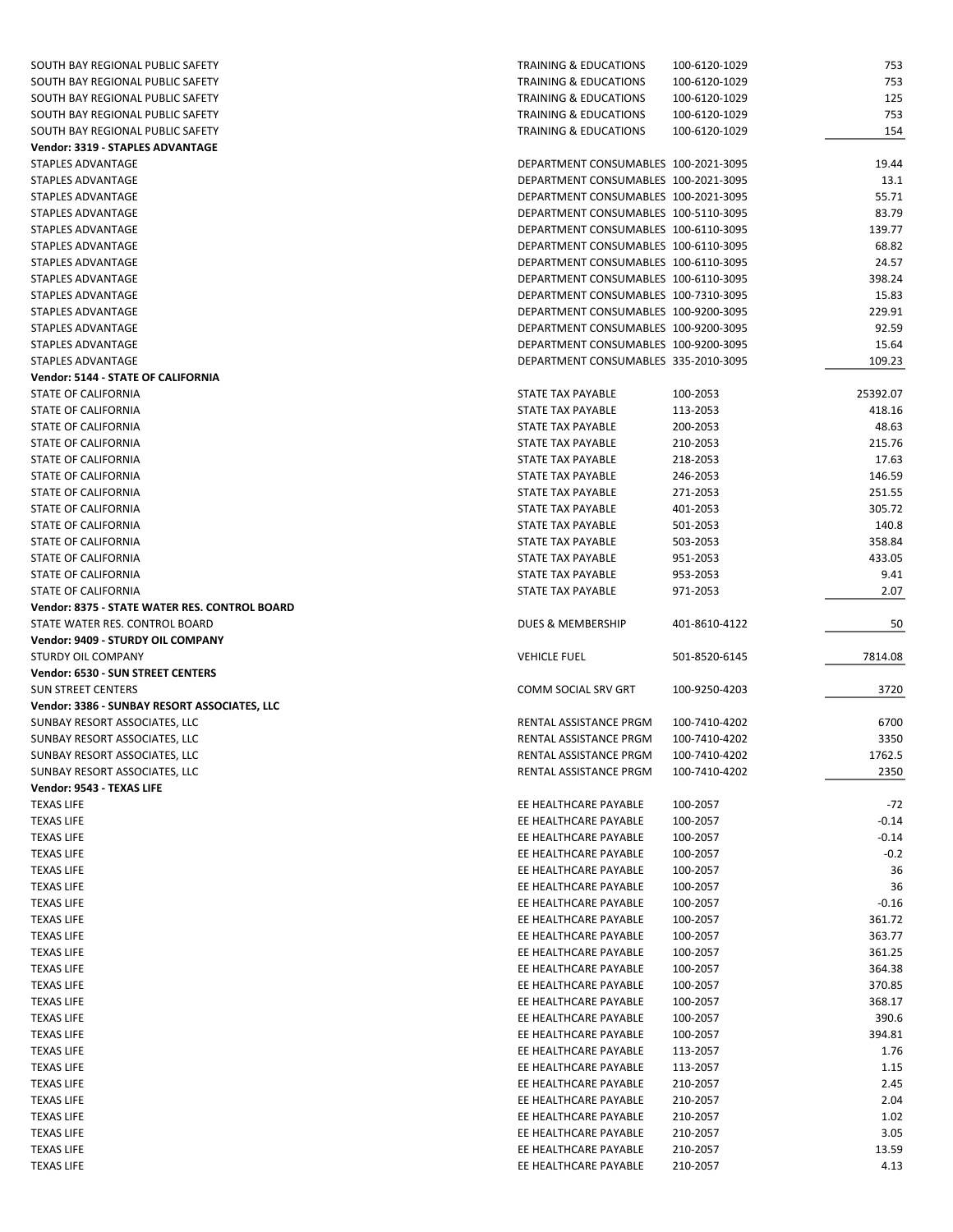| SOUTH BAY REGIONAL PUBLIC SAFETY              | <b>TRAINING &amp; EDUCATIONS</b>     | 100-6120-1029 | 753      |
|-----------------------------------------------|--------------------------------------|---------------|----------|
| SOUTH BAY REGIONAL PUBLIC SAFETY              | <b>TRAINING &amp; EDUCATIONS</b>     | 100-6120-1029 | 753      |
| SOUTH BAY REGIONAL PUBLIC SAFETY              | <b>TRAINING &amp; EDUCATIONS</b>     | 100-6120-1029 | 125      |
| SOUTH BAY REGIONAL PUBLIC SAFETY              | TRAINING & EDUCATIONS                | 100-6120-1029 | 753      |
| SOUTH BAY REGIONAL PUBLIC SAFETY              | <b>TRAINING &amp; EDUCATIONS</b>     | 100-6120-1029 | 154      |
| Vendor: 3319 - STAPLES ADVANTAGE              |                                      |               |          |
| STAPLES ADVANTAGE                             | DEPARTMENT CONSUMABLES 100-2021-3095 |               | 19.44    |
| STAPLES ADVANTAGE                             | DEPARTMENT CONSUMABLES 100-2021-3095 |               | 13.1     |
| STAPLES ADVANTAGE                             | DEPARTMENT CONSUMABLES 100-2021-3095 |               | 55.71    |
|                                               |                                      |               |          |
| STAPLES ADVANTAGE                             | DEPARTMENT CONSUMABLES 100-5110-3095 |               | 83.79    |
| STAPLES ADVANTAGE                             | DEPARTMENT CONSUMABLES 100-6110-3095 |               | 139.77   |
| STAPLES ADVANTAGE                             | DEPARTMENT CONSUMABLES 100-6110-3095 |               | 68.82    |
| STAPLES ADVANTAGE                             | DEPARTMENT CONSUMABLES 100-6110-3095 |               | 24.57    |
| STAPLES ADVANTAGE                             | DEPARTMENT CONSUMABLES 100-6110-3095 |               | 398.24   |
| STAPLES ADVANTAGE                             | DEPARTMENT CONSUMABLES 100-7310-3095 |               | 15.83    |
| STAPLES ADVANTAGE                             | DEPARTMENT CONSUMABLES 100-9200-3095 |               | 229.91   |
| STAPLES ADVANTAGE                             | DEPARTMENT CONSUMABLES 100-9200-3095 |               | 92.59    |
| STAPLES ADVANTAGE                             | DEPARTMENT CONSUMABLES 100-9200-3095 |               | 15.64    |
| STAPLES ADVANTAGE                             | DEPARTMENT CONSUMABLES 335-2010-3095 |               | 109.23   |
| Vendor: 5144 - STATE OF CALIFORNIA            |                                      |               |          |
| STATE OF CALIFORNIA                           | STATE TAX PAYABLE                    | 100-2053      | 25392.07 |
| <b>STATE OF CALIFORNIA</b>                    | <b>STATE TAX PAYABLE</b>             | 113-2053      | 418.16   |
| STATE OF CALIFORNIA                           | STATE TAX PAYABLE                    | 200-2053      | 48.63    |
| STATE OF CALIFORNIA                           | STATE TAX PAYABLE                    | 210-2053      | 215.76   |
| STATE OF CALIFORNIA                           | STATE TAX PAYABLE                    | 218-2053      | 17.63    |
|                                               | <b>STATE TAX PAYABLE</b>             |               |          |
| STATE OF CALIFORNIA                           |                                      | 246-2053      | 146.59   |
| STATE OF CALIFORNIA                           | STATE TAX PAYABLE                    | 271-2053      | 251.55   |
| STATE OF CALIFORNIA                           | STATE TAX PAYABLE                    | 401-2053      | 305.72   |
| STATE OF CALIFORNIA                           | STATE TAX PAYABLE                    | 501-2053      | 140.8    |
| STATE OF CALIFORNIA                           | STATE TAX PAYABLE                    | 503-2053      | 358.84   |
| STATE OF CALIFORNIA                           | STATE TAX PAYABLE                    | 951-2053      | 433.05   |
| STATE OF CALIFORNIA                           | STATE TAX PAYABLE                    | 953-2053      | 9.41     |
| STATE OF CALIFORNIA                           | STATE TAX PAYABLE                    | 971-2053      | 2.07     |
|                                               |                                      |               |          |
| Vendor: 8375 - STATE WATER RES. CONTROL BOARD |                                      |               |          |
| STATE WATER RES. CONTROL BOARD                | DUES & MEMBERSHIP                    | 401-8610-4122 | 50       |
| Vendor: 9409 - STURDY OIL COMPANY             |                                      |               |          |
|                                               |                                      |               |          |
| STURDY OIL COMPANY                            | <b>VEHICLE FUEL</b>                  | 501-8520-6145 | 7814.08  |
| Vendor: 6530 - SUN STREET CENTERS             |                                      |               |          |
| <b>SUN STREET CENTERS</b>                     | COMM SOCIAL SRV GRT                  | 100-9250-4203 | 3720     |
| Vendor: 3386 - SUNBAY RESORT ASSOCIATES, LLC  |                                      |               |          |
| SUNBAY RESORT ASSOCIATES, LLC                 | RENTAL ASSISTANCE PRGM               | 100-7410-4202 | 6700     |
| SUNBAY RESORT ASSOCIATES, LLC                 | RENTAL ASSISTANCE PRGM               | 100-7410-4202 | 3350     |
| SUNBAY RESORT ASSOCIATES, LLC                 | RENTAL ASSISTANCE PRGM               | 100-7410-4202 | 1762.5   |
| SUNBAY RESORT ASSOCIATES, LLC                 | RENTAL ASSISTANCE PRGM               | 100-7410-4202 | 2350     |
| Vendor: 9543 - TEXAS LIFE                     |                                      |               |          |
| <b>TEXAS LIFE</b>                             | EE HEALTHCARE PAYABLE                | 100-2057      | $-72$    |
| <b>TEXAS LIFE</b>                             | EE HEALTHCARE PAYABLE                | 100-2057      | $-0.14$  |
| <b>TEXAS LIFE</b>                             | EE HEALTHCARE PAYABLE                | 100-2057      | $-0.14$  |
| <b>TEXAS LIFE</b>                             | EE HEALTHCARE PAYABLE                | 100-2057      | $-0.2$   |
| <b>TEXAS LIFE</b>                             | EE HEALTHCARE PAYABLE                | 100-2057      | 36       |
| <b>TEXAS LIFE</b>                             | EE HEALTHCARE PAYABLE                | 100-2057      | 36       |
| <b>TEXAS LIFE</b>                             | EE HEALTHCARE PAYABLE                | 100-2057      | $-0.16$  |
|                                               |                                      |               |          |
| <b>TEXAS LIFE</b>                             | EE HEALTHCARE PAYABLE                | 100-2057      | 361.72   |
| <b>TEXAS LIFE</b>                             | EE HEALTHCARE PAYABLE                | 100-2057      | 363.77   |
| <b>TEXAS LIFE</b>                             | EE HEALTHCARE PAYABLE                | 100-2057      | 361.25   |
| <b>TEXAS LIFE</b>                             | EE HEALTHCARE PAYABLE                | 100-2057      | 364.38   |
| <b>TEXAS LIFE</b>                             | EE HEALTHCARE PAYABLE                | 100-2057      | 370.85   |
| <b>TEXAS LIFE</b>                             | EE HEALTHCARE PAYABLE                | 100-2057      | 368.17   |
| <b>TEXAS LIFE</b>                             | EE HEALTHCARE PAYABLE                | 100-2057      | 390.6    |
| <b>TEXAS LIFE</b>                             | EE HEALTHCARE PAYABLE                | 100-2057      | 394.81   |
| <b>TEXAS LIFE</b>                             | EE HEALTHCARE PAYABLE                | 113-2057      | 1.76     |
| <b>TEXAS LIFE</b>                             | EE HEALTHCARE PAYABLE                | 113-2057      | 1.15     |
| <b>TEXAS LIFE</b>                             | EE HEALTHCARE PAYABLE                | 210-2057      | 2.45     |
| <b>TEXAS LIFE</b>                             | EE HEALTHCARE PAYABLE                | 210-2057      | 2.04     |
| <b>TEXAS LIFE</b>                             | EE HEALTHCARE PAYABLE                | 210-2057      | 1.02     |
| <b>TEXAS LIFE</b>                             | EE HEALTHCARE PAYABLE                | 210-2057      | 3.05     |
| <b>TEXAS LIFE</b>                             | EE HEALTHCARE PAYABLE                | 210-2057      | 13.59    |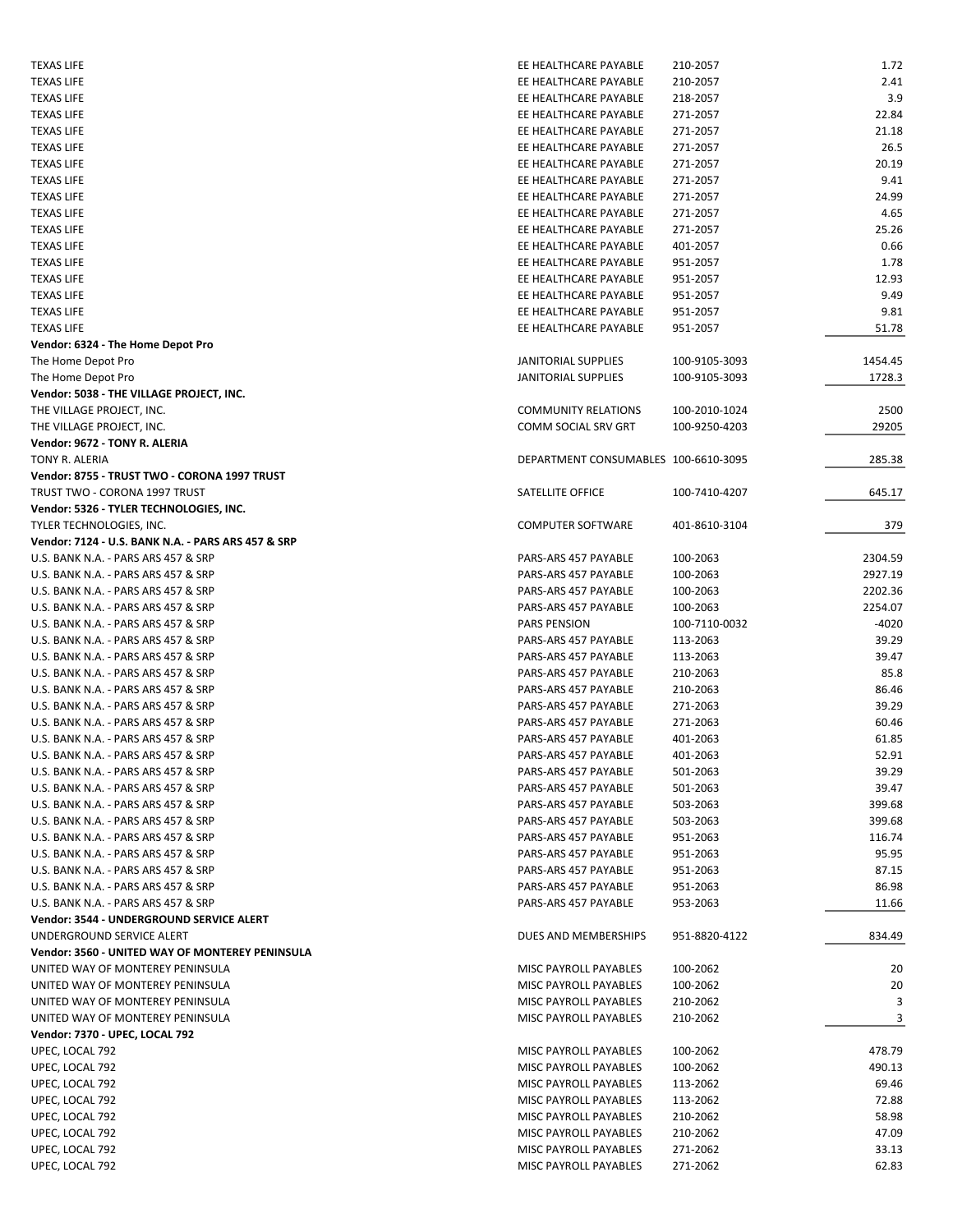| <b>TEXAS LIFE</b>                                  | EE HEALTHCARE PAYABLE                          | 210-2057             | 1.72           |
|----------------------------------------------------|------------------------------------------------|----------------------|----------------|
| <b>TEXAS LIFE</b>                                  | EE HEALTHCARE PAYABLE                          | 210-2057             | 2.41           |
| <b>TEXAS LIFE</b>                                  | EE HEALTHCARE PAYABLE                          | 218-2057             | 3.9            |
| <b>TEXAS LIFE</b>                                  | EE HEALTHCARE PAYABLE                          | 271-2057             | 22.84          |
| <b>TEXAS LIFE</b>                                  | EE HEALTHCARE PAYABLE                          | 271-2057             | 21.18          |
| <b>TEXAS LIFE</b>                                  | EE HEALTHCARE PAYABLE                          | 271-2057             | 26.5           |
| <b>TEXAS LIFE</b>                                  | EE HEALTHCARE PAYABLE                          | 271-2057             | 20.19          |
| <b>TEXAS LIFE</b>                                  | EE HEALTHCARE PAYABLE                          | 271-2057             | 9.41           |
|                                                    |                                                |                      |                |
| <b>TEXAS LIFE</b>                                  | EE HEALTHCARE PAYABLE                          | 271-2057             | 24.99          |
| <b>TEXAS LIFE</b>                                  | EE HEALTHCARE PAYABLE                          | 271-2057             | 4.65           |
| <b>TEXAS LIFE</b>                                  | EE HEALTHCARE PAYABLE                          | 271-2057             | 25.26          |
| <b>TEXAS LIFE</b>                                  | EE HEALTHCARE PAYABLE                          | 401-2057             | 0.66           |
| <b>TEXAS LIFE</b>                                  | EE HEALTHCARE PAYABLE                          | 951-2057             | 1.78           |
| <b>TEXAS LIFE</b>                                  | EE HEALTHCARE PAYABLE                          | 951-2057             | 12.93          |
| <b>TEXAS LIFE</b>                                  | EE HEALTHCARE PAYABLE                          | 951-2057             | 9.49           |
| <b>TEXAS LIFE</b>                                  | EE HEALTHCARE PAYABLE                          | 951-2057             | 9.81           |
| <b>TEXAS LIFE</b>                                  | EE HEALTHCARE PAYABLE                          | 951-2057             | 51.78          |
| Vendor: 6324 - The Home Depot Pro                  |                                                |                      |                |
| The Home Depot Pro                                 | <b>JANITORIAL SUPPLIES</b>                     | 100-9105-3093        | 1454.45        |
| The Home Depot Pro                                 | <b>JANITORIAL SUPPLIES</b>                     | 100-9105-3093        | 1728.3         |
| Vendor: 5038 - THE VILLAGE PROJECT, INC.           |                                                |                      |                |
| THE VILLAGE PROJECT, INC.                          | <b>COMMUNITY RELATIONS</b>                     | 100-2010-1024        | 2500           |
| THE VILLAGE PROJECT, INC.                          | COMM SOCIAL SRV GRT                            | 100-9250-4203        | 29205          |
|                                                    |                                                |                      |                |
| Vendor: 9672 - TONY R. ALERIA                      |                                                |                      |                |
| TONY R. ALERIA                                     | DEPARTMENT CONSUMABLES 100-6610-3095           |                      | 285.38         |
| Vendor: 8755 - TRUST TWO - CORONA 1997 TRUST       |                                                |                      |                |
| TRUST TWO - CORONA 1997 TRUST                      | SATELLITE OFFICE                               | 100-7410-4207        | 645.17         |
| Vendor: 5326 - TYLER TECHNOLOGIES, INC.            |                                                |                      |                |
| TYLER TECHNOLOGIES, INC.                           | <b>COMPUTER SOFTWARE</b>                       | 401-8610-3104        | 379            |
| Vendor: 7124 - U.S. BANK N.A. - PARS ARS 457 & SRP |                                                |                      |                |
| U.S. BANK N.A. - PARS ARS 457 & SRP                | PARS-ARS 457 PAYABLE                           | 100-2063             | 2304.59        |
| U.S. BANK N.A. - PARS ARS 457 & SRP                | PARS-ARS 457 PAYABLE                           | 100-2063             | 2927.19        |
| U.S. BANK N.A. - PARS ARS 457 & SRP                | PARS-ARS 457 PAYABLE                           | 100-2063             | 2202.36        |
| U.S. BANK N.A. - PARS ARS 457 & SRP                | PARS-ARS 457 PAYABLE                           | 100-2063             | 2254.07        |
| U.S. BANK N.A. - PARS ARS 457 & SRP                | <b>PARS PENSION</b>                            | 100-7110-0032        | -4020          |
| U.S. BANK N.A. - PARS ARS 457 & SRP                | PARS-ARS 457 PAYABLE                           | 113-2063             | 39.29          |
| U.S. BANK N.A. - PARS ARS 457 & SRP                | PARS-ARS 457 PAYABLE                           | 113-2063             | 39.47          |
|                                                    | PARS-ARS 457 PAYABLE                           |                      | 85.8           |
| U.S. BANK N.A. - PARS ARS 457 & SRP                |                                                | 210-2063             |                |
| U.S. BANK N.A. - PARS ARS 457 & SRP                | PARS-ARS 457 PAYABLE                           | 210-2063             | 86.46          |
| U.S. BANK N.A. - PARS ARS 457 & SRP                | PARS-ARS 457 PAYABLE                           | 271-2063             | 39.29          |
| U.S. BANK N.A. - PARS ARS 457 & SRP                | PARS-ARS 457 PAYABLE                           | 271-2063             | 60.46          |
| U.S. BANK N.A. - PARS ARS 457 & SRP                | PARS-ARS 457 PAYABLE                           | 401-2063             | 61.85          |
| U.S. BANK N.A. - PARS ARS 457 & SRP                | PARS-ARS 457 PAYABLE                           | 401-2063             | 52.91          |
| U.S. BANK N.A. - PARS ARS 457 & SRP                | PARS-ARS 457 PAYABLE                           | 501-2063             | 39.29          |
| U.S. BANK N.A. - PARS ARS 457 & SRP                | PARS-ARS 457 PAYABLE                           | 501-2063             | 39.47          |
| U.S. BANK N.A. - PARS ARS 457 & SRP                | PARS-ARS 457 PAYABLE                           | 503-2063             | 399.68         |
| U.S. BANK N.A. - PARS ARS 457 & SRP                | PARS-ARS 457 PAYABLE                           | 503-2063             | 399.68         |
| U.S. BANK N.A. - PARS ARS 457 & SRP                | PARS-ARS 457 PAYABLE                           | 951-2063             | 116.74         |
| U.S. BANK N.A. - PARS ARS 457 & SRP                | PARS-ARS 457 PAYABLE                           | 951-2063             | 95.95          |
| U.S. BANK N.A. - PARS ARS 457 & SRP                | PARS-ARS 457 PAYABLE                           | 951-2063             | 87.15          |
|                                                    |                                                |                      | 86.98          |
| U.S. BANK N.A. - PARS ARS 457 & SRP                | PARS-ARS 457 PAYABLE                           | 951-2063             |                |
| U.S. BANK N.A. - PARS ARS 457 & SRP                | PARS-ARS 457 PAYABLE                           | 953-2063             | 11.66          |
| Vendor: 3544 - UNDERGROUND SERVICE ALERT           |                                                |                      |                |
| UNDERGROUND SERVICE ALERT                          | DUES AND MEMBERSHIPS                           | 951-8820-4122        | 834.49         |
| Vendor: 3560 - UNITED WAY OF MONTEREY PENINSULA    |                                                |                      |                |
| UNITED WAY OF MONTEREY PENINSULA                   | MISC PAYROLL PAYABLES                          | 100-2062             | 20             |
| UNITED WAY OF MONTEREY PENINSULA                   | MISC PAYROLL PAYABLES                          | 100-2062             | 20             |
| UNITED WAY OF MONTEREY PENINSULA                   | MISC PAYROLL PAYABLES                          | 210-2062             | 3              |
| UNITED WAY OF MONTEREY PENINSULA                   | MISC PAYROLL PAYABLES                          | 210-2062             | 3              |
| Vendor: 7370 - UPEC, LOCAL 792                     |                                                |                      |                |
| UPEC, LOCAL 792                                    | MISC PAYROLL PAYABLES                          | 100-2062             | 478.79         |
| UPEC, LOCAL 792                                    | MISC PAYROLL PAYABLES                          | 100-2062             | 490.13         |
| UPEC, LOCAL 792                                    | MISC PAYROLL PAYABLES                          | 113-2062             | 69.46          |
|                                                    |                                                |                      |                |
| UPEC, LOCAL 792                                    | MISC PAYROLL PAYABLES                          | 113-2062             | 72.88          |
| UPEC, LOCAL 792                                    |                                                |                      |                |
|                                                    | MISC PAYROLL PAYABLES                          | 210-2062             | 58.98          |
| UPEC, LOCAL 792                                    | MISC PAYROLL PAYABLES                          | 210-2062             | 47.09          |
| UPEC, LOCAL 792<br>UPEC, LOCAL 792                 | MISC PAYROLL PAYABLES<br>MISC PAYROLL PAYABLES | 271-2062<br>271-2062 | 33.13<br>62.83 |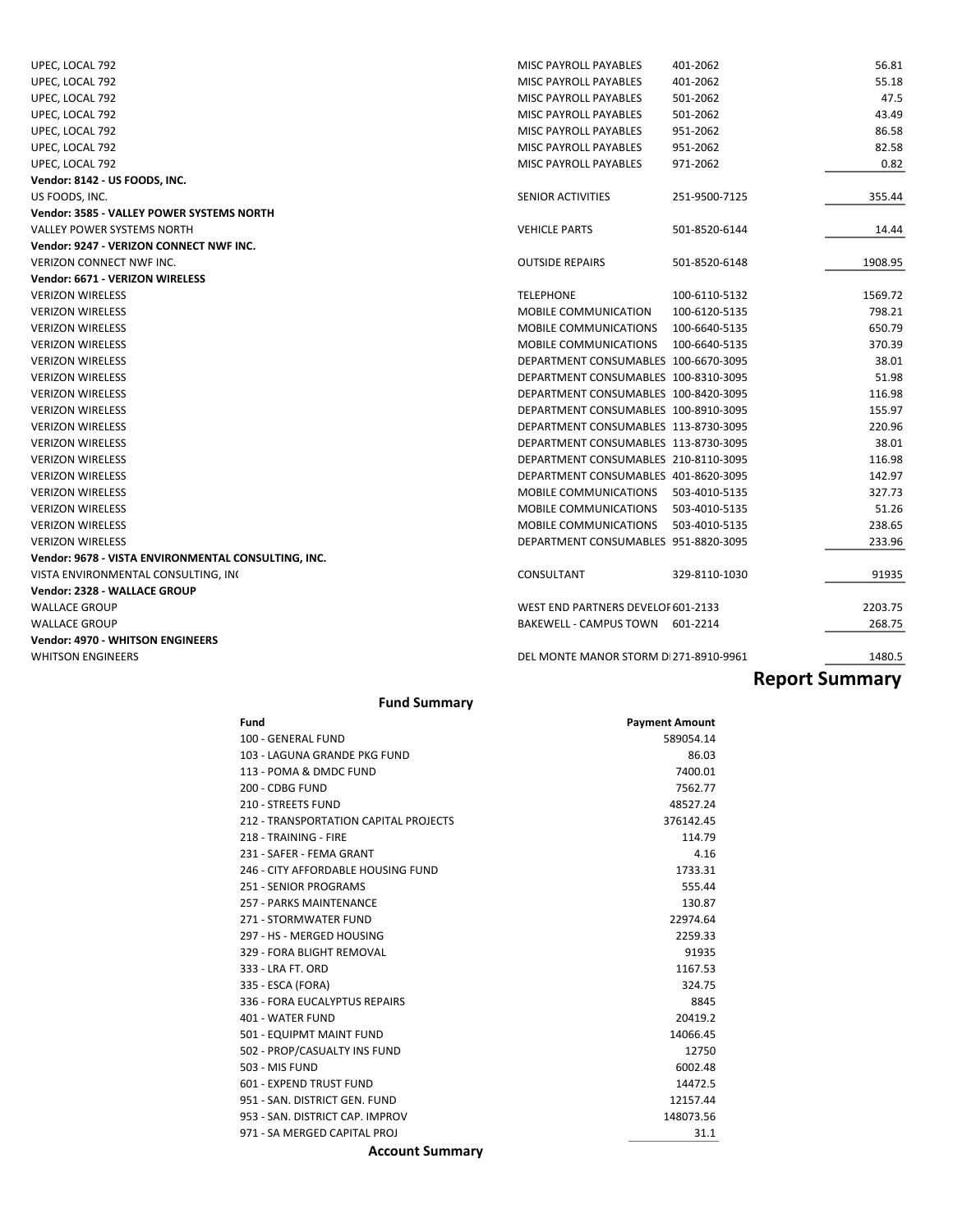| UPEC, LOCAL 792                                     | <b>MISC PAYROLL PAYABLES</b><br>401-2062      | 56.81   |
|-----------------------------------------------------|-----------------------------------------------|---------|
| UPEC, LOCAL 792                                     | MISC PAYROLL PAYABLES<br>401-2062             | 55.18   |
| UPEC, LOCAL 792                                     | MISC PAYROLL PAYABLES<br>501-2062             | 47.5    |
| UPEC, LOCAL 792                                     | MISC PAYROLL PAYABLES<br>501-2062             | 43.49   |
| UPEC, LOCAL 792                                     | MISC PAYROLL PAYABLES<br>951-2062             | 86.58   |
| UPEC, LOCAL 792                                     | MISC PAYROLL PAYABLES<br>951-2062             | 82.58   |
| UPEC, LOCAL 792                                     | MISC PAYROLL PAYABLES<br>971-2062             | 0.82    |
| Vendor: 8142 - US FOODS, INC.                       |                                               |         |
| US FOODS, INC.                                      | <b>SENIOR ACTIVITIES</b><br>251-9500-7125     | 355.44  |
| Vendor: 3585 - VALLEY POWER SYSTEMS NORTH           |                                               |         |
| <b>VALLEY POWER SYSTEMS NORTH</b>                   | <b>VEHICLE PARTS</b><br>501-8520-6144         | 14.44   |
| Vendor: 9247 - VERIZON CONNECT NWF INC.             |                                               |         |
| <b>VERIZON CONNECT NWF INC.</b>                     | <b>OUTSIDE REPAIRS</b><br>501-8520-6148       | 1908.95 |
| Vendor: 6671 - VERIZON WIRELESS                     |                                               |         |
| <b>VERIZON WIRELESS</b>                             | <b>TELEPHONE</b><br>100-6110-5132             | 1569.72 |
| <b>VERIZON WIRELESS</b>                             | MOBILE COMMUNICATION<br>100-6120-5135         | 798.21  |
| <b>VERIZON WIRELESS</b>                             | MOBILE COMMUNICATIONS<br>100-6640-5135        | 650.79  |
| <b>VERIZON WIRELESS</b>                             | <b>MOBILE COMMUNICATIONS</b><br>100-6640-5135 | 370.39  |
| <b>VERIZON WIRELESS</b>                             | DEPARTMENT CONSUMABLES 100-6670-3095          | 38.01   |
| <b>VERIZON WIRELESS</b>                             | DEPARTMENT CONSUMABLES 100-8310-3095          | 51.98   |
| <b>VERIZON WIRELESS</b>                             | DEPARTMENT CONSUMABLES 100-8420-3095          | 116.98  |
| <b>VERIZON WIRELESS</b>                             | DEPARTMENT CONSUMABLES 100-8910-3095          | 155.97  |
| <b>VERIZON WIRELESS</b>                             | DEPARTMENT CONSUMABLES 113-8730-3095          | 220.96  |
| <b>VERIZON WIRELESS</b>                             | DEPARTMENT CONSUMABLES 113-8730-3095          | 38.01   |
| <b>VERIZON WIRELESS</b>                             | DEPARTMENT CONSUMABLES 210-8110-3095          | 116.98  |
| <b>VERIZON WIRELESS</b>                             | DEPARTMENT CONSUMABLES 401-8620-3095          | 142.97  |
| <b>VERIZON WIRELESS</b>                             | MOBILE COMMUNICATIONS<br>503-4010-5135        | 327.73  |
| <b>VERIZON WIRELESS</b>                             | <b>MOBILE COMMUNICATIONS</b><br>503-4010-5135 | 51.26   |
| <b>VERIZON WIRELESS</b>                             | <b>MOBILE COMMUNICATIONS</b><br>503-4010-5135 | 238.65  |
| <b>VERIZON WIRELESS</b>                             | DEPARTMENT CONSUMABLES 951-8820-3095          | 233.96  |
| Vendor: 9678 - VISTA ENVIRONMENTAL CONSULTING, INC. |                                               |         |
| VISTA ENVIRONMENTAL CONSULTING, INC                 | CONSULTANT<br>329-8110-1030                   | 91935   |
| Vendor: 2328 - WALLACE GROUP                        |                                               |         |
| <b>WALLACE GROUP</b>                                | WEST END PARTNERS DEVELOF 601-2133            | 2203.75 |
| <b>WALLACE GROUP</b>                                | BAKEWELL - CAMPUS TOWN 601-2214               | 268.75  |
| <b>Vendor: 4970 - WHITSON ENGINEERS</b>             |                                               |         |
| <b>WHITSON ENGINEERS</b>                            | DEL MONTE MANOR STORM DI271-8910-9961         | 1480.5  |

## **Report Summary**

### **Fund Summary**

| Fund                                  | <b>Payment Amount</b> |
|---------------------------------------|-----------------------|
| 100 - GENERAL FUND                    | 589054.14             |
| 103 - LAGUNA GRANDE PKG FUND          | 86.03                 |
| 113 - POMA & DMDC FUND                | 7400.01               |
| 200 - CDBG FUND                       | 7562.77               |
| 210 - STREETS FUND                    | 48527.24              |
| 212 - TRANSPORTATION CAPITAL PROJECTS | 376142.45             |
| 218 - TRAINING - FIRE                 | 114.79                |
| 231 - SAFFR - FFMA GRANT              | 4.16                  |
| 246 - CITY AFFORDABLE HOUSING FUND    | 1733.31               |
| 251 - SENIOR PROGRAMS                 | 555.44                |
| 257 - PARKS MAINTENANCE               | 130.87                |
| 271 - STORMWATER FUND                 | 22974.64              |
| 297 - HS - MERGED HOUSING             | 2259.33               |
| 329 - FORA BLIGHT REMOVAL             | 91935                 |
| 333 - LRA FT, ORD                     | 1167.53               |
| 335 - ESCA (FORA)                     | 324.75                |
| 336 - FORA EUCALYPTUS REPAIRS         | 8845                  |
| 401 - WATER FUND                      | 20419.2               |
| 501 - EQUIPMT MAINT FUND              | 14066.45              |
| 502 - PROP/CASUALTY INS FUND          | 12750                 |
| 503 - MIS FUND                        | 6002.48               |
| 601 - EXPEND TRUST FUND               | 14472.5               |
| 951 - SAN, DISTRICT GEN, FUND         | 12157.44              |
| 953 - SAN, DISTRICT CAP, IMPROV       | 148073.56             |
| 971 - SA MERGED CAPITAL PROJ          | 31.1                  |

#### **Account Summary**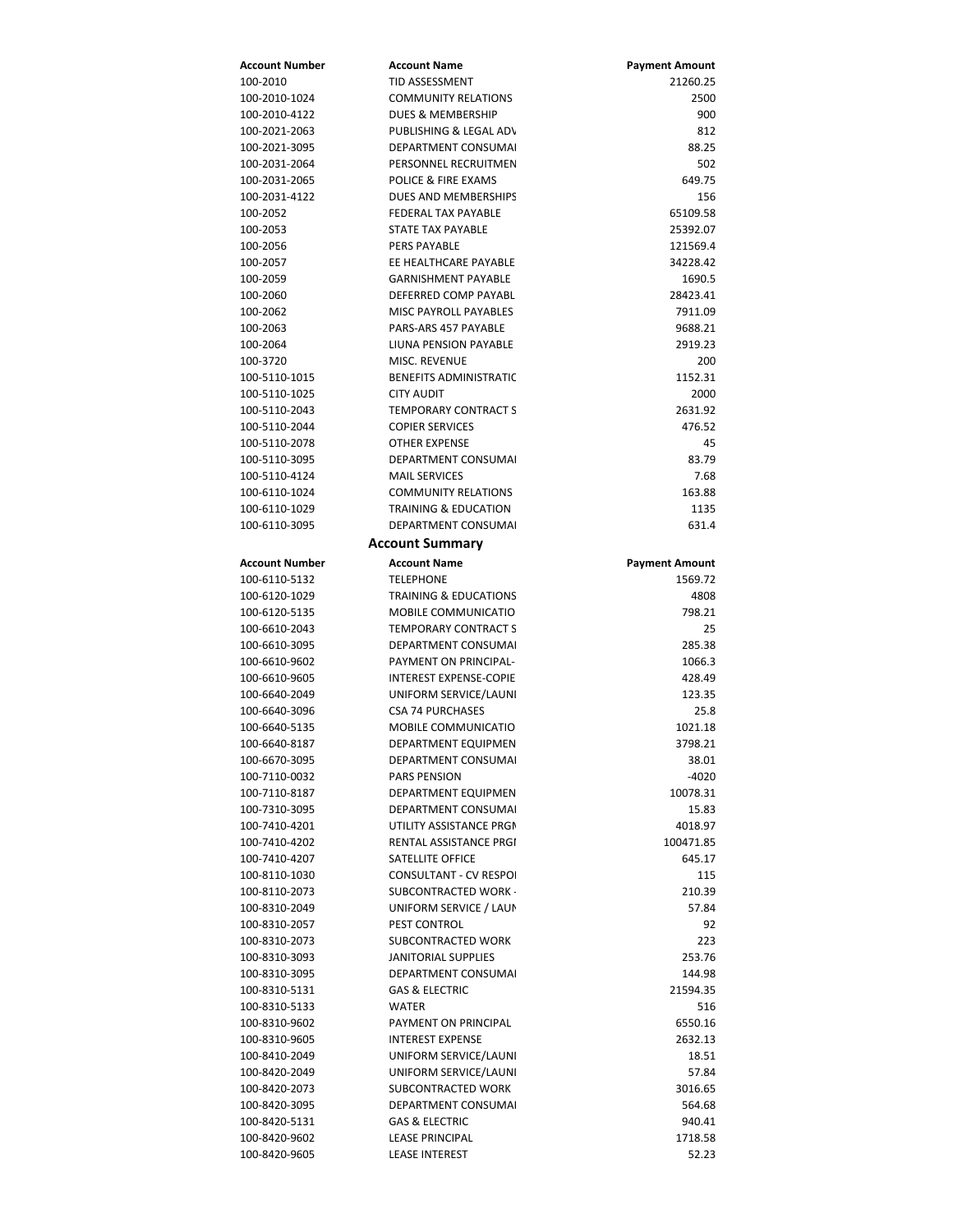| Account Number        | <b>Account Name</b>              | <b>Payment Amount</b> |
|-----------------------|----------------------------------|-----------------------|
| 100-2010              | TID ASSESSMENT                   | 21260.25              |
| 100-2010-1024         | <b>COMMUNITY RELATIONS</b>       | 2500                  |
| 100-2010-4122         | DUES & MEMBERSHIP                | 900                   |
| 100-2021-2063         | PUBLISHING & LEGAL AD\           | 812                   |
| 100-2021-3095         | DEPARTMENT CONSUMAL              | 88.25                 |
| 100-2031-2064         | PERSONNEL RECRUITMEN             | 502                   |
| 100-2031-2065         | <b>POLICE &amp; FIRE EXAMS</b>   | 649.75                |
| 100-2031-4122         | DUES AND MEMBERSHIPS             | 156                   |
| 100-2052              | <b>FEDERAL TAX PAYABLE</b>       | 65109.58              |
| 100-2053              | STATE TAX PAYABLE                | 25392.07              |
| 100-2056              | <b>PERS PAYABLE</b>              | 121569.4              |
|                       | EE HEALTHCARE PAYABLE            |                       |
| 100-2057              |                                  | 34228.42              |
| 100-2059              | <b>GARNISHMENT PAYABLE</b>       | 1690.5                |
| 100-2060              | DEFERRED COMP PAYABL             | 28423.41              |
| 100-2062              | <b>MISC PAYROLL PAYABLES</b>     | 7911.09               |
| 100-2063              | PARS-ARS 457 PAYABLE             | 9688.21               |
| 100-2064              | LIUNA PENSION PAYABLE            | 2919.23               |
| 100-3720              | MISC. REVENUE                    | 200                   |
| 100-5110-1015         | <b>BENEFITS ADMINISTRATIC</b>    | 1152.31               |
| 100-5110-1025         | <b>CITY AUDIT</b>                | 2000                  |
| 100-5110-2043         | <b>TEMPORARY CONTRACT S</b>      | 2631.92               |
| 100-5110-2044         | <b>COPIER SERVICES</b>           | 476.52                |
| 100-5110-2078         | <b>OTHER EXPENSE</b>             | 45                    |
| 100-5110-3095         | DEPARTMENT CONSUMAL              | 83.79                 |
| 100-5110-4124         | <b>MAIL SERVICES</b>             | 7.68                  |
| 100-6110-1024         | <b>COMMUNITY RELATIONS</b>       | 163.88                |
| 100-6110-1029         | <b>TRAINING &amp; EDUCATION</b>  | 1135                  |
| 100-6110-3095         | DEPARTMENT CONSUMAL              | 631.4                 |
|                       |                                  |                       |
|                       | <b>Account Summary</b>           |                       |
| <b>Account Number</b> | <b>Account Name</b>              | <b>Payment Amount</b> |
| 100-6110-5132         | <b>TELEPHONE</b>                 | 1569.72               |
| 100-6120-1029         | <b>TRAINING &amp; EDUCATIONS</b> | 4808                  |
| 100-6120-5135         | MOBILE COMMUNICATIO              | 798.21                |
| 100-6610-2043         | <b>TEMPORARY CONTRACT S</b>      | 25                    |
| 100-6610-3095         | DEPARTMENT CONSUMAL              | 285.38                |
| 100-6610-9602         | PAYMENT ON PRINCIPAL-            | 1066.3                |
| 100-6610-9605         | <b>INTEREST EXPENSE-COPIE</b>    | 428.49                |
| 100-6640-2049         | UNIFORM SERVICE/LAUNI            | 123.35                |
| 100-6640-3096         | <b>CSA 74 PURCHASES</b>          | 25.8                  |
| 100-6640-5135         | <b>MOBILE COMMUNICATIO</b>       | 1021.18               |
| 100-6640-8187         | DEPARTMENT EQUIPMEN              | 3798.21               |
| 100-6670-3095         | DEPARTMENT CONSUMAL              | 38.01                 |
| 100-7110-0032         | <b>PARS PENSION</b>              | $-4020$               |
| 100-7110-8187         | <b>DEPARTMENT EQUIPMEN</b>       | 10078.31              |
|                       | <b>DEPARTMENT CONSUMAL</b>       | 15.83                 |
| 100-7310-3095         |                                  |                       |
| 100-7410-4201         | UTILITY ASSISTANCE PRGM          | 4018.97               |
| 100-7410-4202         | RENTAL ASSISTANCE PRGI           | 100471.85             |
| 100-7410-4207         | SATELLITE OFFICE                 | 645.17                |
| 100-8110-1030         | <b>CONSULTANT - CV RESPOI</b>    | 115                   |
| 100-8110-2073         | SUBCONTRACTED WORK -             | 210.39                |
| 100-8310-2049         | UNIFORM SERVICE / LAUN           | 57.84                 |
| 100-8310-2057         | PEST CONTROL                     | 92                    |
| 100-8310-2073         | SUBCONTRACTED WORK               | 223                   |
| 100-8310-3093         | <b>JANITORIAL SUPPLIES</b>       | 253.76                |
| 100-8310-3095         | DEPARTMENT CONSUMAL              | 144.98                |
| 100-8310-5131         | <b>GAS &amp; ELECTRIC</b>        | 21594.35              |
| 100-8310-5133         | WATER                            | 516                   |
| 100-8310-9602         | PAYMENT ON PRINCIPAL             | 6550.16               |
| 100-8310-9605         | <b>INTEREST EXPENSE</b>          | 2632.13               |
| 100-8410-2049         | UNIFORM SERVICE/LAUNI            | 18.51                 |
| 100-8420-2049         | UNIFORM SERVICE/LAUNI            | 57.84                 |
| 100-8420-2073         | SUBCONTRACTED WORK               | 3016.65               |
| 100-8420-3095         | DEPARTMENT CONSUMAL              | 564.68                |
| 100-8420-5131         | <b>GAS &amp; ELECTRIC</b>        | 940.41                |
| 100-8420-9602         | <b>LEASE PRINCIPAL</b>           | 1718.58               |
|                       |                                  |                       |
| 100-8420-9605         | <b>LEASE INTEREST</b>            | 52.23                 |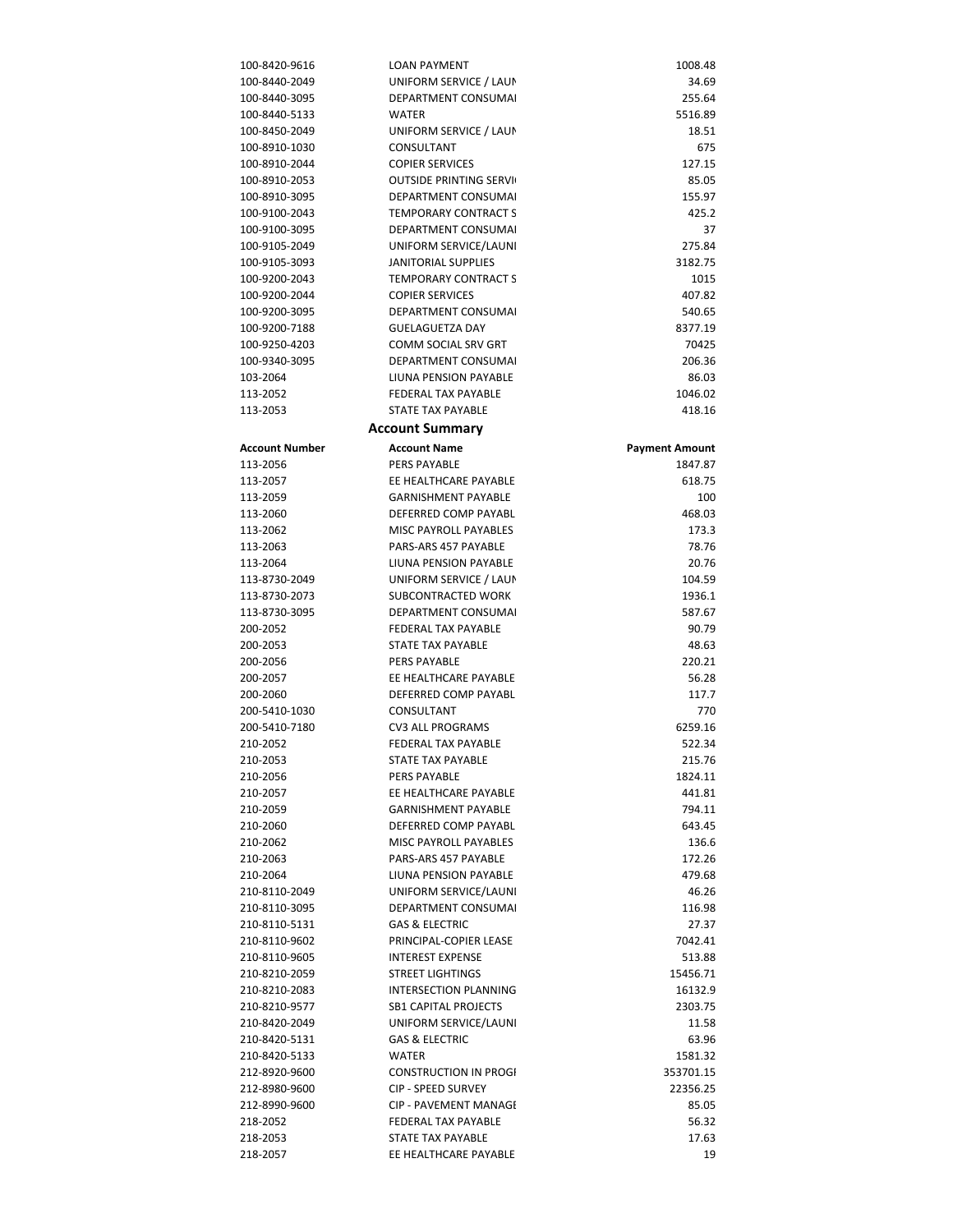| 100-8420-9616         | LOAN PAYMENT                  | 1008.48               |
|-----------------------|-------------------------------|-----------------------|
| 100-8440-2049         | UNIFORM SERVICE / LAUN        | 34.69                 |
| 100-8440-3095         | <b>DEPARTMENT CONSUMAL</b>    | 255.64                |
| 100-8440-5133         | <b>WATER</b>                  | 5516.89               |
| 100-8450-2049         | UNIFORM SERVICE / LAUN        | 18.51                 |
| 100-8910-1030         | CONSULTANT                    | 675                   |
| 100-8910-2044         | <b>COPIER SERVICES</b>        | 127.15                |
| 100-8910-2053         | <b>OUTSIDE PRINTING SERVI</b> | 85.05                 |
| 100-8910-3095         | DEPARTMENT CONSUMAL           | 155.97                |
| 100-9100-2043         | <b>TEMPORARY CONTRACT S</b>   | 425.2                 |
| 100-9100-3095         | DEPARTMENT CONSUMAL           | 37                    |
| 100-9105-2049         | UNIFORM SERVICE/LAUNI         | 275.84                |
|                       |                               |                       |
| 100-9105-3093         | JANITORIAL SUPPLIES           | 3182.75               |
| 100-9200-2043         | <b>TEMPORARY CONTRACT S</b>   | 1015                  |
| 100-9200-2044         | <b>COPIER SERVICES</b>        | 407.82                |
| 100-9200-3095         | DEPARTMENT CONSUMAL           | 540.65                |
| 100-9200-7188         | <b>GUELAGUETZA DAY</b>        | 8377.19               |
| 100-9250-4203         | COMM SOCIAL SRV GRT           | 70425                 |
| 100-9340-3095         | DEPARTMENT CONSUMAL           | 206.36                |
| 103-2064              | LIUNA PENSION PAYABLE         | 86.03                 |
| 113-2052              | <b>FEDERAL TAX PAYABLE</b>    | 1046.02               |
| 113-2053              | <b>STATE TAX PAYABLE</b>      | 418.16                |
|                       | <b>Account Summary</b>        |                       |
| <b>Account Number</b> | <b>Account Name</b>           | <b>Payment Amount</b> |
| 113-2056              | <b>PERS PAYABLE</b>           | 1847.87               |
| 113-2057              | EE HEALTHCARE PAYABLE         | 618.75                |
| 113-2059              | <b>GARNISHMENT PAYABLE</b>    | 100                   |
| 113-2060              | DEFERRED COMP PAYABL          | 468.03                |
| 113-2062              | MISC PAYROLL PAYABLES         | 173.3                 |
| 113-2063              | PARS-ARS 457 PAYABLE          | 78.76                 |
| 113-2064              | LIUNA PENSION PAYABLE         | 20.76                 |
| 113-8730-2049         | UNIFORM SERVICE / LAUN        | 104.59                |
|                       |                               |                       |
| 113-8730-2073         | SUBCONTRACTED WORK            | 1936.1                |
| 113-8730-3095         | DEPARTMENT CONSUMAL           | 587.67                |
| 200-2052              | FEDERAL TAX PAYABLE           | 90.79                 |
| 200-2053              | STATE TAX PAYABLE             | 48.63                 |
| 200-2056              | <b>PERS PAYABLE</b>           | 220.21                |
| 200-2057              | EE HEALTHCARE PAYABLE         | 56.28                 |
| 200-2060              | DEFERRED COMP PAYABL          | 117.7                 |
| 200-5410-1030         | CONSULTANT                    | 770                   |
| 200-5410-7180         | <b>CV3 ALL PROGRAMS</b>       | 6259.16               |
| 210-2052              | FFDFRAI TAX PAYARI F          | 522.34                |
| 210-2053              | STATE TAX PAYABLE             | 215.76                |
| 210-2056              | <b>PERS PAYABLE</b>           | 1824.11               |
| 210-2057              | EE HEALTHCARE PAYABLE         | 441.81                |
| 210-2059              | <b>GARNISHMENT PAYABLE</b>    | 794.11                |
| 210-2060              | DEFERRED COMP PAYABL          | 643.45                |
| 210-2062              | MISC PAYROLL PAYABLES         | 136.6                 |
| 210-2063              | PARS-ARS 457 PAYABLE          | 172.26                |
| 210-2064              | LIUNA PENSION PAYABLE         | 479.68                |
| 210-8110-2049         | UNIFORM SERVICE/LAUNI         | 46.26                 |
| 210-8110-3095         | DEPARTMENT CONSUMAL           | 116.98                |
| 210-8110-5131         | <b>GAS &amp; ELECTRIC</b>     | 27.37                 |
| 210-8110-9602         | PRINCIPAL-COPIER LEASE        | 7042.41               |
| 210-8110-9605         | <b>INTEREST EXPENSE</b>       | 513.88                |
| 210-8210-2059         | <b>STREET LIGHTINGS</b>       | 15456.71              |
| 210-8210-2083         | <b>INTERSECTION PLANNING</b>  | 16132.9               |
| 210-8210-9577         | <b>SB1 CAPITAL PROJECTS</b>   | 2303.75               |
| 210-8420-2049         | UNIFORM SERVICE/LAUNI         | 11.58                 |
| 210-8420-5131         | <b>GAS &amp; ELECTRIC</b>     | 63.96                 |
| 210-8420-5133         | <b>WATER</b>                  | 1581.32               |
| 212-8920-9600         | <b>CONSTRUCTION IN PROGI</b>  | 353701.15             |
| 212-8980-9600         | <b>CIP - SPEED SURVEY</b>     | 22356.25              |
| 212-8990-9600         | CIP - PAVEMENT MANAGI         | 85.05                 |
| 218-2052              | FEDERAL TAX PAYABLE           | 56.32                 |
| 218-2053              | STATE TAX PAYABLE             | 17.63                 |
| 218-2057              | EE HEALTHCARE PAYABLE         | 19                    |
|                       |                               |                       |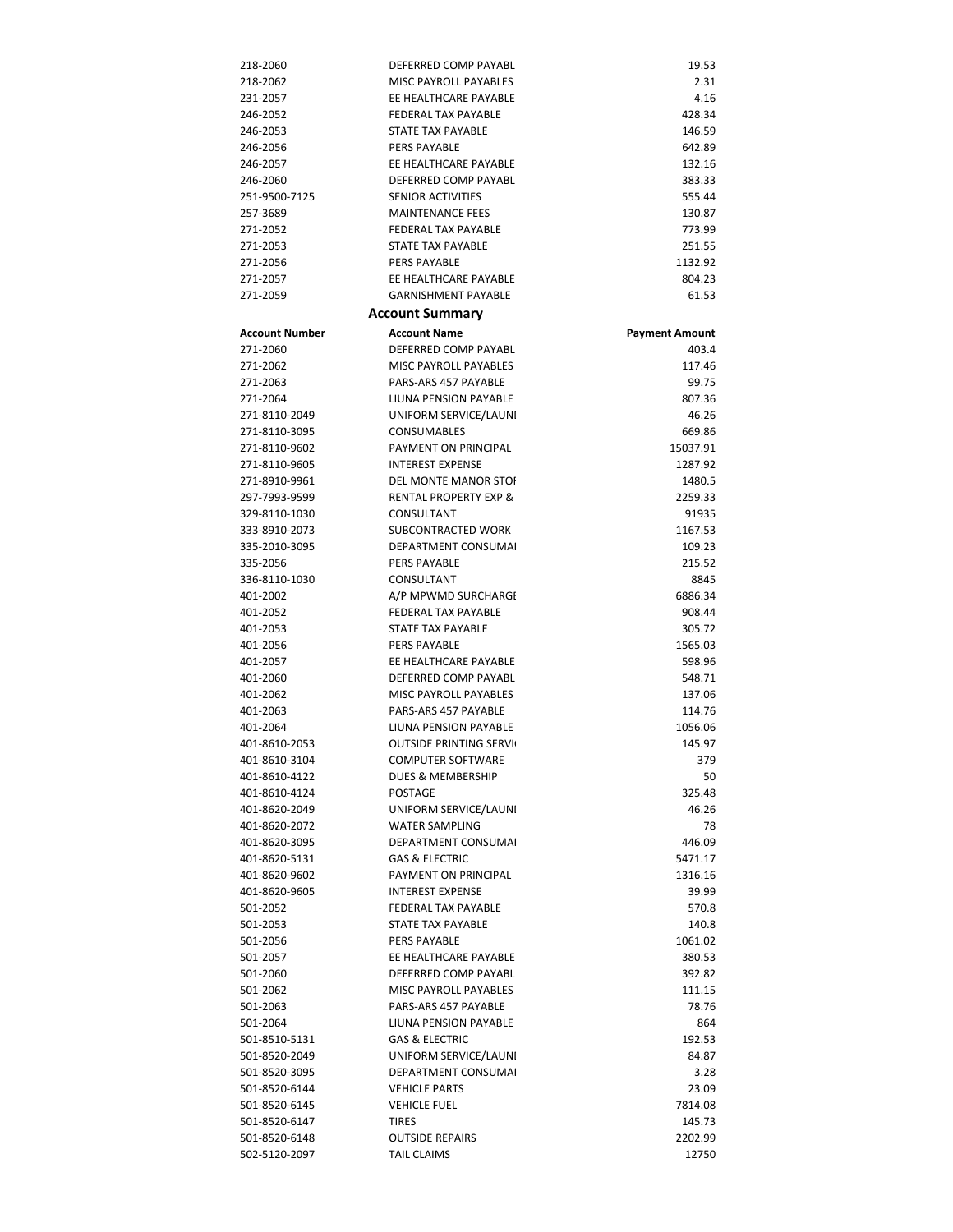| 218-2060              | DEFERRED COMP PAYABL                          | 19.53                 |
|-----------------------|-----------------------------------------------|-----------------------|
| 218-2062              | MISC PAYROLL PAYABLES                         | 2.31                  |
| 231-2057              | EE HEALTHCARE PAYABLE                         | 4.16                  |
| 246-2052              | FEDERAL TAX PAYABLE                           | 428.34                |
| 246-2053              | STATE TAX PAYABLE                             | 146.59                |
| 246-2056              | PERS PAYABLE                                  | 642.89                |
| 246-2057              | EE HEALTHCARE PAYABLE                         | 132.16                |
| 246-2060              | DEFERRED COMP PAYABL                          | 383.33                |
| 251-9500-7125         | <b>SENIOR ACTIVITIES</b>                      | 555.44                |
| 257-3689              | <b>MAINTENANCE FEES</b>                       | 130.87                |
| 271-2052              | <b>FEDERAL TAX PAYABLE</b>                    | 773.99                |
| 271-2053              | STATE TAX PAYABLE                             | 251.55                |
| 271-2056              | <b>PERS PAYABLE</b>                           | 1132.92               |
| 271-2057              | EE HEALTHCARE PAYABLE                         | 804.23                |
| 271-2059              | <b>GARNISHMENT PAYABLE</b>                    | 61.53                 |
|                       | <b>Account Summary</b>                        |                       |
| <b>Account Number</b> | <b>Account Name</b>                           | <b>Payment Amount</b> |
| 271-2060              | DEFERRED COMP PAYABL                          | 403.4                 |
| 271-2062              | MISC PAYROLL PAYABLES                         | 117.46                |
| 271-2063              | PARS-ARS 457 PAYABLE                          | 99.75                 |
| 271-2064              | <b>LIUNA PENSION PAYABLE</b>                  | 807.36                |
| 271-8110-2049         | UNIFORM SERVICE/LAUNI                         | 46.26                 |
| 271-8110-3095         | <b>CONSUMABLES</b>                            | 669.86                |
| 271-8110-9602         | PAYMENT ON PRINCIPAL                          | 15037.91              |
| 271-8110-9605         | <b>INTEREST EXPENSE</b>                       | 1287.92               |
| 271-8910-9961         | <b>DEL MONTE MANOR STOL</b>                   | 1480.5                |
| 297-7993-9599         | <b>RENTAL PROPERTY EXP &amp;</b>              | 2259.33               |
| 329-8110-1030         | CONSULTANT                                    | 91935                 |
| 333-8910-2073         | SUBCONTRACTED WORK                            | 1167.53               |
| 335-2010-3095         | <b>DEPARTMENT CONSUMAL</b>                    | 109.23                |
| 335-2056              | <b>PERS PAYABLE</b>                           | 215.52                |
| 336-8110-1030         | CONSULTANT                                    | 8845                  |
| 401-2002              | A/P MPWMD SURCHARGI                           | 6886.34               |
| 401-2052              | <b>FEDERAL TAX PAYABLE</b>                    | 908.44                |
| 401-2053              | STATE TAX PAYABLE                             | 305.72                |
| 401-2056              | <b>PERS PAYABLE</b>                           | 1565.03               |
| 401-2057              | EE HEALTHCARE PAYABLE                         | 598.96                |
| 401-2060              | DEFERRED COMP PAYABL                          | 548.71<br>137.06      |
| 401-2062<br>401-2063  | MISC PAYROLL PAYABLES<br>PARS-ARS 457 PAYABLE | 114.76                |
| 401-2064              | LIUNA PENSION PAYABLE                         | 1056.06               |
| 401-8610-2053         | <b>OUTSIDE PRINTING SERVI</b>                 | 145.97                |
| 401-8610-3104         | <b>COMPUTER SOFTWARE</b>                      | 379                   |
| 401-8610-4122         | DUES & MEMBERSHIP                             | 50                    |
| 401-8610-4124         | <b>POSTAGE</b>                                | 325.48                |
| 401-8620-2049         | UNIFORM SERVICE/LAUNI                         | 46.26                 |
| 401-8620-2072         | <b>WATER SAMPLING</b>                         | 78                    |
| 401-8620-3095         | <b>DEPARTMENT CONSUMAL</b>                    | 446.09                |
| 401-8620-5131         | <b>GAS &amp; ELECTRIC</b>                     | 5471.17               |
| 401-8620-9602         | PAYMENT ON PRINCIPAL                          | 1316.16               |
| 401-8620-9605         | <b>INTEREST EXPENSE</b>                       | 39.99                 |
| 501-2052              | FEDERAL TAX PAYABLE                           | 570.8                 |
| 501-2053              | STATE TAX PAYABLE                             | 140.8                 |
| 501-2056              | PERS PAYABLE                                  | 1061.02               |
| 501-2057              | EE HEALTHCARE PAYABLE                         | 380.53                |
| 501-2060              | DEFERRED COMP PAYABL                          | 392.82                |
| 501-2062              | MISC PAYROLL PAYABLES                         | 111.15                |
| 501-2063              | PARS-ARS 457 PAYABLE                          | 78.76                 |
| 501-2064              | LIUNA PENSION PAYABLE                         | 864                   |
| 501-8510-5131         | <b>GAS &amp; ELECTRIC</b>                     | 192.53                |
| 501-8520-2049         | UNIFORM SERVICE/LAUNI                         | 84.87                 |
| 501-8520-3095         | DEPARTMENT CONSUMAL                           | 3.28                  |
| 501-8520-6144         | <b>VEHICLE PARTS</b>                          | 23.09                 |
| 501-8520-6145         | <b>VEHICLE FUEL</b>                           | 7814.08               |
| 501-8520-6147         | TIRES                                         | 145.73                |
| 501-8520-6148         | <b>OUTSIDE REPAIRS</b>                        | 2202.99               |
| 502-5120-2097         | <b>TAIL CLAIMS</b>                            | 12750                 |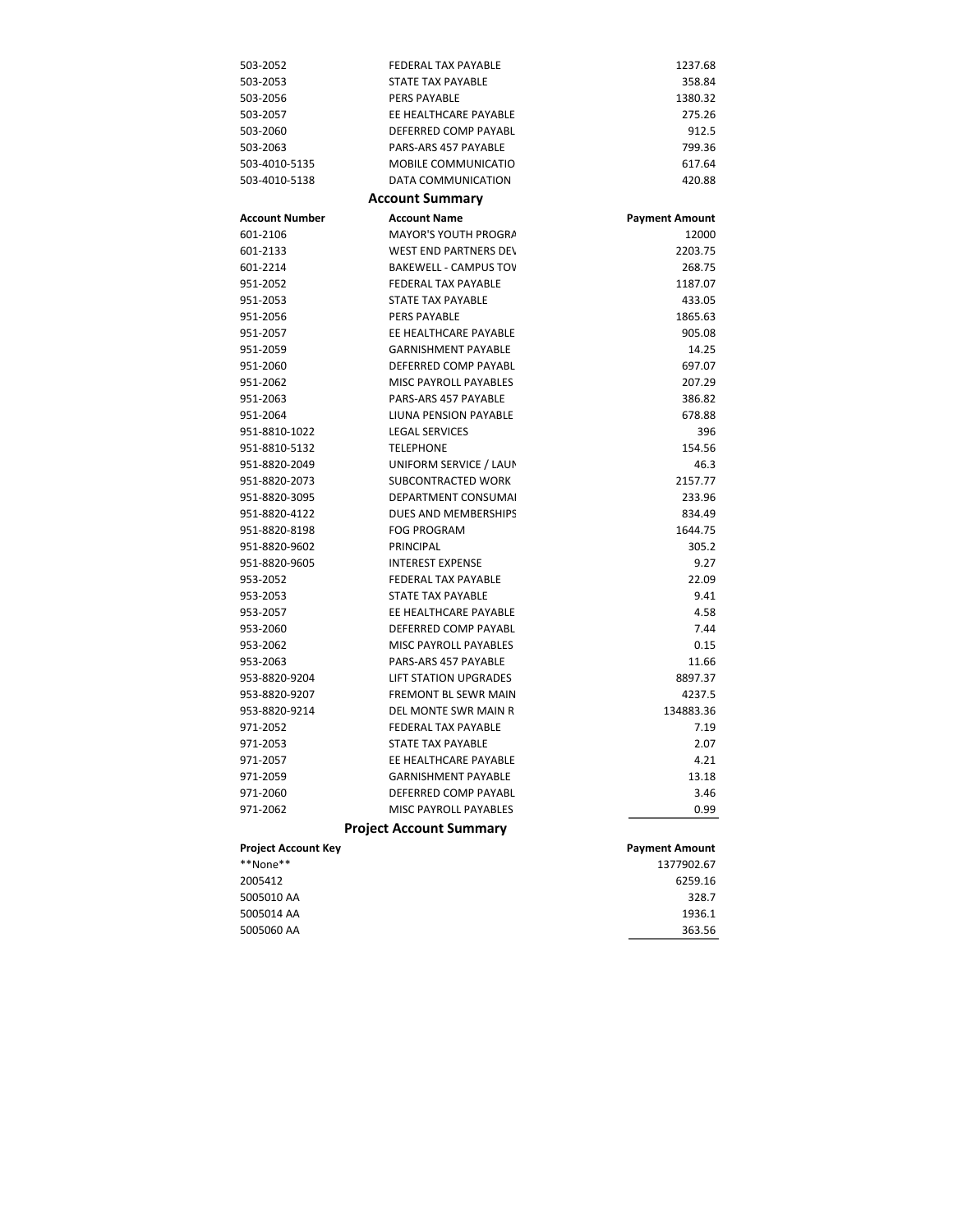| 503-2052                   | FEDERAL TAX PAYABLE            | 1237.68               |
|----------------------------|--------------------------------|-----------------------|
| 503-2053                   | <b>STATE TAX PAYABLE</b>       | 358.84                |
| 503-2056                   | PERS PAYABLE                   | 1380.32               |
| 503-2057                   | EE HEALTHCARE PAYABLE          | 275.26                |
| 503-2060                   | DEFERRED COMP PAYABL           | 912.5                 |
| 503-2063                   | PARS-ARS 457 PAYABLE           | 799.36                |
| 503-4010-5135              | MOBILE COMMUNICATIO            | 617.64                |
| 503-4010-5138              | DATA COMMUNICATION             | 420.88                |
|                            | <b>Account Summary</b>         |                       |
| <b>Account Number</b>      | <b>Account Name</b>            | <b>Payment Amount</b> |
| 601-2106                   | MAYOR'S YOUTH PROGRA           | 12000                 |
| 601-2133                   | <b>WEST END PARTNERS DEV</b>   | 2203.75               |
| 601-2214                   | <b>BAKEWELL - CAMPUS TOV</b>   | 268.75                |
| 951-2052                   | FEDERAL TAX PAYABLE            | 1187.07               |
| 951-2053                   | STATE TAX PAYABLE              | 433.05                |
| 951-2056                   | <b>PERS PAYABLE</b>            | 1865.63               |
| 951-2057                   | EE HEALTHCARE PAYABLE          | 905.08                |
| 951-2059                   | <b>GARNISHMENT PAYABLE</b>     | 14.25                 |
| 951-2060                   | DEFERRED COMP PAYABL           | 697.07                |
| 951-2062                   | MISC PAYROLL PAYABLES          | 207.29                |
| 951-2063                   | PARS-ARS 457 PAYABLE           | 386.82                |
| 951-2064                   | LIUNA PENSION PAYABLE          | 678.88                |
| 951-8810-1022              | <b>LEGAL SERVICES</b>          | 396                   |
| 951-8810-5132              | <b>TELEPHONE</b>               | 154.56                |
| 951-8820-2049              | UNIFORM SERVICE / LAUN         | 46.3                  |
| 951-8820-2073              | SUBCONTRACTED WORK             | 2157.77               |
| 951-8820-3095              | <b>DEPARTMENT CONSUMAL</b>     | 233.96                |
| 951-8820-4122              | DUES AND MEMBERSHIPS           | 834.49                |
| 951-8820-8198              | <b>FOG PROGRAM</b>             | 1644.75               |
| 951-8820-9602              | PRINCIPAL                      | 305.2                 |
| 951-8820-9605              | <b>INTEREST EXPENSE</b>        | 9.27                  |
| 953-2052                   | <b>FEDERAL TAX PAYABLE</b>     | 22.09                 |
| 953-2053                   | STATE TAX PAYABLE              | 9.41                  |
| 953-2057                   | EE HEALTHCARE PAYABLE          | 4.58                  |
| 953-2060                   | DEFERRED COMP PAYABL           | 7.44                  |
| 953-2062                   | MISC PAYROLL PAYABLES          | 0.15                  |
| 953-2063                   | PARS-ARS 457 PAYABLE           | 11.66                 |
| 953-8820-9204              | <b>LIFT STATION UPGRADES</b>   | 8897.37               |
| 953-8820-9207              | FREMONT BL SEWR MAIN           | 4237.5                |
| 953-8820-9214              | <b>DEL MONTE SWR MAIN R</b>    | 134883.36             |
| 971-2052                   | <b>FEDERAL TAX PAYABLE</b>     | 7.19                  |
| 971-2053                   | STATE TAX PAYABLE              | 2.07                  |
| 971-2057                   | EE HEALTHCARE PAYABLE          | 4.21                  |
| 971-2059                   | <b>GARNISHMENT PAYABLE</b>     | 13.18                 |
| 971-2060                   | DEFERRED COMP PAYABL           | 3.46                  |
| 971-2062                   | <b>MISC PAYROLL PAYABLES</b>   | 0.99                  |
|                            | <b>Project Account Summary</b> |                       |
| <b>Project Account Key</b> |                                | <b>Payment Amount</b> |
| **None**                   |                                | 1377902.67            |
| 2005412                    |                                | 6259.16               |
| 5005010 AA                 |                                | 328.7                 |
| 5005014 AA                 |                                | 1936.1                |
| 5005060 AA                 |                                | 363.56                |
|                            |                                |                       |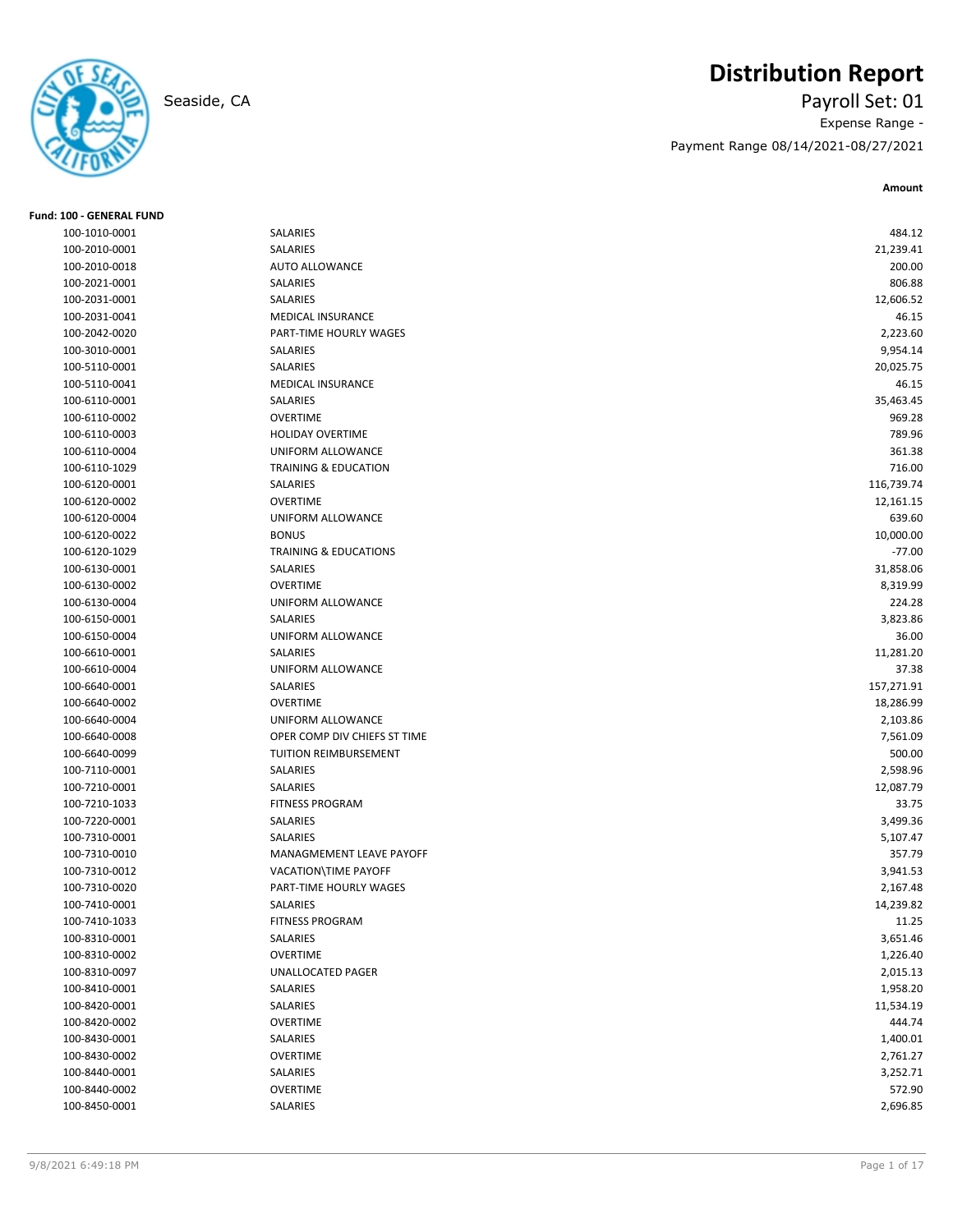

**Fund: 100 - GENERAL FUND**

# **Distribution Report**

Seaside, CA Payroll Set: 01 Expense Range -

Payment Range 08/14/2021-08/27/2021

| 100-1010-0001                  | SALARIES                         | 484.12            |
|--------------------------------|----------------------------------|-------------------|
| 100-2010-0001                  | SALARIES                         | 21,239.41         |
| 100-2010-0018                  | <b>AUTO ALLOWANCE</b>            | 200.00            |
| 100-2021-0001                  | <b>SALARIES</b>                  | 806.88            |
| 100-2031-0001                  | SALARIES                         | 12,606.52         |
| 100-2031-0041                  | MEDICAL INSURANCE                | 46.15             |
| 100-2042-0020                  | PART-TIME HOURLY WAGES           | 2,223.60          |
| 100-3010-0001                  | SALARIES                         | 9,954.14          |
| 100-5110-0001                  | SALARIES                         | 20,025.75         |
| 100-5110-0041                  | <b>MEDICAL INSURANCE</b>         | 46.15             |
| 100-6110-0001                  | <b>SALARIES</b>                  | 35,463.45         |
| 100-6110-0002                  | <b>OVERTIME</b>                  | 969.28            |
| 100-6110-0003                  | <b>HOLIDAY OVERTIME</b>          | 789.96            |
| 100-6110-0004                  | UNIFORM ALLOWANCE                | 361.38            |
| 100-6110-1029                  | <b>TRAINING &amp; EDUCATION</b>  | 716.00            |
| 100-6120-0001                  | SALARIES                         | 116,739.74        |
| 100-6120-0002                  | <b>OVERTIME</b>                  | 12,161.15         |
| 100-6120-0004                  | UNIFORM ALLOWANCE                | 639.60            |
| 100-6120-0022                  | <b>BONUS</b>                     | 10,000.00         |
| 100-6120-1029                  | <b>TRAINING &amp; EDUCATIONS</b> | $-77.00$          |
|                                | SALARIES                         | 31,858.06         |
| 100-6130-0001                  | <b>OVERTIME</b>                  | 8,319.99          |
| 100-6130-0002<br>100-6130-0004 | <b>UNIFORM ALLOWANCE</b>         | 224.28            |
| 100-6150-0001                  | SALARIES                         |                   |
| 100-6150-0004                  | UNIFORM ALLOWANCE                | 3,823.86<br>36.00 |
|                                |                                  |                   |
| 100-6610-0001                  | SALARIES<br>UNIFORM ALLOWANCE    | 11,281.20         |
| 100-6610-0004                  |                                  | 37.38             |
| 100-6640-0001                  | SALARIES                         | 157,271.91        |
| 100-6640-0002                  | <b>OVERTIME</b>                  | 18,286.99         |
| 100-6640-0004                  | UNIFORM ALLOWANCE                | 2,103.86          |
| 100-6640-0008                  | OPER COMP DIV CHIEFS ST TIME     | 7,561.09          |
| 100-6640-0099                  | TUITION REIMBURSEMENT            | 500.00            |
| 100-7110-0001                  | SALARIES                         | 2,598.96          |
| 100-7210-0001                  | SALARIES                         | 12,087.79         |
| 100-7210-1033                  | <b>FITNESS PROGRAM</b>           | 33.75             |
| 100-7220-0001                  | SALARIES                         | 3,499.36          |
| 100-7310-0001                  | SALARIES                         | 5,107.47          |
| 100-7310-0010                  | MANAGMEMENT LEAVE PAYOFF         | 357.79            |
| 100-7310-0012                  | VACATION\TIME PAYOFF             | 3,941.53          |
| 100-7310-0020                  | PART-TIME HOURLY WAGES           | 2,167.48          |
| 100-7410-0001                  | SALARIES                         | 14,239.82         |
| 100-7410-1033                  | FITNESS PROGRAM                  | 11.25             |
| 100-8310-0001                  | SALARIES                         | 3,651.46          |
| 100-8310-0002                  | <b>OVERTIME</b>                  | 1,226.40          |
| 100-8310-0097                  | UNALLOCATED PAGER                | 2,015.13          |
| 100-8410-0001                  | SALARIES                         | 1,958.20          |
| 100-8420-0001                  | SALARIES                         | 11,534.19         |
| 100-8420-0002                  | <b>OVERTIME</b>                  | 444.74            |
| 100-8430-0001                  | SALARIES                         | 1,400.01          |
| 100-8430-0002                  | <b>OVERTIME</b>                  | 2,761.27          |
| 100-8440-0001                  | SALARIES                         | 3,252.71          |
| 100-8440-0002                  | <b>OVERTIME</b>                  | 572.90            |
| 100-8450-0001                  | SALARIES                         | 2,696.85          |
|                                |                                  |                   |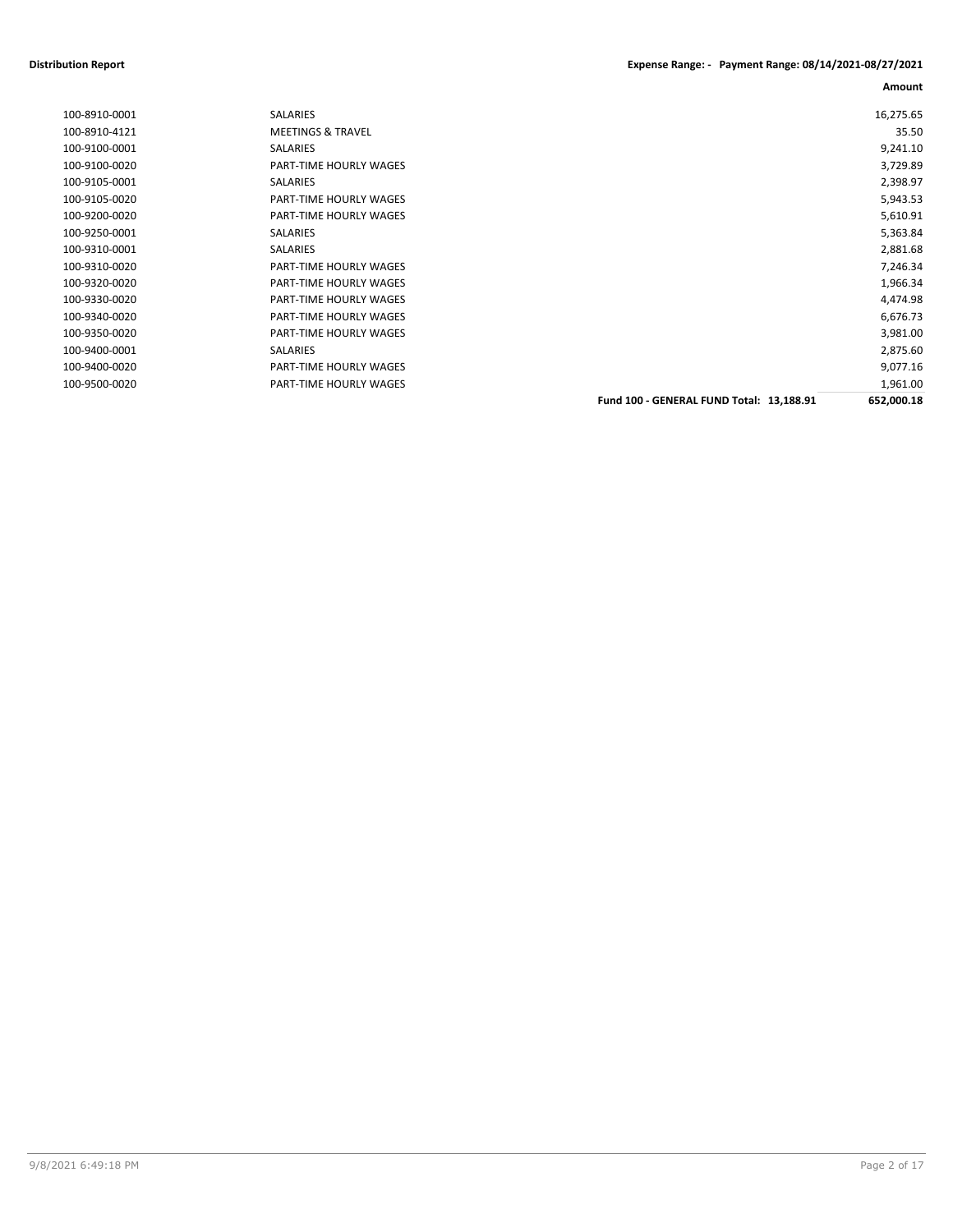#### **Distribution Report Expense Range: - Payment Range: 08/14/2021-08/27/2021**

| 100-8910-0001 | <b>SALARIES</b>               |                                          | 16,275.65  |
|---------------|-------------------------------|------------------------------------------|------------|
| 100-8910-4121 | <b>MEETINGS &amp; TRAVEL</b>  |                                          | 35.50      |
| 100-9100-0001 | SALARIES                      |                                          | 9,241.10   |
| 100-9100-0020 | PART-TIME HOURLY WAGES        |                                          | 3,729.89   |
| 100-9105-0001 | SALARIES                      |                                          | 2,398.97   |
| 100-9105-0020 | PART-TIME HOURLY WAGES        |                                          | 5,943.53   |
| 100-9200-0020 | <b>PART-TIME HOURLY WAGES</b> |                                          | 5,610.91   |
| 100-9250-0001 | <b>SALARIES</b>               |                                          | 5,363.84   |
| 100-9310-0001 | <b>SALARIES</b>               |                                          | 2,881.68   |
| 100-9310-0020 | PART-TIME HOURLY WAGES        |                                          | 7,246.34   |
| 100-9320-0020 | <b>PART-TIME HOURLY WAGES</b> |                                          | 1,966.34   |
| 100-9330-0020 | PART-TIME HOURLY WAGES        |                                          | 4,474.98   |
| 100-9340-0020 | PART-TIME HOURLY WAGES        |                                          | 6,676.73   |
| 100-9350-0020 | <b>PART-TIME HOURLY WAGES</b> |                                          | 3,981.00   |
| 100-9400-0001 | <b>SALARIES</b>               |                                          | 2,875.60   |
| 100-9400-0020 | <b>PART-TIME HOURLY WAGES</b> |                                          | 9,077.16   |
| 100-9500-0020 | PART-TIME HOURLY WAGES        |                                          | 1,961.00   |
|               |                               | Fund 100 - GENERAL FUND Total: 13,188.91 | 652,000.18 |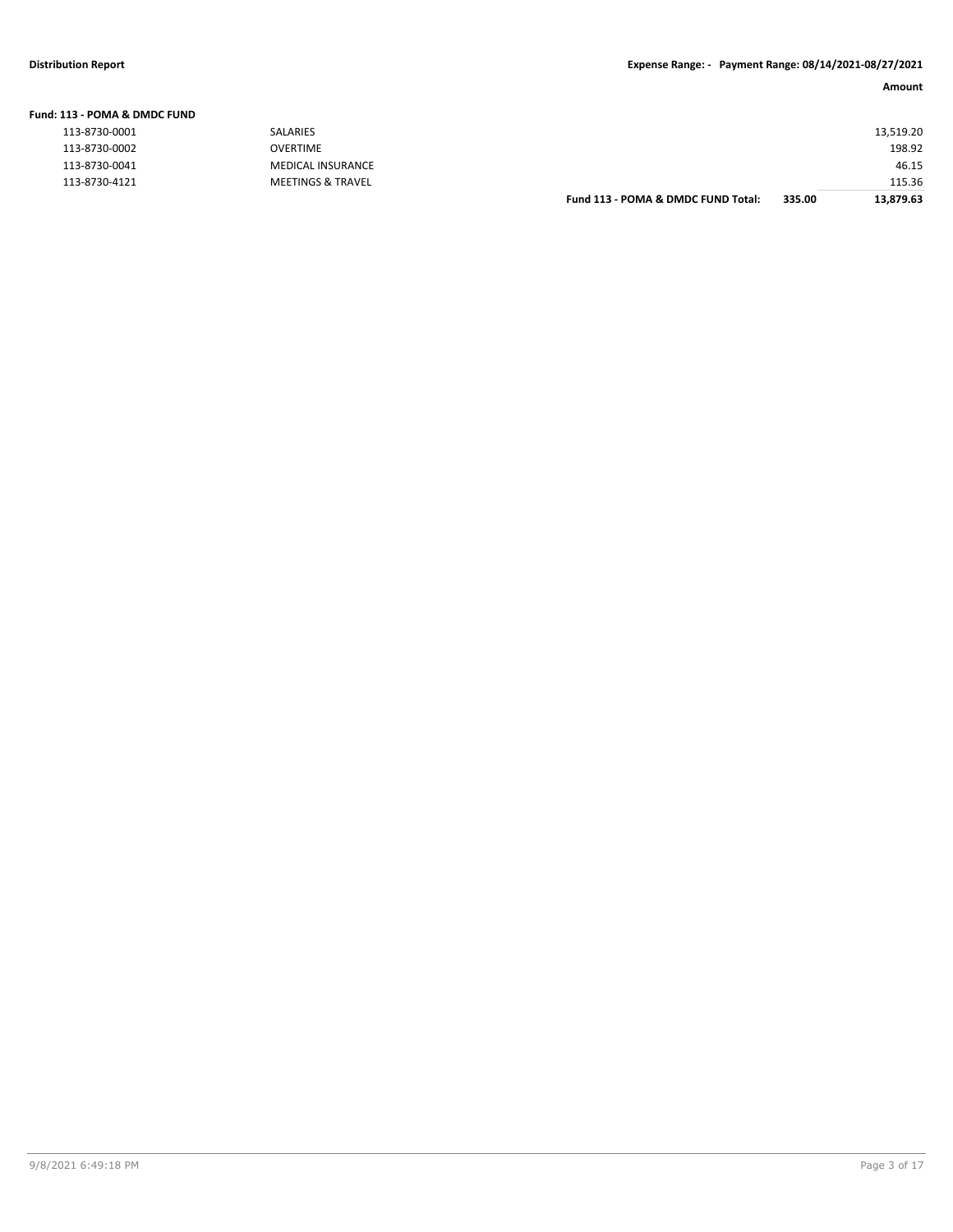| Fund: 113 - POMA & DMDC FUND |                              |                                    |        |           |
|------------------------------|------------------------------|------------------------------------|--------|-----------|
| 113-8730-0001                | <b>SALARIES</b>              |                                    |        | 13,519.20 |
| 113-8730-0002                | OVERTIME                     |                                    |        | 198.92    |
| 113-8730-0041                | MEDICAL INSURANCE            |                                    |        | 46.15     |
| 113-8730-4121                | <b>MEETINGS &amp; TRAVEL</b> |                                    |        | 115.36    |
|                              |                              | Fund 113 - POMA & DMDC FUND Total: | 335.00 | 13.879.63 |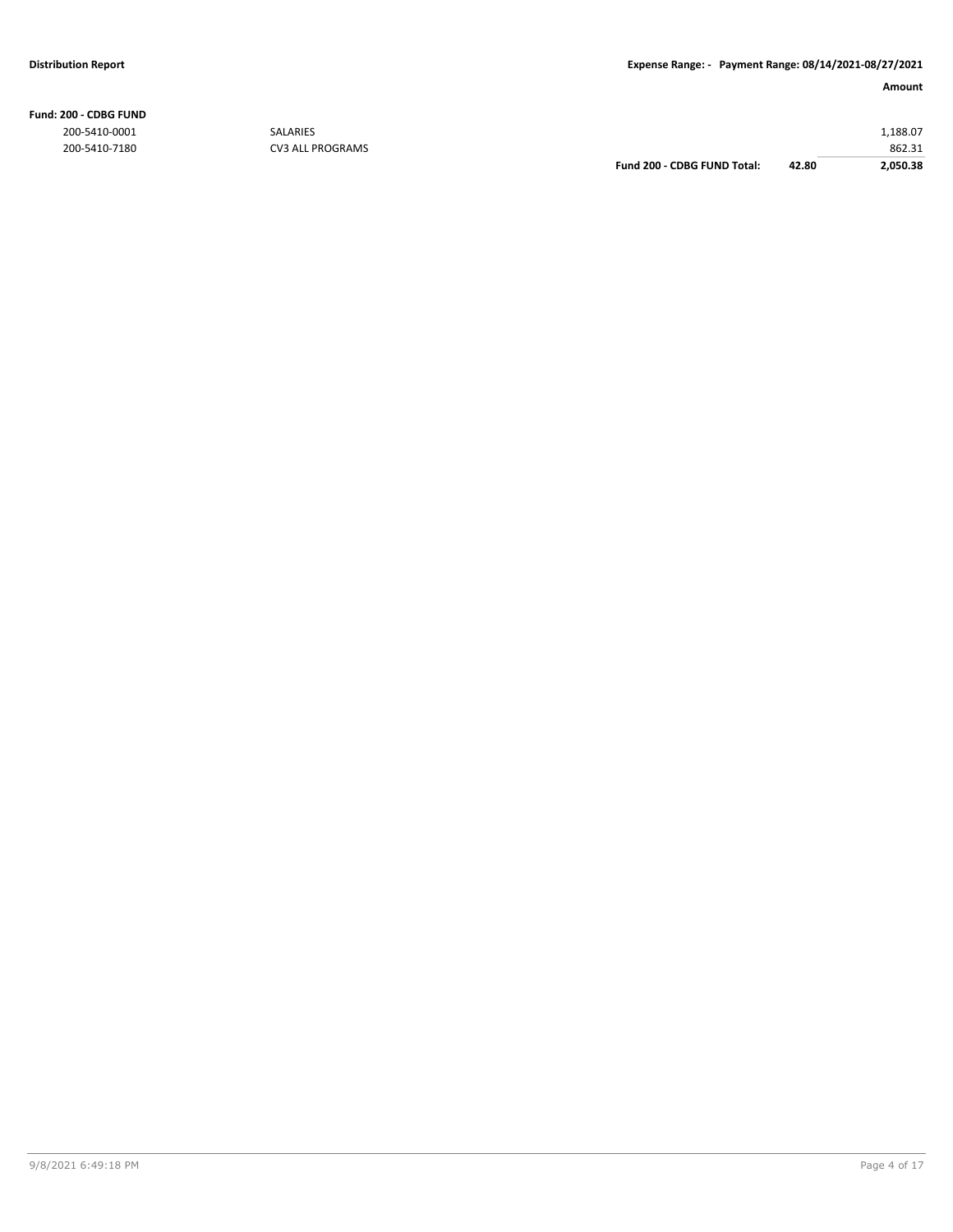200-5410-0001 SALARIES 1,188.07 200-5410-7180 CV3 ALL PROGRAMS **862.31** CV3 ALL PROGRAMS **1999 CV3 ALL PROGRAMS Eund 200 - CDBG FUND Total:** 42.80 2,050.38 **Fund 200 - CDBG FUND Total: 42.80 2,050.38**

**Fund: 200 - CDBG FUND**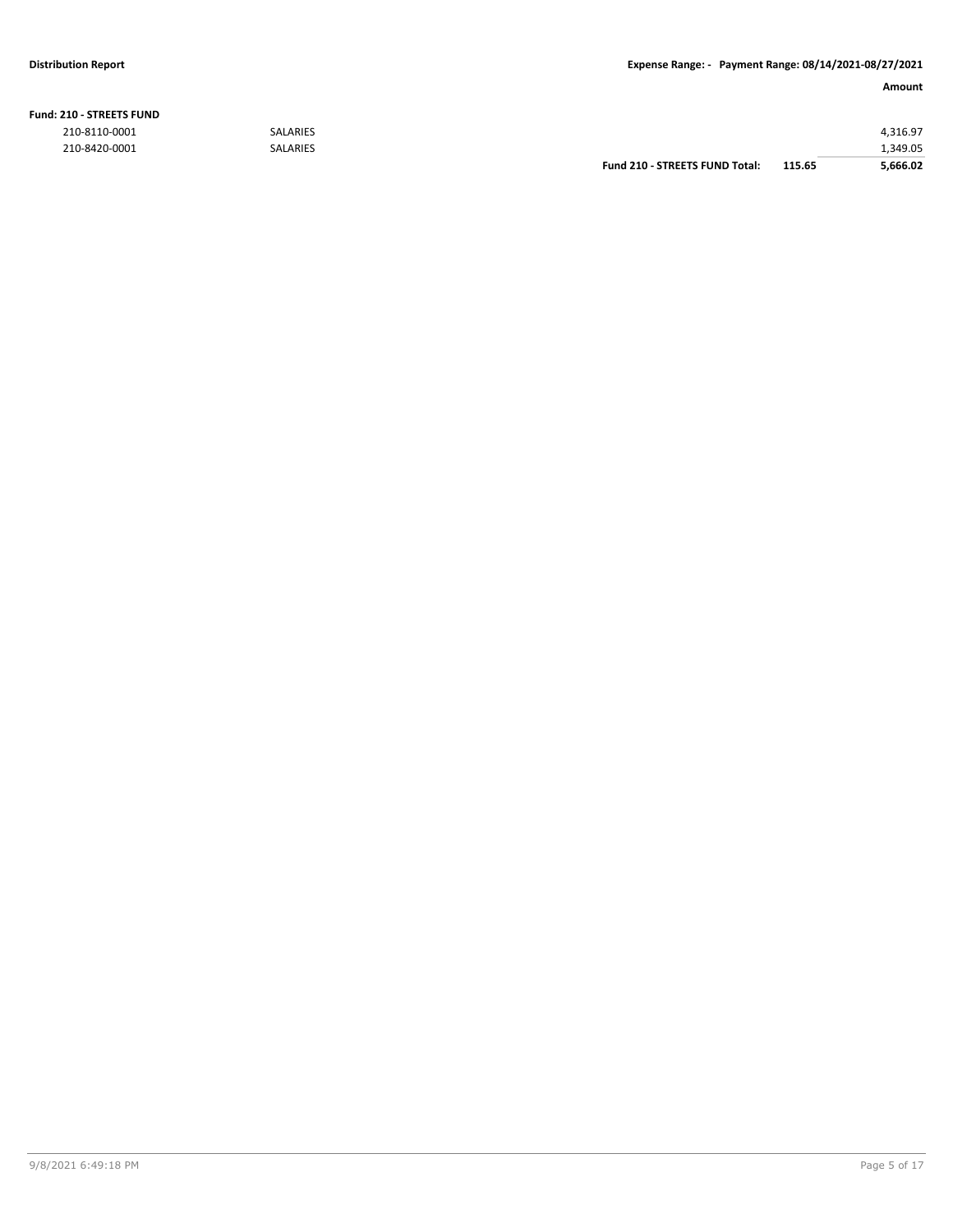**Fund: 210 - STREETS FUND**

#### **Distribution Report Expense Range: - Payment Range: 08/14/2021-08/27/2021**

#### **Amount**

| <b>210 - STREETS FUND</b> |                 |                                |        |          |
|---------------------------|-----------------|--------------------------------|--------|----------|
| 210-8110-0001             | <b>SALARIES</b> |                                |        | 4.316.97 |
| 210-8420-0001             | <b>SALARIES</b> |                                |        | 1,349.05 |
|                           |                 | Fund 210 - STREETS FUND Total: | 115.65 | 5,666.02 |

9/8/2021 6:49:18 PM Page 5 of 17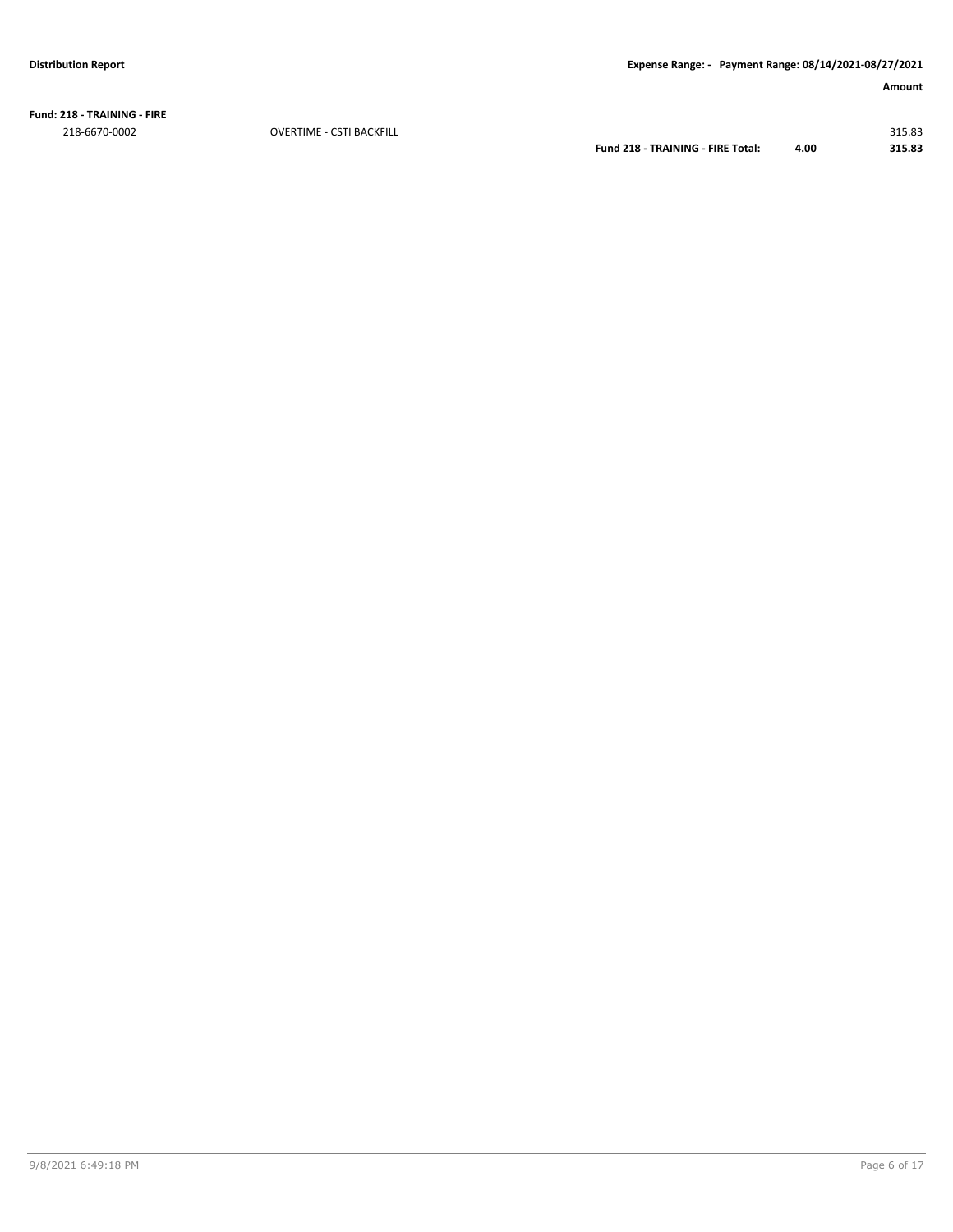**Fund: 218 - TRAINING - FIRE** 218-6670-0002 OVERTIME - CSTI BACKFILL 315.83

**Fund 218 - TRAINING - FIRE Total: 4.00 315.83**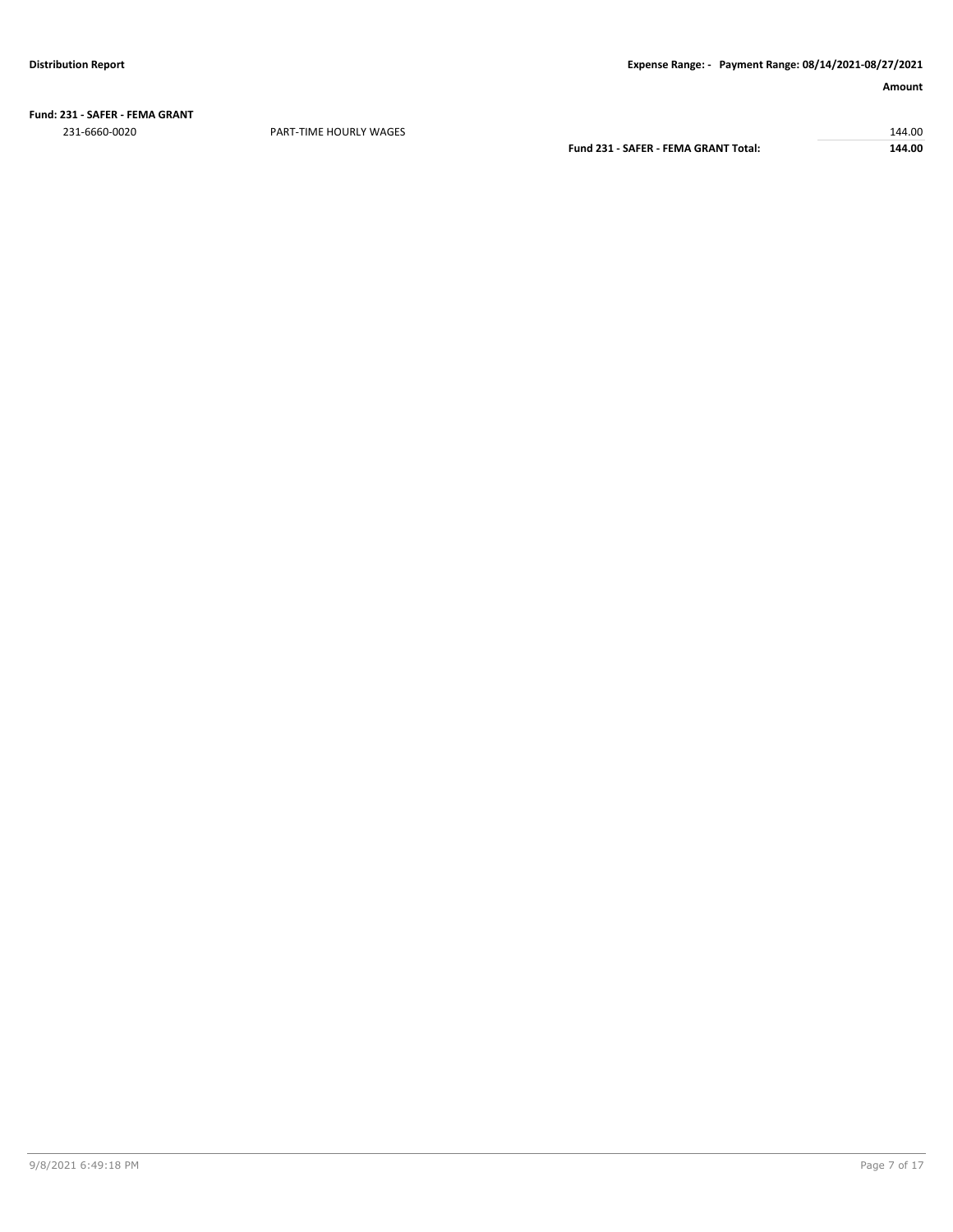**Fund: 231 - SAFER - FEMA GRANT** 231-6660-0020 PART-TIME HOURLY WAGES 144.00

**Fund 231 - SAFER - FEMA GRANT Total: 144.00**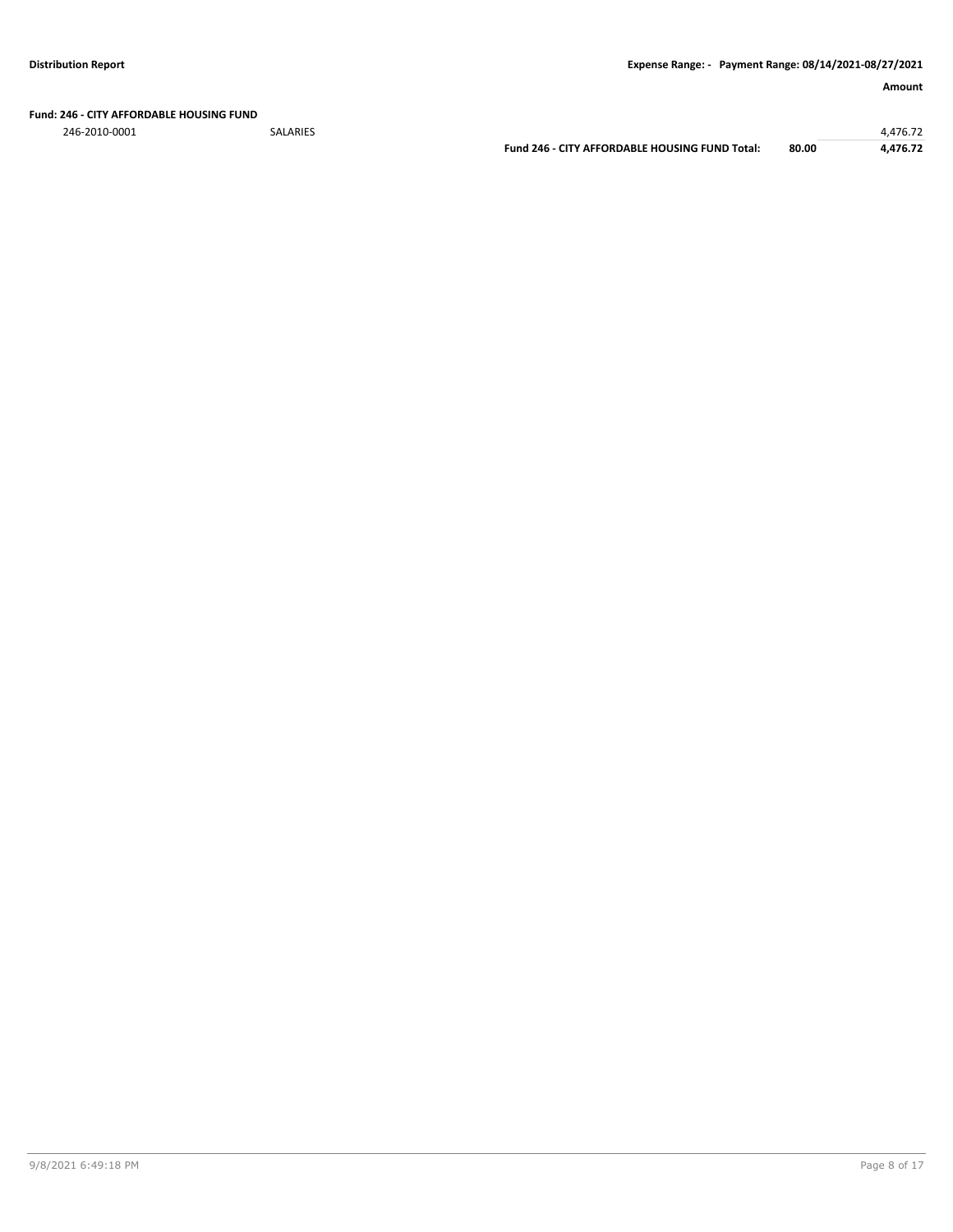### **Fund: 246 - CITY AFFORDABLE HOUSING FUND**

246-2010-0001 SALARIES 4,476.72

**Fund 246 - CITY AFFORDABLE HOUSING FUND Total: 80.00 4,476.72**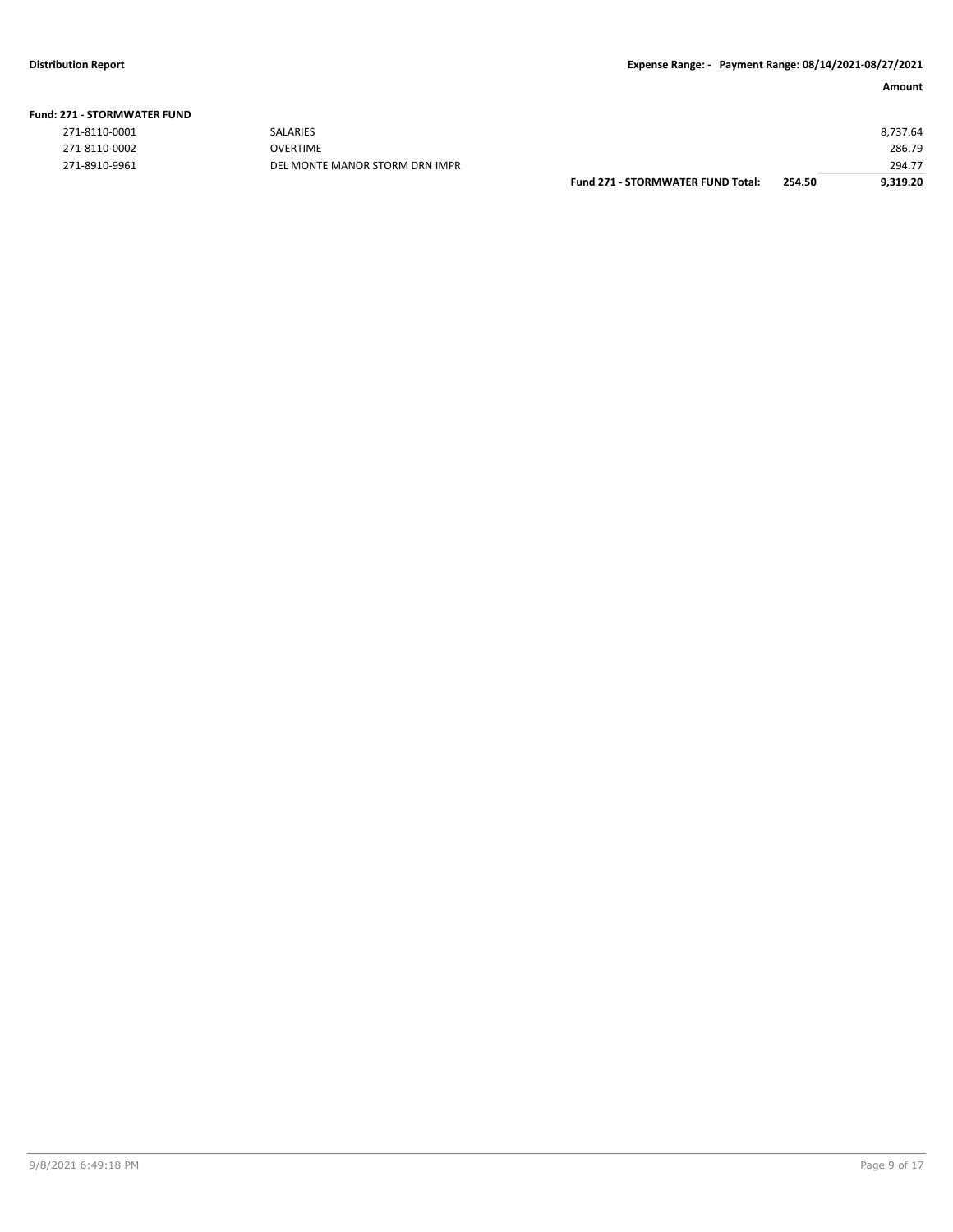|  |  |  | <b>Fund: 271 - STORMWATER FUND</b> |  |
|--|--|--|------------------------------------|--|
|--|--|--|------------------------------------|--|

| 271-8110-0001 |
|---------------|
| 271-8110-0002 |
| 271-8910-9961 |

2710-9961 DEL MONTE MANOR STORM DRN IMPR

|               |                                | <b>Fund 271 - STORMWATER FUND Total:</b> | 254.50 | 9,319.20 |
|---------------|--------------------------------|------------------------------------------|--------|----------|
| 271-8910-9961 | DEL MONTE MANOR STORM DRN IMPR |                                          |        | 294.77   |
| 271-8110-0002 | <b>OVERTIME</b>                |                                          |        | 286.79   |
| 271-8110-0001 | <b>SALARIES</b>                |                                          |        | 8.737.64 |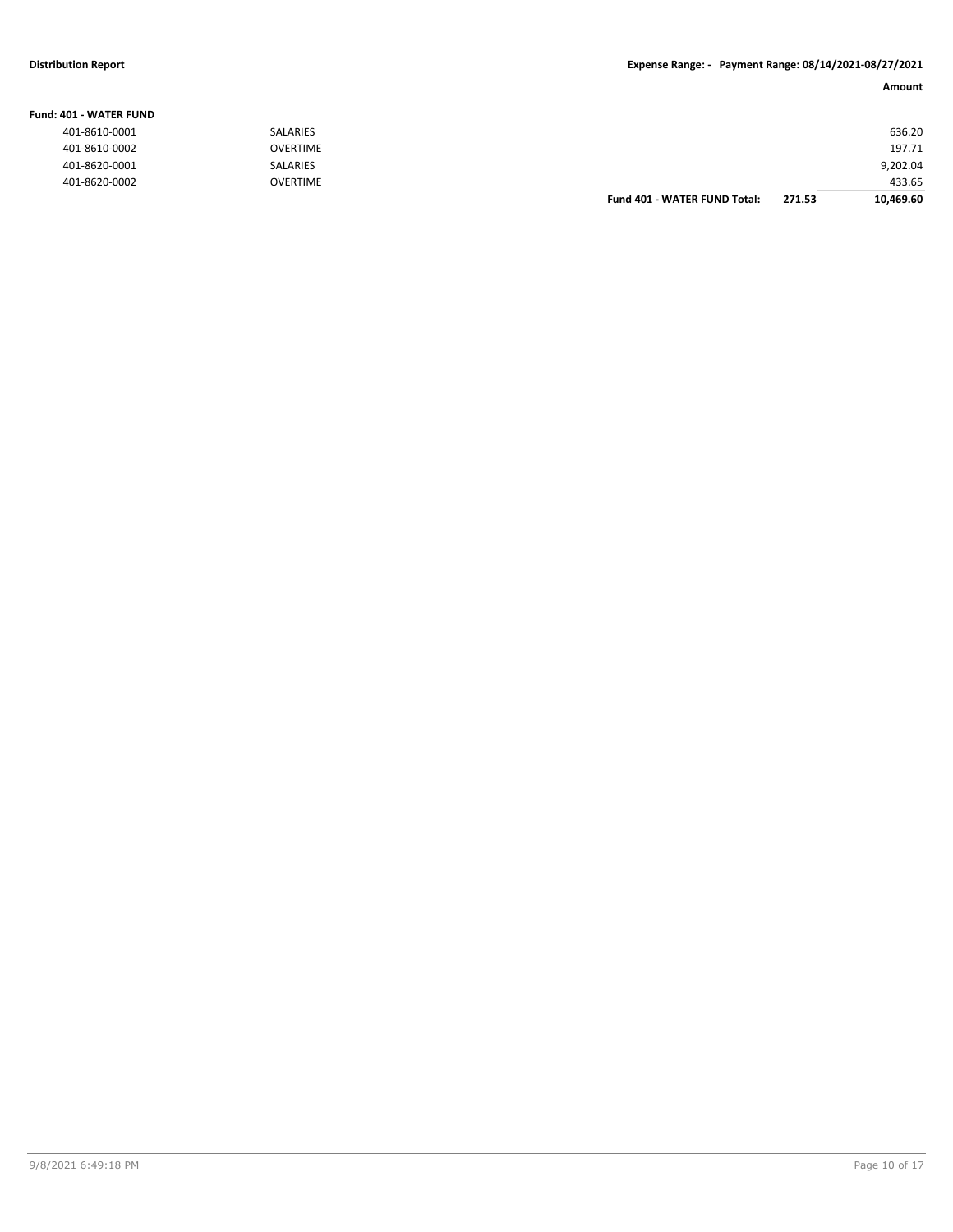**Fund: 401 - WATER FUND**

#### **Distribution Report Expense Range: - Payment Range: 08/14/2021-08/27/2021**

|                         |                 |                                     |        | Amount    |
|-------------------------|-----------------|-------------------------------------|--------|-----------|
| <b>IO1 - WATER FUND</b> |                 |                                     |        |           |
| 401-8610-0001           | SALARIES        |                                     |        | 636.20    |
| 401-8610-0002           | <b>OVERTIME</b> |                                     |        | 197.71    |
| 401-8620-0001           | SALARIES        |                                     |        | 9,202.04  |
| 401-8620-0002           | <b>OVERTIME</b> |                                     |        | 433.65    |
|                         |                 | <b>Fund 401 - WATER FUND Total:</b> | 271.53 | 10,469.60 |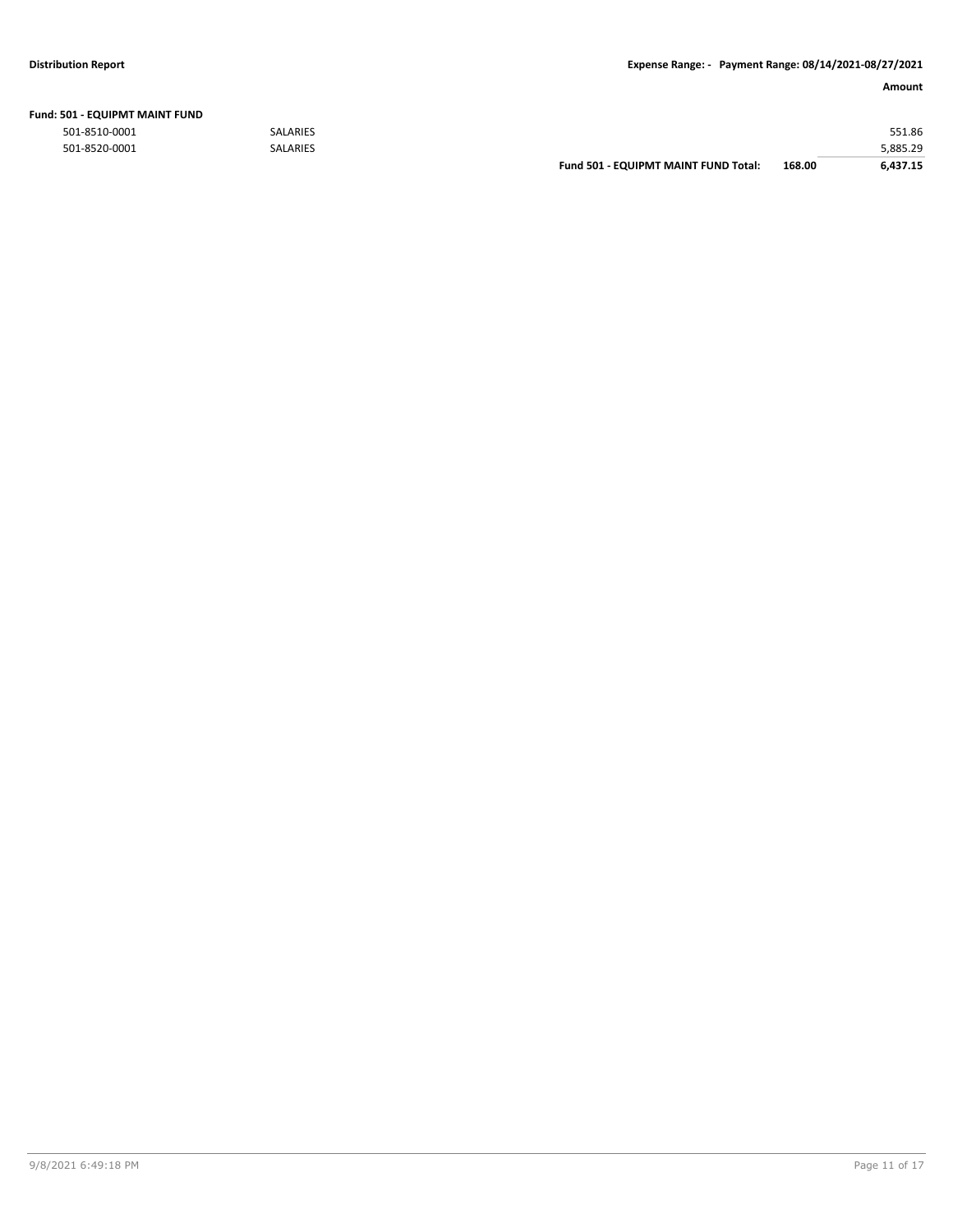| Fund: 501 - EQUIPMT MAINT FUND |  |  |
|--------------------------------|--|--|
|                                |  |  |

|               |                 | <b>Fund 501 - EQUIPMT MAINT FUND Total:</b> | 168.00 | 6.437.15 |
|---------------|-----------------|---------------------------------------------|--------|----------|
| 501-8520-0001 | <b>SALARIES</b> |                                             |        | 5,885.29 |
| 501-8510-0001 | <b>SALARIES</b> |                                             |        | 551.86   |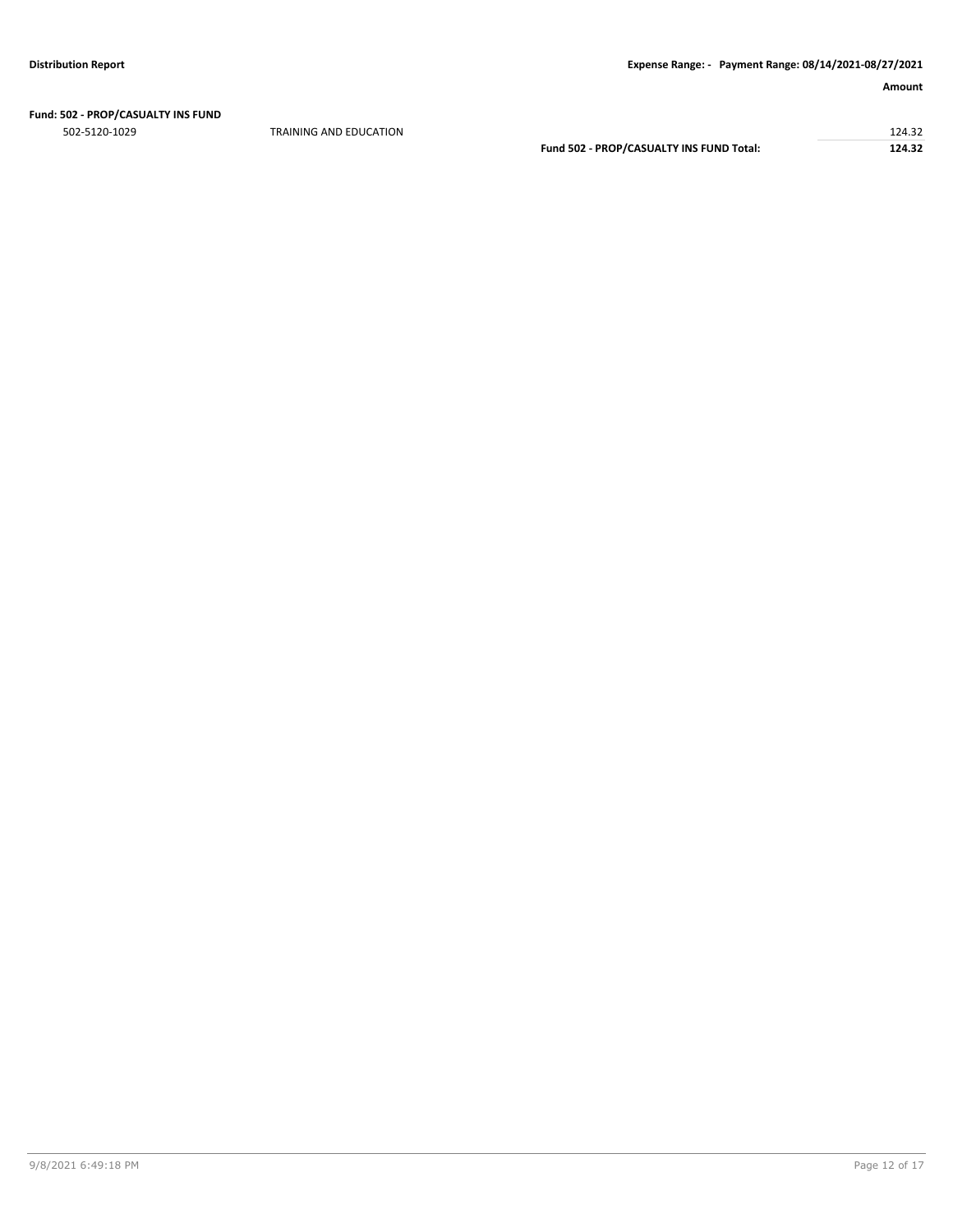# **Fund: 502 - PROP/CASUALTY INS FUND**

 $124.32$   $124.32$ **Fund 502 - PROP/CASUALTY INS FUND Total: 124.32**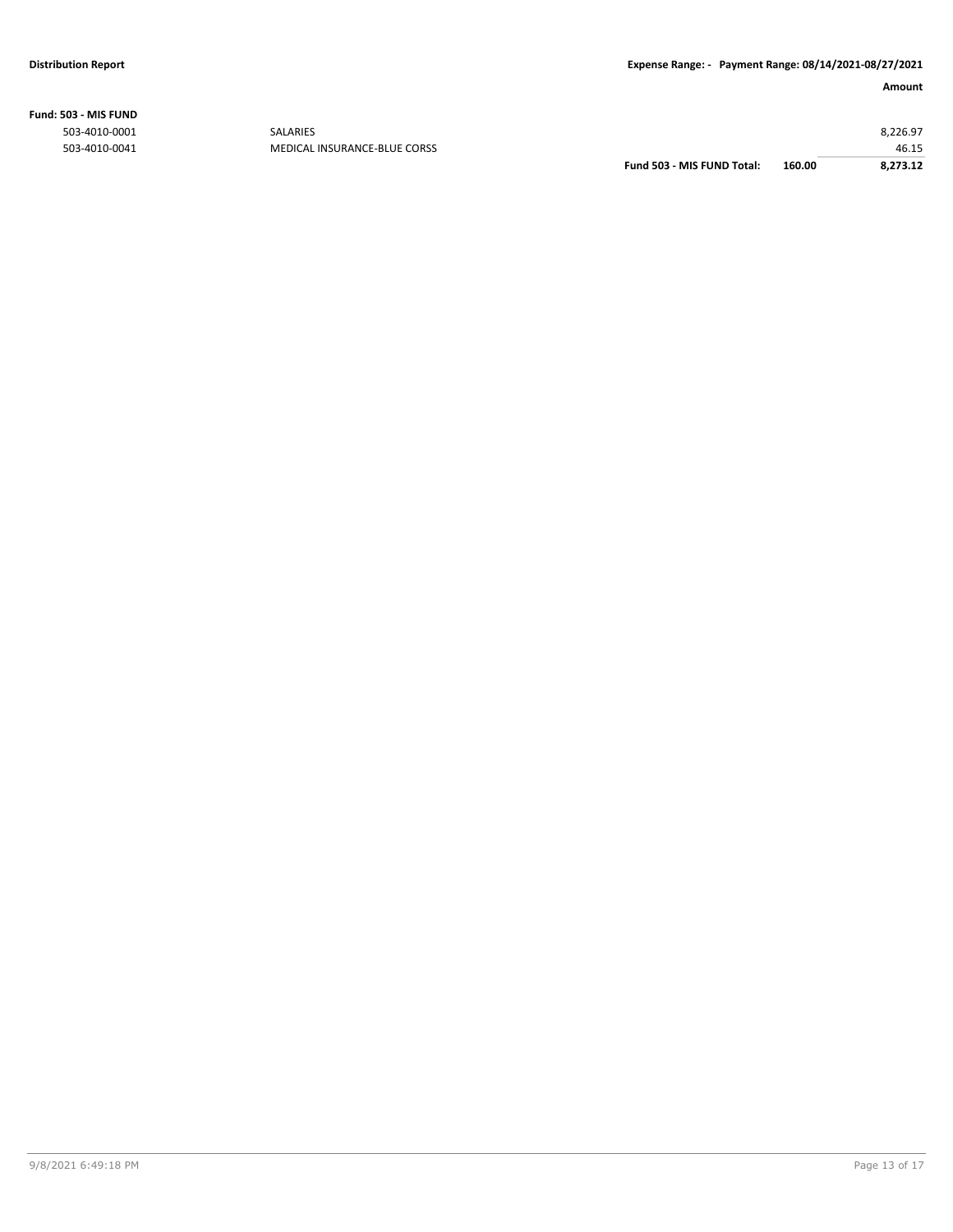**Fund: 503 - MIS FUND**

| 160.00 | 8,273.12 |
|--------|----------|
|        | 46.15    |
|        | 8,226.97 |
|        |          |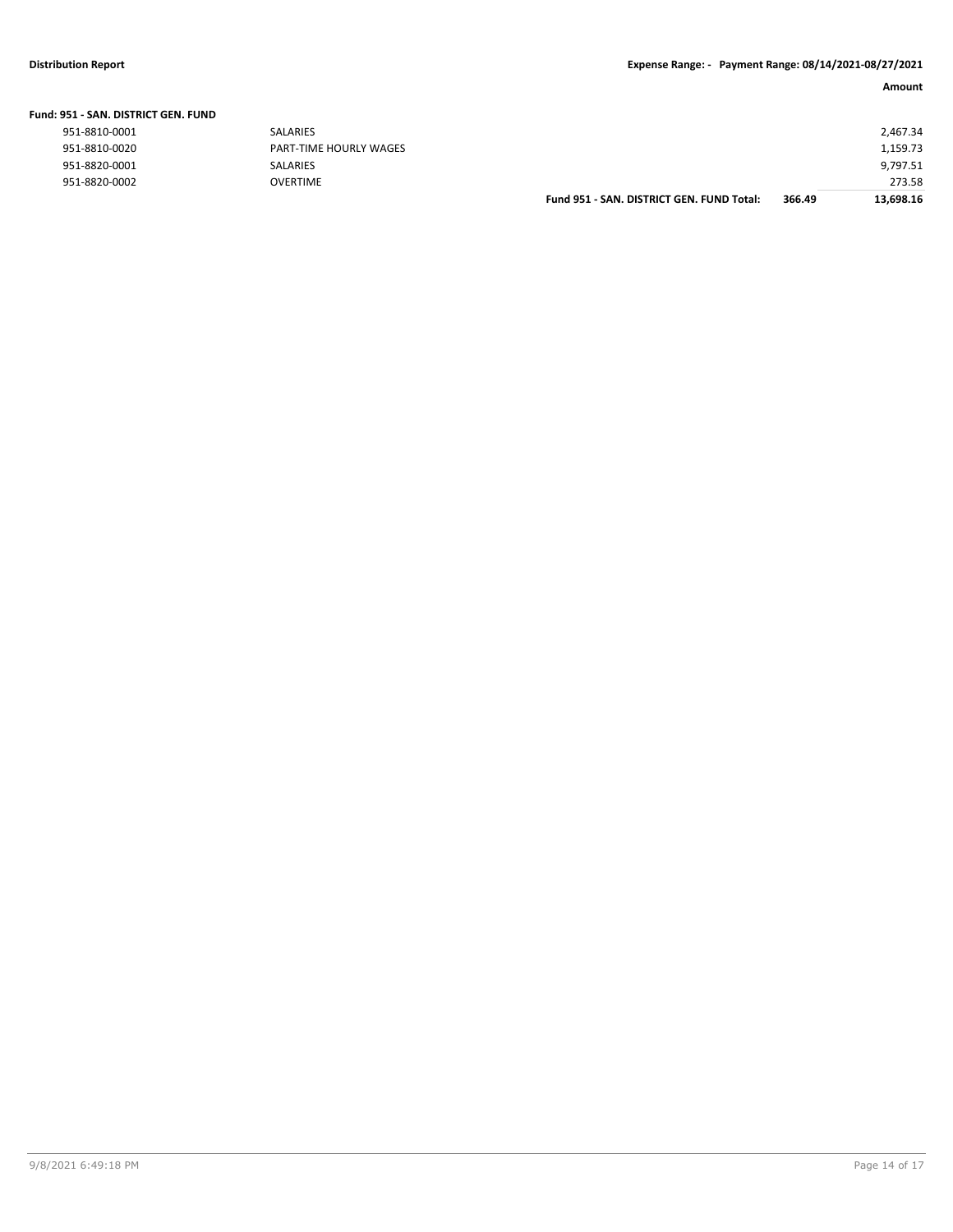|  | Fund: 951 - SAN. DISTRICT GEN. FUND |
|--|-------------------------------------|
|--|-------------------------------------|

| 951-8810-0001 |  |
|---------------|--|
| 951-8810-0020 |  |
| 951-8820-0001 |  |
| Q51_887N_NNN7 |  |

| 951-8820-0002                 | <b>OVERTIME</b>        | Fund 951 - SAN, DISTRICT GEN, FUND Total: | 366.49 | 273.58<br>13,698.16 |
|-------------------------------|------------------------|-------------------------------------------|--------|---------------------|
| 951-8820-0001                 | SALARIES               |                                           |        | 9,797.51            |
| 951-8810-0020                 | PART-TIME HOURLY WAGES |                                           |        | 1,159.73            |
| 951-8810-0001                 | SALARIES               |                                           |        | 2,467.34            |
| 151 - SAN. DISTRICT GEN. FUND |                        |                                           |        |                     |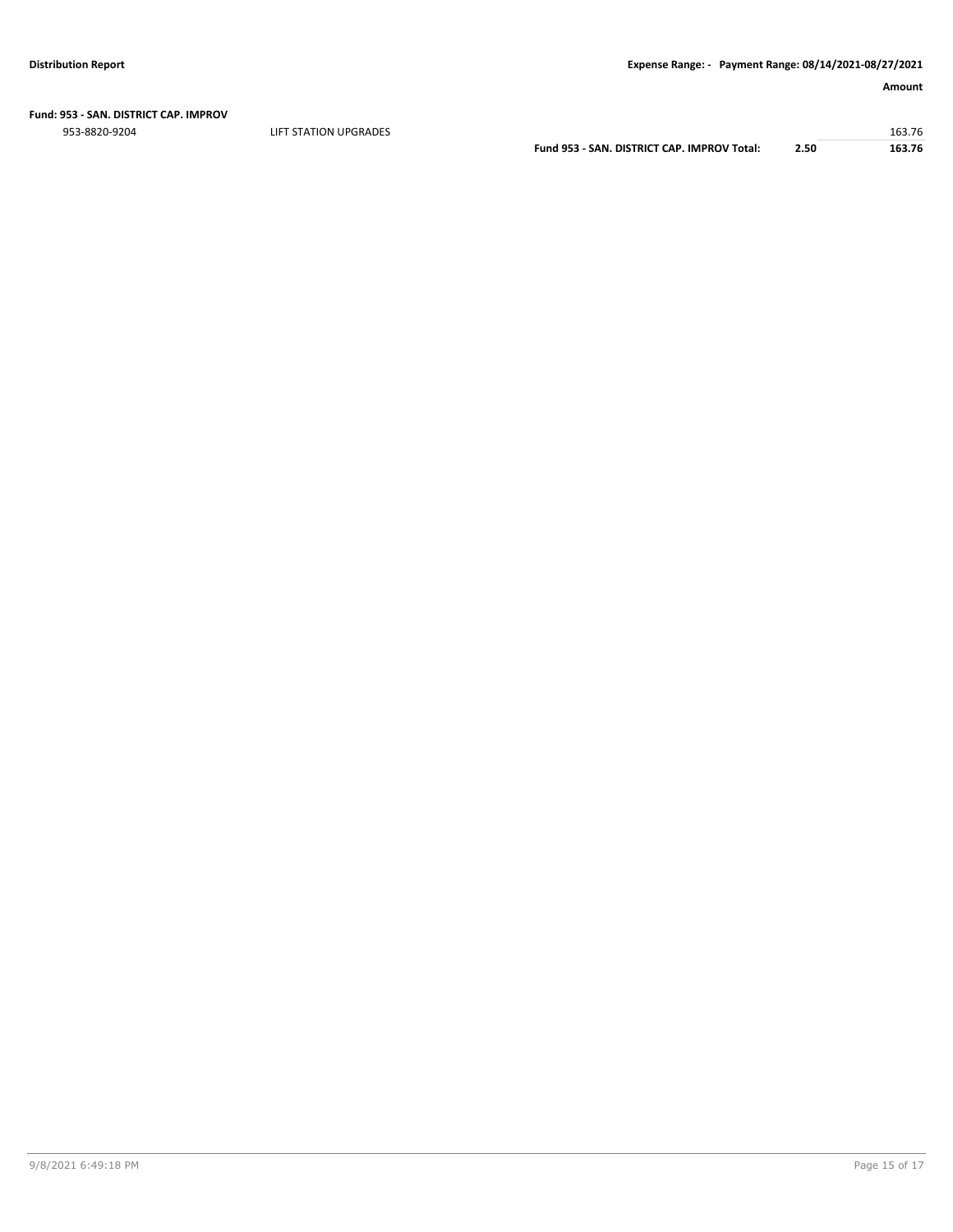ers and the state of the state of the state of the state of the state of the state of the state of the state of the state of the state of the state of the state of the state of the state of the state of the state of the st

**Fund 953 - SAN. DISTRICT CAP. IMPROV Total: 2.50 163.76**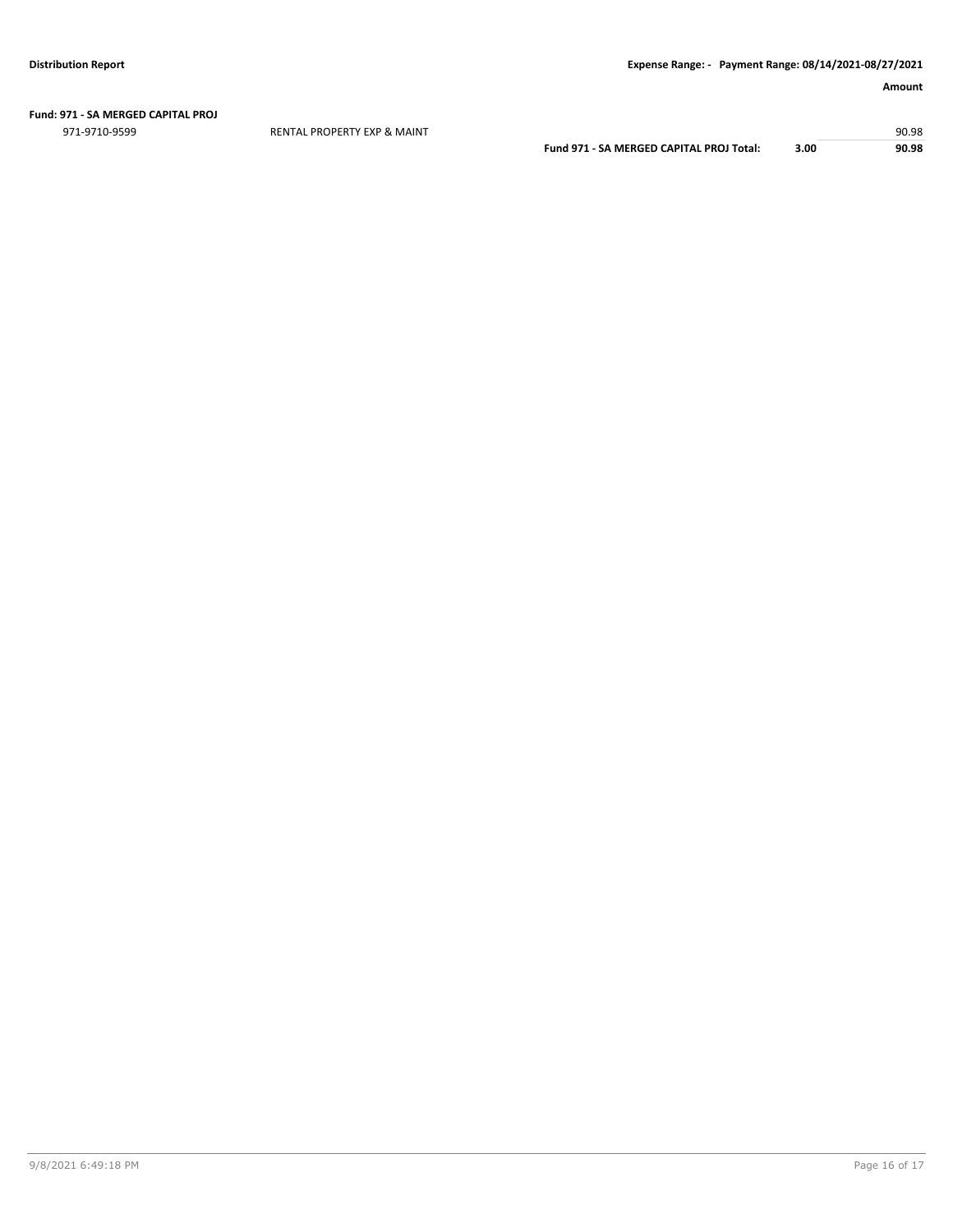#### **Fund: 971 - SA MERGED CAPITAL PROJ**

971-9710-9599 RENTAL PROPERTY EXP & MAINT 90.98

**Fund 971 - SA MERGED CAPITAL PROJ Total: 3.00 90.98**